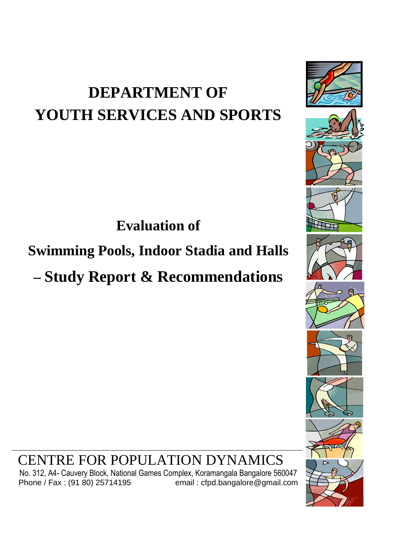# **DEPARTMENT OF YOUTH SERVICES AND SPORTS**

**Evaluation of** 

# **Swimming Pools, Indoor Stadia and Halls**

**– Study Report & Recommendations**



CENTRE FOR POPULATION DYNAMICS

No. 312, A4- Cauvery Block, National Games Complex, Koramangala Bangalore 560047<br>Phone / Fax : (91 80) 25714195 email : cfpd.bangalore@gmail.com email: cfpd.bangalore@gmail.com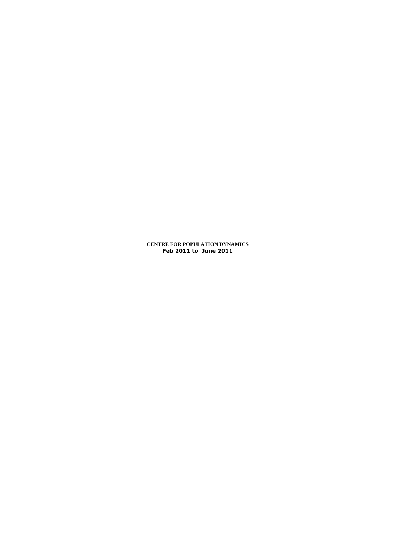**CENTRE FOR POPULATION DYNAMICS Feb 2011 to June 2011**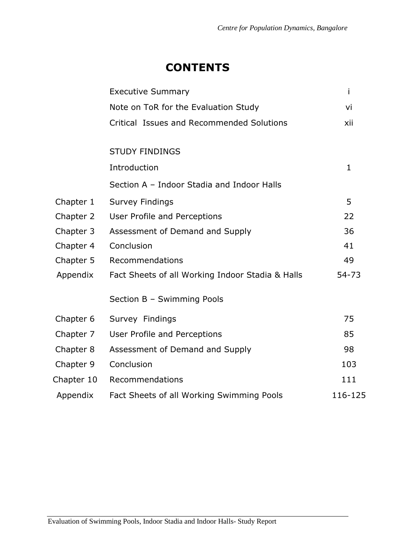# **CONTENTS**

|            | <b>Executive Summary</b>                         | i            |
|------------|--------------------------------------------------|--------------|
|            | Note on ToR for the Evaluation Study             | vi           |
|            | Critical Issues and Recommended Solutions        | xii          |
|            | <b>STUDY FINDINGS</b>                            |              |
|            | Introduction                                     | $\mathbf{1}$ |
|            | Section A - Indoor Stadia and Indoor Halls       |              |
| Chapter 1  | <b>Survey Findings</b>                           | 5            |
| Chapter 2  | User Profile and Perceptions                     | 22           |
| Chapter 3  | Assessment of Demand and Supply                  | 36           |
| Chapter 4  | Conclusion                                       | 41           |
| Chapter 5  | Recommendations                                  | 49           |
| Appendix   | Fact Sheets of all Working Indoor Stadia & Halls | 54-73        |
|            | Section B - Swimming Pools                       |              |
| Chapter 6  | Survey Findings                                  | 75           |
| Chapter 7  | User Profile and Perceptions                     | 85           |
| Chapter 8  | Assessment of Demand and Supply                  | 98           |
| Chapter 9  | Conclusion                                       | 103          |
| Chapter 10 | Recommendations                                  | 111          |
| Appendix   | Fact Sheets of all Working Swimming Pools        | 116-125      |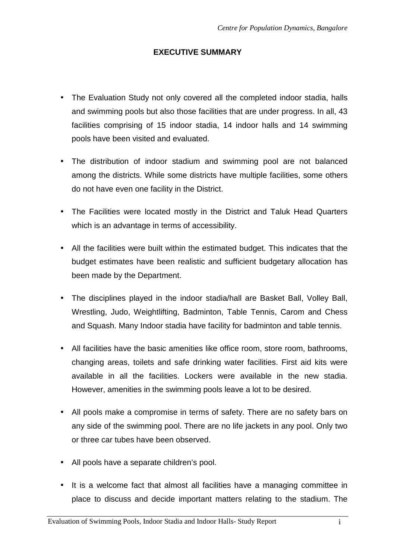# **EXECUTIVE SUMMARY**

- The Evaluation Study not only covered all the completed indoor stadia, halls and swimming pools but also those facilities that are under progress. In all, 43 facilities comprising of 15 indoor stadia, 14 indoor halls and 14 swimming pools have been visited and evaluated.
- The distribution of indoor stadium and swimming pool are not balanced among the districts. While some districts have multiple facilities, some others do not have even one facility in the District.
- The Facilities were located mostly in the District and Taluk Head Quarters which is an advantage in terms of accessibility.
- All the facilities were built within the estimated budget. This indicates that the budget estimates have been realistic and sufficient budgetary allocation has been made by the Department.
- The disciplines played in the indoor stadia/hall are Basket Ball, Volley Ball, Wrestling, Judo, Weightlifting, Badminton, Table Tennis, Carom and Chess and Squash. Many Indoor stadia have facility for badminton and table tennis.
- All facilities have the basic amenities like office room, store room, bathrooms, changing areas, toilets and safe drinking water facilities. First aid kits were available in all the facilities. Lockers were available in the new stadia. However, amenities in the swimming pools leave a lot to be desired.
- All pools make a compromise in terms of safety. There are no safety bars on any side of the swimming pool. There are no life jackets in any pool. Only two or three car tubes have been observed.
- All pools have a separate children's pool.
- It is a welcome fact that almost all facilities have a managing committee in place to discuss and decide important matters relating to the stadium. The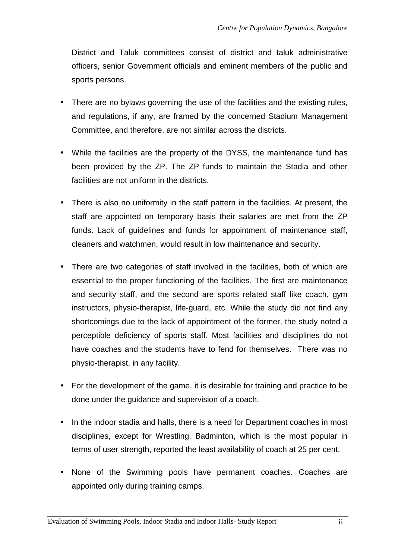District and Taluk committees consist of district and taluk administrative officers, senior Government officials and eminent members of the public and sports persons.

- There are no bylaws governing the use of the facilities and the existing rules, and regulations, if any, are framed by the concerned Stadium Management Committee, and therefore, are not similar across the districts.
- While the facilities are the property of the DYSS, the maintenance fund has been provided by the ZP. The ZP funds to maintain the Stadia and other facilities are not uniform in the districts.
- There is also no uniformity in the staff pattern in the facilities. At present, the staff are appointed on temporary basis their salaries are met from the ZP funds. Lack of guidelines and funds for appointment of maintenance staff, cleaners and watchmen, would result in low maintenance and security.
- There are two categories of staff involved in the facilities, both of which are essential to the proper functioning of the facilities. The first are maintenance and security staff, and the second are sports related staff like coach, gym instructors, physio-therapist, life-guard, etc. While the study did not find any shortcomings due to the lack of appointment of the former, the study noted a perceptible deficiency of sports staff. Most facilities and disciplines do not have coaches and the students have to fend for themselves. There was no physio-therapist, in any facility.
- For the development of the game, it is desirable for training and practice to be done under the guidance and supervision of a coach.
- In the indoor stadia and halls, there is a need for Department coaches in most disciplines, except for Wrestling. Badminton, which is the most popular in terms of user strength, reported the least availability of coach at 25 per cent.
- None of the Swimming pools have permanent coaches. Coaches are appointed only during training camps.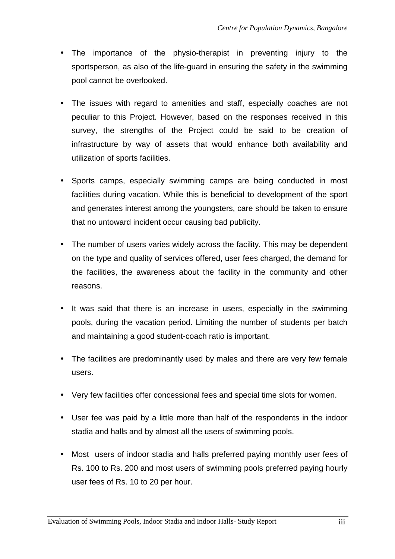- The importance of the physio-therapist in preventing injury to the sportsperson, as also of the life-guard in ensuring the safety in the swimming pool cannot be overlooked.
- The issues with regard to amenities and staff, especially coaches are not peculiar to this Project. However, based on the responses received in this survey, the strengths of the Project could be said to be creation of infrastructure by way of assets that would enhance both availability and utilization of sports facilities.
- Sports camps, especially swimming camps are being conducted in most facilities during vacation. While this is beneficial to development of the sport and generates interest among the youngsters, care should be taken to ensure that no untoward incident occur causing bad publicity.
- The number of users varies widely across the facility. This may be dependent on the type and quality of services offered, user fees charged, the demand for the facilities, the awareness about the facility in the community and other reasons.
- It was said that there is an increase in users, especially in the swimming pools, during the vacation period. Limiting the number of students per batch and maintaining a good student-coach ratio is important.
- The facilities are predominantly used by males and there are very few female users.
- Very few facilities offer concessional fees and special time slots for women.
- User fee was paid by a little more than half of the respondents in the indoor stadia and halls and by almost all the users of swimming pools.
- Most users of indoor stadia and halls preferred paying monthly user fees of Rs. 100 to Rs. 200 and most users of swimming pools preferred paying hourly user fees of Rs. 10 to 20 per hour.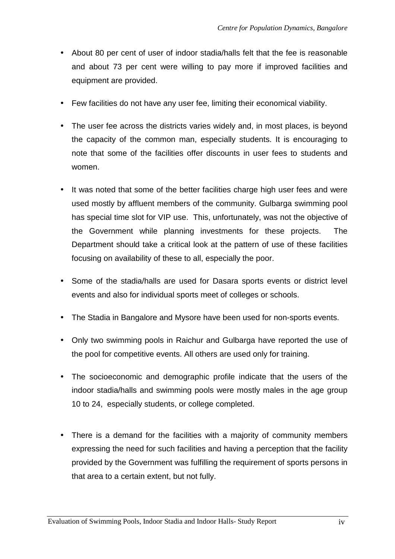- About 80 per cent of user of indoor stadia/halls felt that the fee is reasonable and about 73 per cent were willing to pay more if improved facilities and equipment are provided.
- Few facilities do not have any user fee, limiting their economical viability.
- The user fee across the districts varies widely and, in most places, is beyond the capacity of the common man, especially students. It is encouraging to note that some of the facilities offer discounts in user fees to students and women.
- It was noted that some of the better facilities charge high user fees and were used mostly by affluent members of the community. Gulbarga swimming pool has special time slot for VIP use. This, unfortunately, was not the objective of the Government while planning investments for these projects. The Department should take a critical look at the pattern of use of these facilities focusing on availability of these to all, especially the poor.
- Some of the stadia/halls are used for Dasara sports events or district level events and also for individual sports meet of colleges or schools.
- The Stadia in Bangalore and Mysore have been used for non-sports events.
- Only two swimming pools in Raichur and Gulbarga have reported the use of the pool for competitive events. All others are used only for training.
- The socioeconomic and demographic profile indicate that the users of the indoor stadia/halls and swimming pools were mostly males in the age group 10 to 24, especially students, or college completed.
- There is a demand for the facilities with a majority of community members expressing the need for such facilities and having a perception that the facility provided by the Government was fulfilling the requirement of sports persons in that area to a certain extent, but not fully.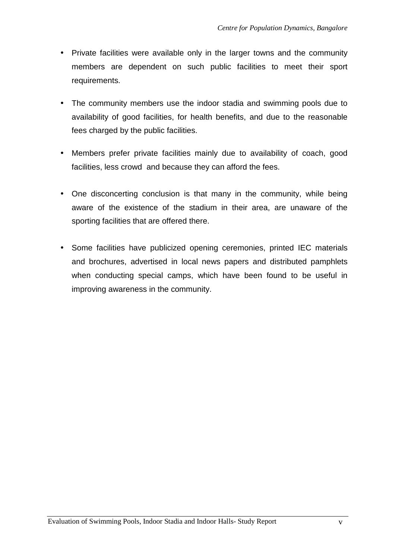- Private facilities were available only in the larger towns and the community members are dependent on such public facilities to meet their sport requirements.
- The community members use the indoor stadia and swimming pools due to availability of good facilities, for health benefits, and due to the reasonable fees charged by the public facilities.
- Members prefer private facilities mainly due to availability of coach, good facilities, less crowd and because they can afford the fees.
- One disconcerting conclusion is that many in the community, while being aware of the existence of the stadium in their area, are unaware of the sporting facilities that are offered there.
- Some facilities have publicized opening ceremonies, printed IEC materials and brochures, advertised in local news papers and distributed pamphlets when conducting special camps, which have been found to be useful in improving awareness in the community.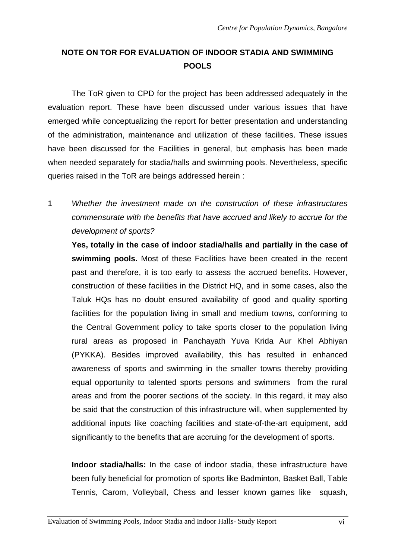# **NOTE ON TOR FOR EVALUATION OF INDOOR STADIA AND SWIMMING POOLS**

The ToR given to CPD for the project has been addressed adequately in the evaluation report. These have been discussed under various issues that have emerged while conceptualizing the report for better presentation and understanding of the administration, maintenance and utilization of these facilities. These issues have been discussed for the Facilities in general, but emphasis has been made when needed separately for stadia/halls and swimming pools. Nevertheless, specific queries raised in the ToR are beings addressed herein :

1 Whether the investment made on the construction of these infrastructures commensurate with the benefits that have accrued and likely to accrue for the development of sports?

**Yes, totally in the case of indoor stadia/halls and partially in the case of swimming pools.** Most of these Facilities have been created in the recent past and therefore, it is too early to assess the accrued benefits. However, construction of these facilities in the District HQ, and in some cases, also the Taluk HQs has no doubt ensured availability of good and quality sporting facilities for the population living in small and medium towns, conforming to the Central Government policy to take sports closer to the population living rural areas as proposed in Panchayath Yuva Krida Aur Khel Abhiyan (PYKKA). Besides improved availability, this has resulted in enhanced awareness of sports and swimming in the smaller towns thereby providing equal opportunity to talented sports persons and swimmers from the rural areas and from the poorer sections of the society. In this regard, it may also be said that the construction of this infrastructure will, when supplemented by additional inputs like coaching facilities and state-of-the-art equipment, add significantly to the benefits that are accruing for the development of sports.

**Indoor stadia/halls:** In the case of indoor stadia, these infrastructure have been fully beneficial for promotion of sports like Badminton, Basket Ball, Table Tennis, Carom, Volleyball, Chess and lesser known games like squash,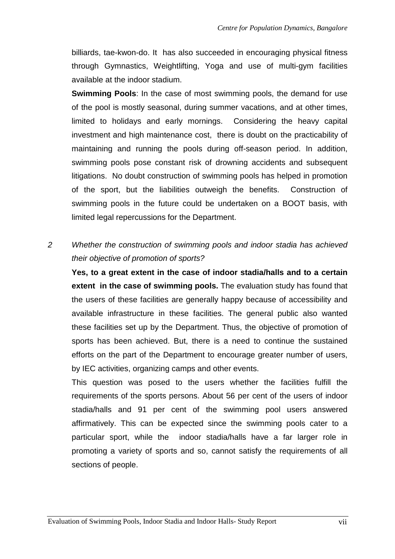billiards, tae-kwon-do. It has also succeeded in encouraging physical fitness through Gymnastics, Weightlifting, Yoga and use of multi-gym facilities available at the indoor stadium.

**Swimming Pools:** In the case of most swimming pools, the demand for use of the pool is mostly seasonal, during summer vacations, and at other times, limited to holidays and early mornings. Considering the heavy capital investment and high maintenance cost, there is doubt on the practicability of maintaining and running the pools during off-season period. In addition, swimming pools pose constant risk of drowning accidents and subsequent litigations. No doubt construction of swimming pools has helped in promotion of the sport, but the liabilities outweigh the benefits. Construction of swimming pools in the future could be undertaken on a BOOT basis, with limited legal repercussions for the Department.

# 2 Whether the construction of swimming pools and indoor stadia has achieved their objective of promotion of sports?

**Yes, to a great extent in the case of indoor stadia/halls and to a certain extent in the case of swimming pools.** The evaluation study has found that the users of these facilities are generally happy because of accessibility and available infrastructure in these facilities. The general public also wanted these facilities set up by the Department. Thus, the objective of promotion of sports has been achieved. But, there is a need to continue the sustained efforts on the part of the Department to encourage greater number of users, by IEC activities, organizing camps and other events.

This question was posed to the users whether the facilities fulfill the requirements of the sports persons. About 56 per cent of the users of indoor stadia/halls and 91 per cent of the swimming pool users answered affirmatively. This can be expected since the swimming pools cater to a particular sport, while the indoor stadia/halls have a far larger role in promoting a variety of sports and so, cannot satisfy the requirements of all sections of people.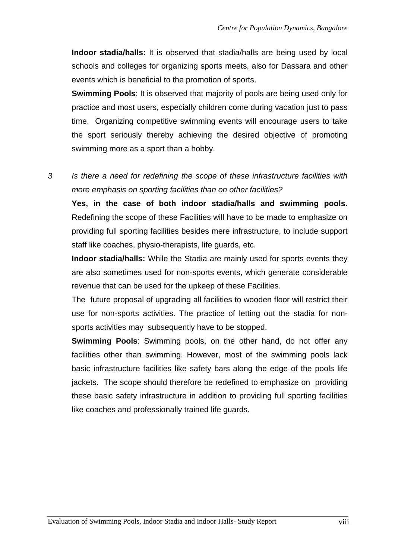**Indoor stadia/halls:** It is observed that stadia/halls are being used by local schools and colleges for organizing sports meets, also for Dassara and other events which is beneficial to the promotion of sports.

**Swimming Pools**: It is observed that majority of pools are being used only for practice and most users, especially children come during vacation just to pass time. Organizing competitive swimming events will encourage users to take the sport seriously thereby achieving the desired objective of promoting swimming more as a sport than a hobby.

# 3 Is there a need for redefining the scope of these infrastructure facilities with more emphasis on sporting facilities than on other facilities?

**Yes, in the case of both indoor stadia/halls and swimming pools.** Redefining the scope of these Facilities will have to be made to emphasize on providing full sporting facilities besides mere infrastructure, to include support staff like coaches, physio-therapists, life guards, etc.

**Indoor stadia/halls:** While the Stadia are mainly used for sports events they are also sometimes used for non-sports events, which generate considerable revenue that can be used for the upkeep of these Facilities.

The future proposal of upgrading all facilities to wooden floor will restrict their use for non-sports activities. The practice of letting out the stadia for nonsports activities may subsequently have to be stopped.

**Swimming Pools**: Swimming pools, on the other hand, do not offer any facilities other than swimming. However, most of the swimming pools lack basic infrastructure facilities like safety bars along the edge of the pools life jackets. The scope should therefore be redefined to emphasize on providing these basic safety infrastructure in addition to providing full sporting facilities like coaches and professionally trained life guards.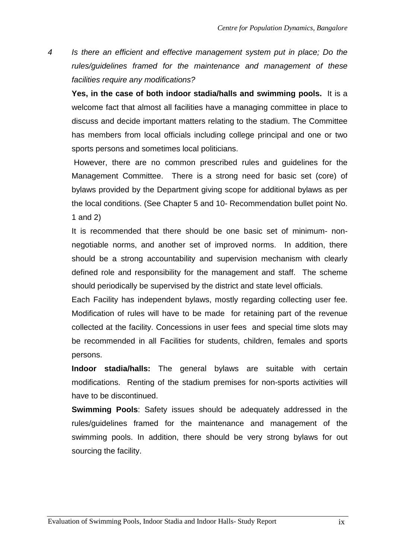4 Is there an efficient and effective management system put in place; Do the rules/guidelines framed for the maintenance and management of these facilities require any modifications?

**Yes, in the case of both indoor stadia/halls and swimming pools.** It is a welcome fact that almost all facilities have a managing committee in place to discuss and decide important matters relating to the stadium. The Committee has members from local officials including college principal and one or two sports persons and sometimes local politicians.

 However, there are no common prescribed rules and guidelines for the Management Committee. There is a strong need for basic set (core) of bylaws provided by the Department giving scope for additional bylaws as per the local conditions. (See Chapter 5 and 10- Recommendation bullet point No. 1 and 2)

It is recommended that there should be one basic set of minimum- nonnegotiable norms, and another set of improved norms. In addition, there should be a strong accountability and supervision mechanism with clearly defined role and responsibility for the management and staff. The scheme should periodically be supervised by the district and state level officials.

Each Facility has independent bylaws, mostly regarding collecting user fee. Modification of rules will have to be made for retaining part of the revenue collected at the facility. Concessions in user fees and special time slots may be recommended in all Facilities for students, children, females and sports persons.

**Indoor stadia/halls:** The general bylaws are suitable with certain modifications. Renting of the stadium premises for non-sports activities will have to be discontinued.

**Swimming Pools**: Safety issues should be adequately addressed in the rules/guidelines framed for the maintenance and management of the swimming pools. In addition, there should be very strong bylaws for out sourcing the facility.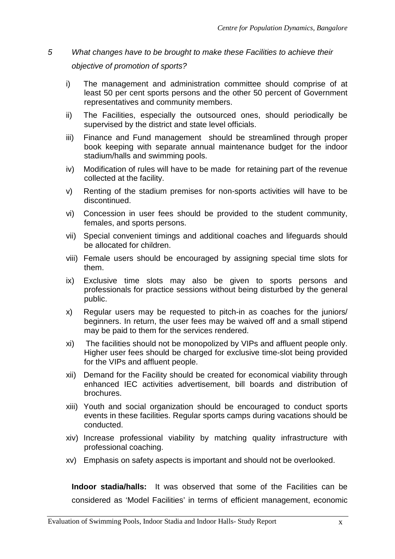# 5 What changes have to be brought to make these Facilities to achieve their objective of promotion of sports?

- i) The management and administration committee should comprise of at least 50 per cent sports persons and the other 50 percent of Government representatives and community members.
- ii) The Facilities, especially the outsourced ones, should periodically be supervised by the district and state level officials.
- iii) Finance and Fund management should be streamlined through proper book keeping with separate annual maintenance budget for the indoor stadium/halls and swimming pools.
- iv) Modification of rules will have to be made for retaining part of the revenue collected at the facility.
- v) Renting of the stadium premises for non-sports activities will have to be discontinued.
- vi) Concession in user fees should be provided to the student community, females, and sports persons.
- vii) Special convenient timings and additional coaches and lifeguards should be allocated for children.
- viii) Female users should be encouraged by assigning special time slots for them.
- ix) Exclusive time slots may also be given to sports persons and professionals for practice sessions without being disturbed by the general public.
- x) Regular users may be requested to pitch-in as coaches for the juniors/ beginners. In return, the user fees may be waived off and a small stipend may be paid to them for the services rendered.
- xi) The facilities should not be monopolized by VIPs and affluent people only. Higher user fees should be charged for exclusive time-slot being provided for the VIPs and affluent people.
- xii) Demand for the Facility should be created for economical viability through enhanced IEC activities advertisement, bill boards and distribution of brochures.
- xiii) Youth and social organization should be encouraged to conduct sports events in these facilities. Regular sports camps during vacations should be conducted.
- xiv) Increase professional viability by matching quality infrastructure with professional coaching.
- xv) Emphasis on safety aspects is important and should not be overlooked.

**Indoor stadia/halls:** It was observed that some of the Facilities can be considered as 'Model Facilities' in terms of efficient management, economic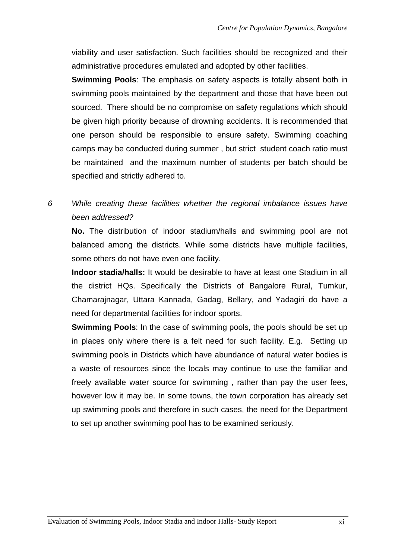viability and user satisfaction. Such facilities should be recognized and their administrative procedures emulated and adopted by other facilities.

**Swimming Pools**: The emphasis on safety aspects is totally absent both in swimming pools maintained by the department and those that have been out sourced. There should be no compromise on safety regulations which should be given high priority because of drowning accidents. It is recommended that one person should be responsible to ensure safety. Swimming coaching camps may be conducted during summer , but strict student coach ratio must be maintained and the maximum number of students per batch should be specified and strictly adhered to.

# 6 While creating these facilities whether the regional imbalance issues have been addressed?

**No.** The distribution of indoor stadium/halls and swimming pool are not balanced among the districts. While some districts have multiple facilities, some others do not have even one facility.

**Indoor stadia/halls:** It would be desirable to have at least one Stadium in all the district HQs. Specifically the Districts of Bangalore Rural, Tumkur, Chamarajnagar, Uttara Kannada, Gadag, Bellary, and Yadagiri do have a need for departmental facilities for indoor sports.

**Swimming Pools:** In the case of swimming pools, the pools should be set up in places only where there is a felt need for such facility. E.g. Setting up swimming pools in Districts which have abundance of natural water bodies is a waste of resources since the locals may continue to use the familiar and freely available water source for swimming , rather than pay the user fees, however low it may be. In some towns, the town corporation has already set up swimming pools and therefore in such cases, the need for the Department to set up another swimming pool has to be examined seriously.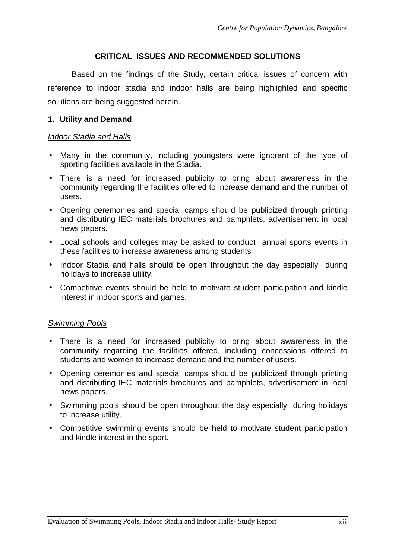## **CRITICAL ISSUES AND RECOMMENDED SOLUTIONS**

Based on the findings of the Study, certain critical issues of concern with reference to indoor stadia and indoor halls are being highlighted and specific solutions are being suggested herein.

## **1. Utility and Demand**

#### Indoor Stadia and Halls

- Many in the community, including youngsters were ignorant of the type of sporting facilities available in the Stadia.
- There is a need for increased publicity to bring about awareness in the community regarding the facilities offered to increase demand and the number of users.
- Opening ceremonies and special camps should be publicized through printing and distributing IEC materials brochures and pamphlets, advertisement in local news papers.
- Local schools and colleges may be asked to conduct annual sports events in these facilities to increase awareness among students
- Indoor Stadia and halls should be open throughout the day especially during holidays to increase utility.
- Competitive events should be held to motivate student participation and kindle interest in indoor sports and games.

- There is a need for increased publicity to bring about awareness in the community regarding the facilities offered, including concessions offered to students and women to increase demand and the number of users.
- Opening ceremonies and special camps should be publicized through printing and distributing IEC materials brochures and pamphlets, advertisement in local news papers.
- Swimming pools should be open throughout the day especially during holidays to increase utility.
- Competitive swimming events should be held to motivate student participation and kindle interest in the sport.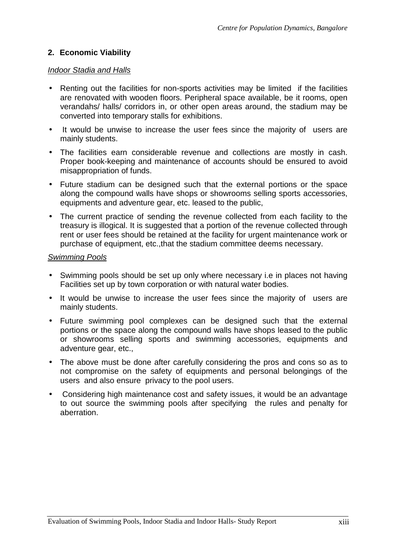# **2. Economic Viability**

## Indoor Stadia and Halls

- Renting out the facilities for non-sports activities may be limited if the facilities are renovated with wooden floors. Peripheral space available, be it rooms, open verandahs/ halls/ corridors in, or other open areas around, the stadium may be converted into temporary stalls for exhibitions.
- It would be unwise to increase the user fees since the majority of users are mainly students.
- The facilities earn considerable revenue and collections are mostly in cash. Proper book-keeping and maintenance of accounts should be ensured to avoid misappropriation of funds.
- Future stadium can be designed such that the external portions or the space along the compound walls have shops or showrooms selling sports accessories, equipments and adventure gear, etc. leased to the public,
- The current practice of sending the revenue collected from each facility to the treasury is illogical. It is suggested that a portion of the revenue collected through rent or user fees should be retained at the facility for urgent maintenance work or purchase of equipment, etc.,that the stadium committee deems necessary.

- Swimming pools should be set up only where necessary i.e in places not having Facilities set up by town corporation or with natural water bodies.
- It would be unwise to increase the user fees since the majority of users are mainly students.
- Future swimming pool complexes can be designed such that the external portions or the space along the compound walls have shops leased to the public or showrooms selling sports and swimming accessories, equipments and adventure gear, etc.,
- The above must be done after carefully considering the pros and cons so as to not compromise on the safety of equipments and personal belongings of the users and also ensure privacy to the pool users.
- Considering high maintenance cost and safety issues, it would be an advantage to out source the swimming pools after specifying the rules and penalty for aberration.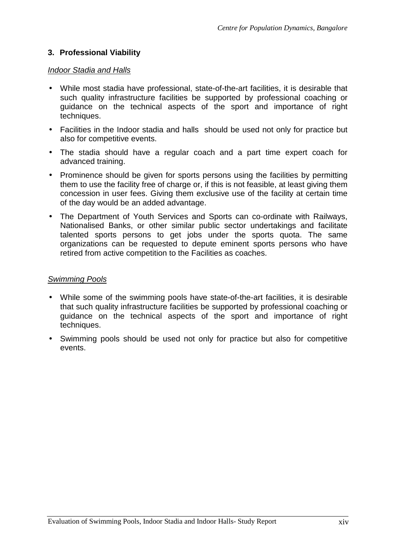# **3. Professional Viability**

## Indoor Stadia and Halls

- While most stadia have professional, state-of-the-art facilities, it is desirable that such quality infrastructure facilities be supported by professional coaching or guidance on the technical aspects of the sport and importance of right techniques.
- Facilities in the Indoor stadia and halls should be used not only for practice but also for competitive events.
- The stadia should have a regular coach and a part time expert coach for advanced training.
- Prominence should be given for sports persons using the facilities by permitting them to use the facility free of charge or, if this is not feasible, at least giving them concession in user fees. Giving them exclusive use of the facility at certain time of the day would be an added advantage.
- The Department of Youth Services and Sports can co-ordinate with Railways, Nationalised Banks, or other similar public sector undertakings and facilitate talented sports persons to get jobs under the sports quota. The same organizations can be requested to depute eminent sports persons who have retired from active competition to the Facilities as coaches.

- While some of the swimming pools have state-of-the-art facilities, it is desirable that such quality infrastructure facilities be supported by professional coaching or guidance on the technical aspects of the sport and importance of right techniques.
- Swimming pools should be used not only for practice but also for competitive events.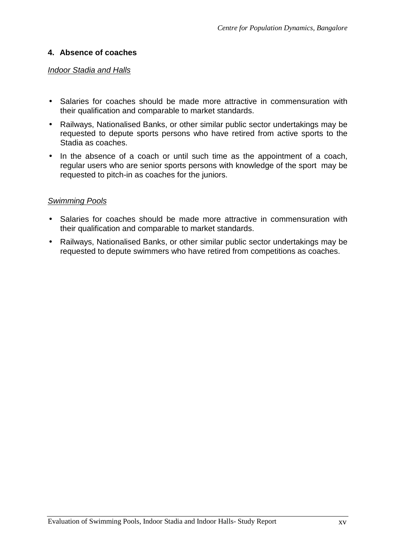# **4. Absence of coaches**

## Indoor Stadia and Halls

- Salaries for coaches should be made more attractive in commensuration with their qualification and comparable to market standards.
- Railways, Nationalised Banks, or other similar public sector undertakings may be requested to depute sports persons who have retired from active sports to the Stadia as coaches.
- In the absence of a coach or until such time as the appointment of a coach, regular users who are senior sports persons with knowledge of the sport may be requested to pitch-in as coaches for the juniors.

- Salaries for coaches should be made more attractive in commensuration with their qualification and comparable to market standards.
- Railways, Nationalised Banks, or other similar public sector undertakings may be requested to depute swimmers who have retired from competitions as coaches.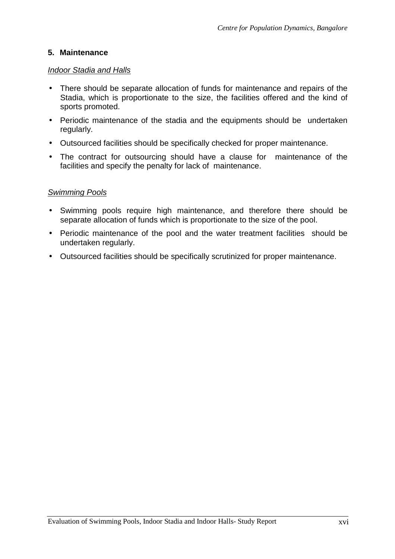# **5. Maintenance**

## Indoor Stadia and Halls

- There should be separate allocation of funds for maintenance and repairs of the Stadia, which is proportionate to the size, the facilities offered and the kind of sports promoted.
- Periodic maintenance of the stadia and the equipments should be undertaken regularly.
- Outsourced facilities should be specifically checked for proper maintenance.
- The contract for outsourcing should have a clause for maintenance of the facilities and specify the penalty for lack of maintenance.

- Swimming pools require high maintenance, and therefore there should be separate allocation of funds which is proportionate to the size of the pool.
- Periodic maintenance of the pool and the water treatment facilities should be undertaken regularly.
- Outsourced facilities should be specifically scrutinized for proper maintenance.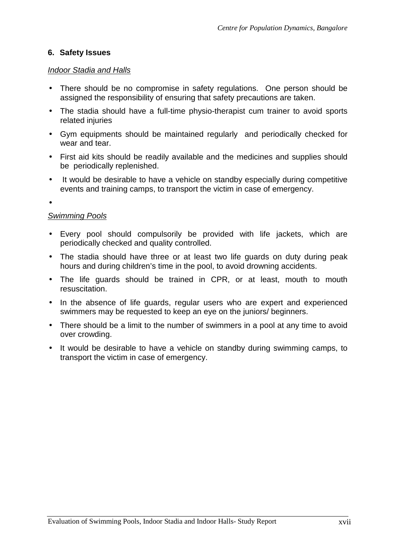# **6. Safety Issues**

## Indoor Stadia and Halls

- There should be no compromise in safety regulations. One person should be assigned the responsibility of ensuring that safety precautions are taken.
- The stadia should have a full-time physio-therapist cum trainer to avoid sports related injuries
- Gym equipments should be maintained regularly and periodically checked for wear and tear.
- First aid kits should be readily available and the medicines and supplies should be periodically replenished.
- It would be desirable to have a vehicle on standby especially during competitive events and training camps, to transport the victim in case of emergency.

•

- Every pool should compulsorily be provided with life jackets, which are periodically checked and quality controlled.
- The stadia should have three or at least two life guards on duty during peak hours and during children's time in the pool, to avoid drowning accidents.
- The life guards should be trained in CPR, or at least, mouth to mouth resuscitation.
- In the absence of life guards, regular users who are expert and experienced swimmers may be requested to keep an eye on the juniors/ beginners.
- There should be a limit to the number of swimmers in a pool at any time to avoid over crowding.
- It would be desirable to have a vehicle on standby during swimming camps, to transport the victim in case of emergency.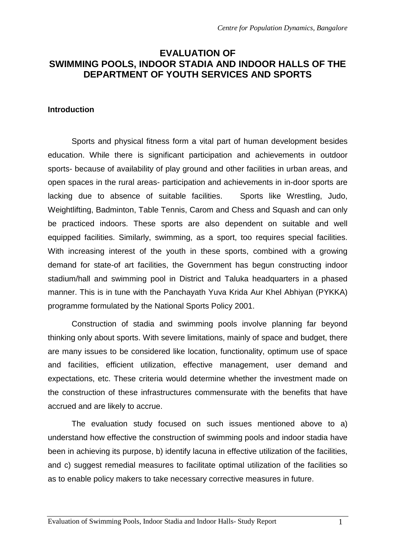# **EVALUATION OF SWIMMING POOLS, INDOOR STADIA AND INDOOR HALLS OF THE DEPARTMENT OF YOUTH SERVICES AND SPORTS**

#### **Introduction**

Sports and physical fitness form a vital part of human development besides education. While there is significant participation and achievements in outdoor sports- because of availability of play ground and other facilities in urban areas, and open spaces in the rural areas- participation and achievements in in-door sports are lacking due to absence of suitable facilities. Sports like Wrestling, Judo, Weightlifting, Badminton, Table Tennis, Carom and Chess and Squash and can only be practiced indoors. These sports are also dependent on suitable and well equipped facilities. Similarly, swimming, as a sport, too requires special facilities. With increasing interest of the youth in these sports, combined with a growing demand for state-of art facilities, the Government has begun constructing indoor stadium/hall and swimming pool in District and Taluka headquarters in a phased manner. This is in tune with the Panchayath Yuva Krida Aur Khel Abhiyan (PYKKA) programme formulated by the National Sports Policy 2001.

Construction of stadia and swimming pools involve planning far beyond thinking only about sports. With severe limitations, mainly of space and budget, there are many issues to be considered like location, functionality, optimum use of space and facilities, efficient utilization, effective management, user demand and expectations, etc. These criteria would determine whether the investment made on the construction of these infrastructures commensurate with the benefits that have accrued and are likely to accrue.

The evaluation study focused on such issues mentioned above to a) understand how effective the construction of swimming pools and indoor stadia have been in achieving its purpose, b) identify lacuna in effective utilization of the facilities, and c) suggest remedial measures to facilitate optimal utilization of the facilities so as to enable policy makers to take necessary corrective measures in future.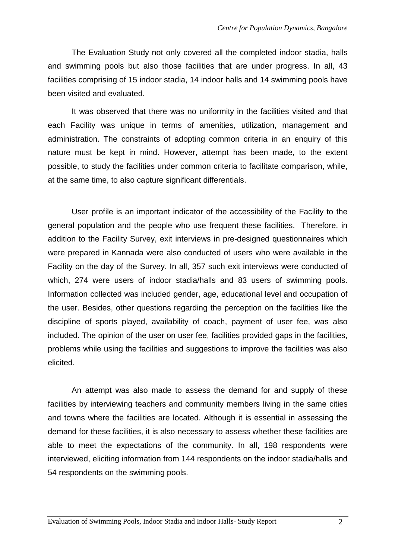The Evaluation Study not only covered all the completed indoor stadia, halls and swimming pools but also those facilities that are under progress. In all, 43 facilities comprising of 15 indoor stadia, 14 indoor halls and 14 swimming pools have been visited and evaluated.

It was observed that there was no uniformity in the facilities visited and that each Facility was unique in terms of amenities, utilization, management and administration. The constraints of adopting common criteria in an enquiry of this nature must be kept in mind. However, attempt has been made, to the extent possible, to study the facilities under common criteria to facilitate comparison, while, at the same time, to also capture significant differentials.

User profile is an important indicator of the accessibility of the Facility to the general population and the people who use frequent these facilities. Therefore, in addition to the Facility Survey, exit interviews in pre-designed questionnaires which were prepared in Kannada were also conducted of users who were available in the Facility on the day of the Survey. In all, 357 such exit interviews were conducted of which, 274 were users of indoor stadia/halls and 83 users of swimming pools. Information collected was included gender, age, educational level and occupation of the user. Besides, other questions regarding the perception on the facilities like the discipline of sports played, availability of coach, payment of user fee, was also included. The opinion of the user on user fee, facilities provided gaps in the facilities, problems while using the facilities and suggestions to improve the facilities was also elicited.

An attempt was also made to assess the demand for and supply of these facilities by interviewing teachers and community members living in the same cities and towns where the facilities are located. Although it is essential in assessing the demand for these facilities, it is also necessary to assess whether these facilities are able to meet the expectations of the community. In all, 198 respondents were interviewed, eliciting information from 144 respondents on the indoor stadia/halls and 54 respondents on the swimming pools.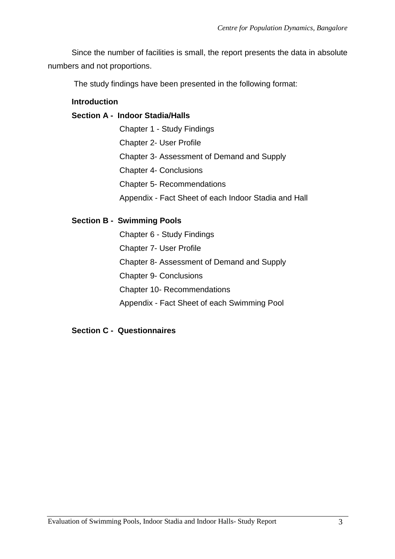Since the number of facilities is small, the report presents the data in absolute numbers and not proportions.

The study findings have been presented in the following format:

# **Introduction**

# **Section A - Indoor Stadia/Halls**

Chapter 1 - Study Findings Chapter 2- User Profile Chapter 3- Assessment of Demand and Supply Chapter 4- Conclusions Chapter 5- Recommendations Appendix - Fact Sheet of each Indoor Stadia and Hall

# **Section B - Swimming Pools**

Chapter 6 - Study Findings Chapter 7- User Profile Chapter 8- Assessment of Demand and Supply Chapter 9- Conclusions Chapter 10- Recommendations Appendix - Fact Sheet of each Swimming Pool

# **Section C - Questionnaires**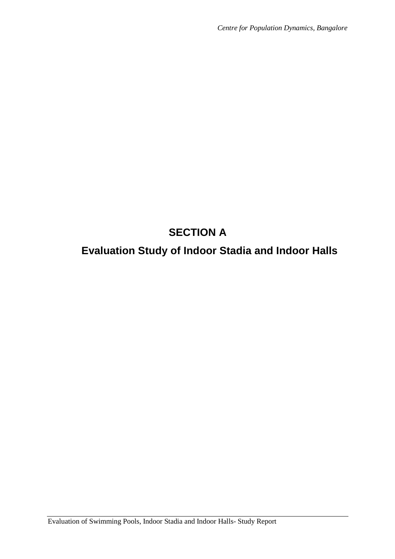# **SECTION A**

# **Evaluation Study of Indoor Stadia and Indoor Halls**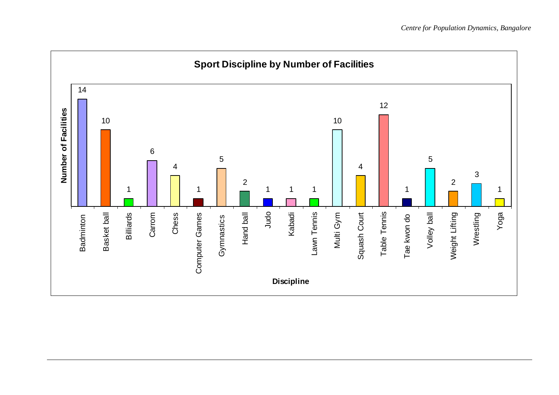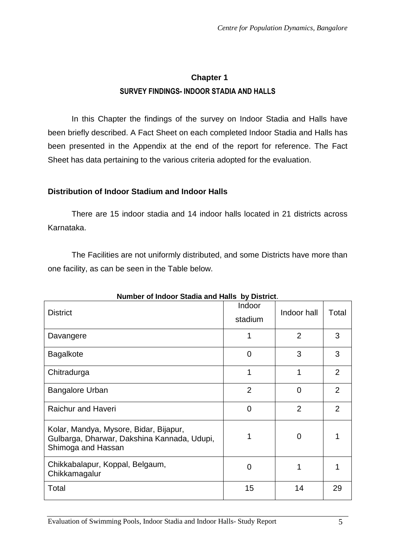# **Chapter 1 SURVEY FINDINGS- INDOOR STADIA AND HALLS**

In this Chapter the findings of the survey on Indoor Stadia and Halls have been briefly described. A Fact Sheet on each completed Indoor Stadia and Halls has been presented in the Appendix at the end of the report for reference. The Fact Sheet has data pertaining to the various criteria adopted for the evaluation.

# **Distribution of Indoor Stadium and Indoor Halls**

There are 15 indoor stadia and 14 indoor halls located in 21 districts across Karnataka.

The Facilities are not uniformly distributed, and some Districts have more than one facility, as can be seen in the Table below.

| Number of Indoor Stadia and Halls<br>DY DISTRICT.                                                           |                   |                |                |  |  |
|-------------------------------------------------------------------------------------------------------------|-------------------|----------------|----------------|--|--|
| <b>District</b>                                                                                             | Indoor<br>stadium | Indoor hall    | Total          |  |  |
| Davangere                                                                                                   |                   | $\overline{2}$ | 3              |  |  |
| <b>Bagalkote</b>                                                                                            | $\Omega$          | 3              | 3              |  |  |
| Chitradurga                                                                                                 |                   | 1              | $\overline{2}$ |  |  |
| <b>Bangalore Urban</b>                                                                                      | $\overline{2}$    | $\Omega$       | 2              |  |  |
| <b>Raichur and Haveri</b>                                                                                   | $\overline{0}$    | $\overline{2}$ | $\overline{2}$ |  |  |
| Kolar, Mandya, Mysore, Bidar, Bijapur,<br>Gulbarga, Dharwar, Dakshina Kannada, Udupi,<br>Shimoga and Hassan |                   | 0              |                |  |  |
| Chikkabalapur, Koppal, Belgaum,<br>Chikkamagalur                                                            | 0                 | 1              |                |  |  |
| Total                                                                                                       | 15                | 14             | 29             |  |  |

# **Number of Indoor Stadia and Halls by District**.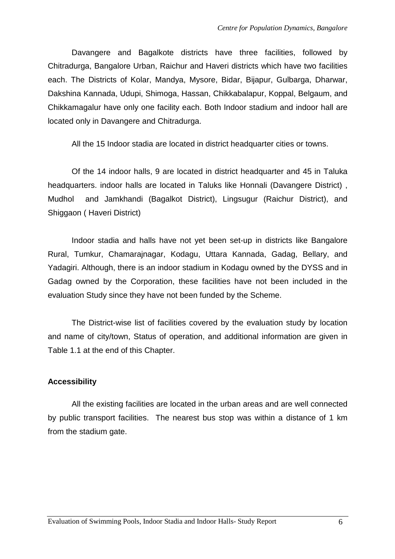Davangere and Bagalkote districts have three facilities, followed by Chitradurga, Bangalore Urban, Raichur and Haveri districts which have two facilities each. The Districts of Kolar, Mandya, Mysore, Bidar, Bijapur, Gulbarga, Dharwar, Dakshina Kannada, Udupi, Shimoga, Hassan, Chikkabalapur, Koppal, Belgaum, and Chikkamagalur have only one facility each. Both Indoor stadium and indoor hall are located only in Davangere and Chitradurga.

All the 15 Indoor stadia are located in district headquarter cities or towns.

Of the 14 indoor halls, 9 are located in district headquarter and 45 in Taluka headquarters. indoor halls are located in Taluks like Honnali (Davangere District) , Mudhol and Jamkhandi (Bagalkot District), Lingsugur (Raichur District), and Shiggaon ( Haveri District)

Indoor stadia and halls have not yet been set-up in districts like Bangalore Rural, Tumkur, Chamarajnagar, Kodagu, Uttara Kannada, Gadag, Bellary, and Yadagiri. Although, there is an indoor stadium in Kodagu owned by the DYSS and in Gadag owned by the Corporation, these facilities have not been included in the evaluation Study since they have not been funded by the Scheme.

The District-wise list of facilities covered by the evaluation study by location and name of city/town, Status of operation, and additional information are given in Table 1.1 at the end of this Chapter.

# **Accessibility**

All the existing facilities are located in the urban areas and are well connected by public transport facilities. The nearest bus stop was within a distance of 1 km from the stadium gate.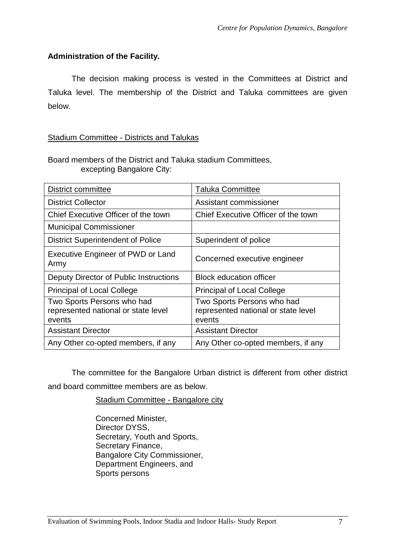# **Administration of the Facility.**

The decision making process is vested in the Committees at District and Taluka level. The membership of the District and Taluka committees are given below.

# Stadium Committee - Districts and Talukas

Board members of the District and Taluka stadium Committees, excepting Bangalore City:

| District committee                                                          | <b>Taluka Committee</b>                                                     |  |
|-----------------------------------------------------------------------------|-----------------------------------------------------------------------------|--|
| <b>District Collector</b>                                                   | Assistant commissioner                                                      |  |
| Chief Executive Officer of the town                                         | Chief Executive Officer of the town                                         |  |
| <b>Municipal Commissioner</b>                                               |                                                                             |  |
| <b>District Superintendent of Police</b>                                    | Superindent of police                                                       |  |
| <b>Executive Engineer of PWD or Land</b><br>Army                            | Concerned executive engineer                                                |  |
| Deputy Director of Public Instructions                                      | <b>Block education officer</b>                                              |  |
| <b>Principal of Local College</b>                                           | <b>Principal of Local College</b>                                           |  |
| Two Sports Persons who had<br>represented national or state level<br>events | Two Sports Persons who had<br>represented national or state level<br>events |  |
| <b>Assistant Director</b>                                                   | <b>Assistant Director</b>                                                   |  |
| Any Other co-opted members, if any                                          | Any Other co-opted members, if any                                          |  |

The committee for the Bangalore Urban district is different from other district and board committee members are as below.

Stadium Committee - Bangalore city

Concerned Minister, Director DYSS, Secretary, Youth and Sports, Secretary Finance, Bangalore City Commissioner, Department Engineers, and Sports persons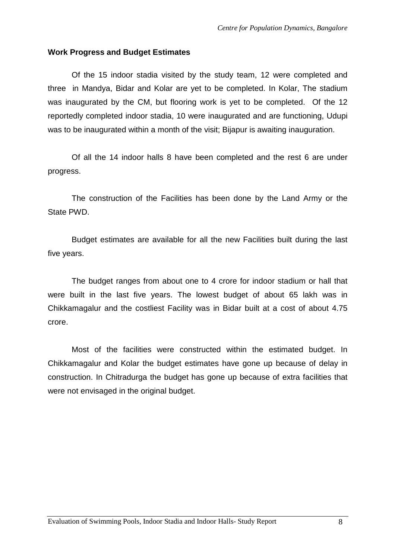#### **Work Progress and Budget Estimates**

Of the 15 indoor stadia visited by the study team, 12 were completed and three in Mandya, Bidar and Kolar are yet to be completed. In Kolar, The stadium was inaugurated by the CM, but flooring work is yet to be completed. Of the 12 reportedly completed indoor stadia, 10 were inaugurated and are functioning, Udupi was to be inaugurated within a month of the visit; Bijapur is awaiting inauguration.

Of all the 14 indoor halls 8 have been completed and the rest 6 are under progress.

The construction of the Facilities has been done by the Land Army or the State PWD.

Budget estimates are available for all the new Facilities built during the last five years.

The budget ranges from about one to 4 crore for indoor stadium or hall that were built in the last five years. The lowest budget of about 65 lakh was in Chikkamagalur and the costliest Facility was in Bidar built at a cost of about 4.75 crore.

Most of the facilities were constructed within the estimated budget. In Chikkamagalur and Kolar the budget estimates have gone up because of delay in construction. In Chitradurga the budget has gone up because of extra facilities that were not envisaged in the original budget.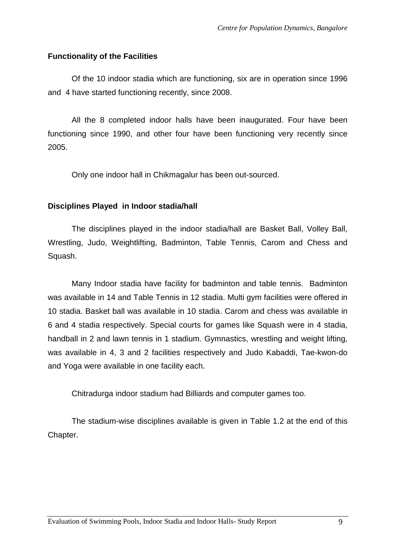## **Functionality of the Facilities**

Of the 10 indoor stadia which are functioning, six are in operation since 1996 and 4 have started functioning recently, since 2008.

All the 8 completed indoor halls have been inaugurated. Four have been functioning since 1990, and other four have been functioning very recently since 2005.

Only one indoor hall in Chikmagalur has been out-sourced.

## **Disciplines Played in Indoor stadia/hall**

The disciplines played in the indoor stadia/hall are Basket Ball, Volley Ball, Wrestling, Judo, Weightlifting, Badminton, Table Tennis, Carom and Chess and Squash.

Many Indoor stadia have facility for badminton and table tennis. Badminton was available in 14 and Table Tennis in 12 stadia. Multi gym facilities were offered in 10 stadia. Basket ball was available in 10 stadia. Carom and chess was available in 6 and 4 stadia respectively. Special courts for games like Squash were in 4 stadia, handball in 2 and lawn tennis in 1 stadium. Gymnastics, wrestling and weight lifting, was available in 4, 3 and 2 facilities respectively and Judo Kabaddi, Tae-kwon-do and Yoga were available in one facility each.

Chitradurga indoor stadium had Billiards and computer games too.

The stadium-wise disciplines available is given in Table 1.2 at the end of this Chapter.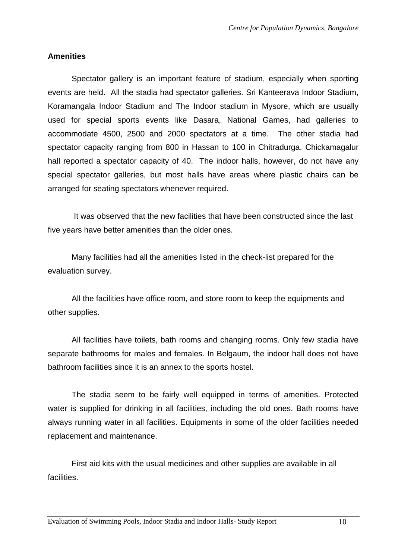#### **Amenities**

Spectator gallery is an important feature of stadium, especially when sporting events are held. All the stadia had spectator galleries. Sri Kanteerava Indoor Stadium, Koramangala Indoor Stadium and The Indoor stadium in Mysore, which are usually used for special sports events like Dasara, National Games, had galleries to accommodate 4500, 2500 and 2000 spectators at a time. The other stadia had spectator capacity ranging from 800 in Hassan to 100 in Chitradurga. Chickamagalur hall reported a spectator capacity of 40. The indoor halls, however, do not have any special spectator galleries, but most halls have areas where plastic chairs can be arranged for seating spectators whenever required.

 It was observed that the new facilities that have been constructed since the last five years have better amenities than the older ones.

Many facilities had all the amenities listed in the check-list prepared for the evaluation survey.

All the facilities have office room, and store room to keep the equipments and other supplies.

All facilities have toilets, bath rooms and changing rooms. Only few stadia have separate bathrooms for males and females. In Belgaum, the indoor hall does not have bathroom facilities since it is an annex to the sports hostel.

The stadia seem to be fairly well equipped in terms of amenities. Protected water is supplied for drinking in all facilities, including the old ones. Bath rooms have always running water in all facilities. Equipments in some of the older facilities needed replacement and maintenance.

First aid kits with the usual medicines and other supplies are available in all facilities.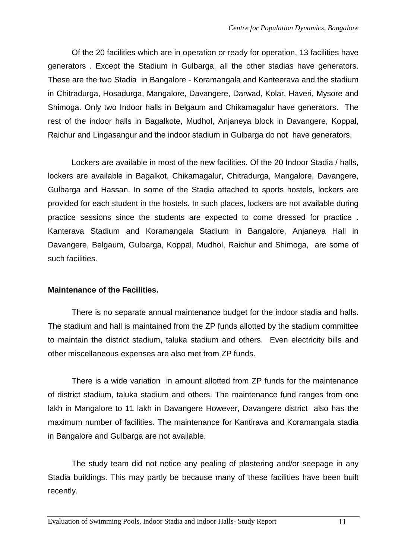Of the 20 facilities which are in operation or ready for operation, 13 facilities have generators . Except the Stadium in Gulbarga, all the other stadias have generators. These are the two Stadia in Bangalore - Koramangala and Kanteerava and the stadium in Chitradurga, Hosadurga, Mangalore, Davangere, Darwad, Kolar, Haveri, Mysore and Shimoga. Only two Indoor halls in Belgaum and Chikamagalur have generators. The rest of the indoor halls in Bagalkote, Mudhol, Anjaneya block in Davangere, Koppal, Raichur and Lingasangur and the indoor stadium in Gulbarga do not have generators.

Lockers are available in most of the new facilities. Of the 20 Indoor Stadia / halls, lockers are available in Bagalkot, Chikamagalur, Chitradurga, Mangalore, Davangere, Gulbarga and Hassan. In some of the Stadia attached to sports hostels, lockers are provided for each student in the hostels. In such places, lockers are not available during practice sessions since the students are expected to come dressed for practice . Kanterava Stadium and Koramangala Stadium in Bangalore, Anjaneya Hall in Davangere, Belgaum, Gulbarga, Koppal, Mudhol, Raichur and Shimoga, are some of such facilities.

#### **Maintenance of the Facilities.**

There is no separate annual maintenance budget for the indoor stadia and halls. The stadium and hall is maintained from the ZP funds allotted by the stadium committee to maintain the district stadium, taluka stadium and others. Even electricity bills and other miscellaneous expenses are also met from ZP funds.

There is a wide variation in amount allotted from ZP funds for the maintenance of district stadium, taluka stadium and others. The maintenance fund ranges from one lakh in Mangalore to 11 lakh in Davangere However, Davangere district also has the maximum number of facilities. The maintenance for Kantirava and Koramangala stadia in Bangalore and Gulbarga are not available.

The study team did not notice any pealing of plastering and/or seepage in any Stadia buildings. This may partly be because many of these facilities have been built recently.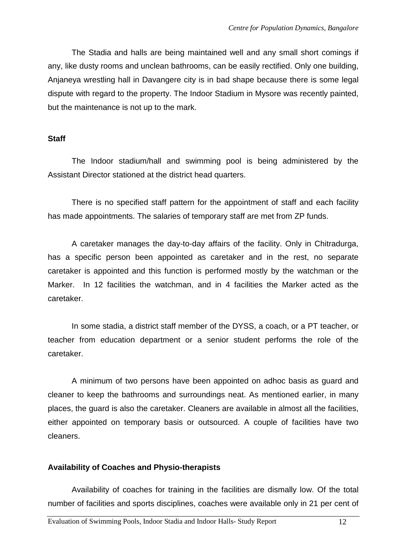The Stadia and halls are being maintained well and any small short comings if any, like dusty rooms and unclean bathrooms, can be easily rectified. Only one building, Anjaneya wrestling hall in Davangere city is in bad shape because there is some legal dispute with regard to the property. The Indoor Stadium in Mysore was recently painted, but the maintenance is not up to the mark.

#### **Staff**

The Indoor stadium/hall and swimming pool is being administered by the Assistant Director stationed at the district head quarters.

There is no specified staff pattern for the appointment of staff and each facility has made appointments. The salaries of temporary staff are met from ZP funds.

A caretaker manages the day-to-day affairs of the facility. Only in Chitradurga, has a specific person been appointed as caretaker and in the rest, no separate caretaker is appointed and this function is performed mostly by the watchman or the Marker. In 12 facilities the watchman, and in 4 facilities the Marker acted as the caretaker.

In some stadia, a district staff member of the DYSS, a coach, or a PT teacher, or teacher from education department or a senior student performs the role of the caretaker.

A minimum of two persons have been appointed on adhoc basis as guard and cleaner to keep the bathrooms and surroundings neat. As mentioned earlier, in many places, the guard is also the caretaker. Cleaners are available in almost all the facilities, either appointed on temporary basis or outsourced. A couple of facilities have two cleaners.

#### **Availability of Coaches and Physio-therapists**

Availability of coaches for training in the facilities are dismally low. Of the total number of facilities and sports disciplines, coaches were available only in 21 per cent of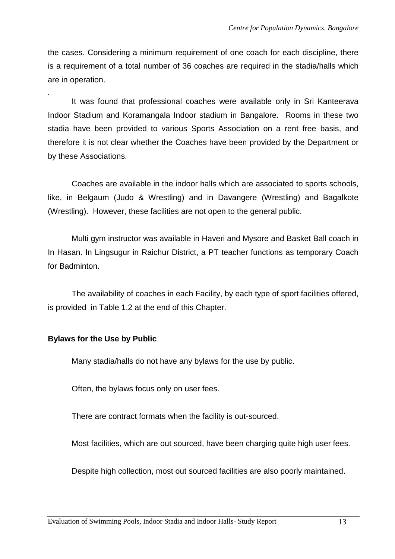the cases. Considering a minimum requirement of one coach for each discipline, there is a requirement of a total number of 36 coaches are required in the stadia/halls which are in operation.

. It was found that professional coaches were available only in Sri Kanteerava Indoor Stadium and Koramangala Indoor stadium in Bangalore. Rooms in these two stadia have been provided to various Sports Association on a rent free basis, and therefore it is not clear whether the Coaches have been provided by the Department or by these Associations.

Coaches are available in the indoor halls which are associated to sports schools, like, in Belgaum (Judo & Wrestling) and in Davangere (Wrestling) and Bagalkote (Wrestling). However, these facilities are not open to the general public.

Multi gym instructor was available in Haveri and Mysore and Basket Ball coach in In Hasan. In Lingsugur in Raichur District, a PT teacher functions as temporary Coach for Badminton.

 The availability of coaches in each Facility, by each type of sport facilities offered, is provided in Table 1.2 at the end of this Chapter.

# **Bylaws for the Use by Public**

Many stadia/halls do not have any bylaws for the use by public.

Often, the bylaws focus only on user fees.

There are contract formats when the facility is out-sourced.

Most facilities, which are out sourced, have been charging quite high user fees.

Despite high collection, most out sourced facilities are also poorly maintained.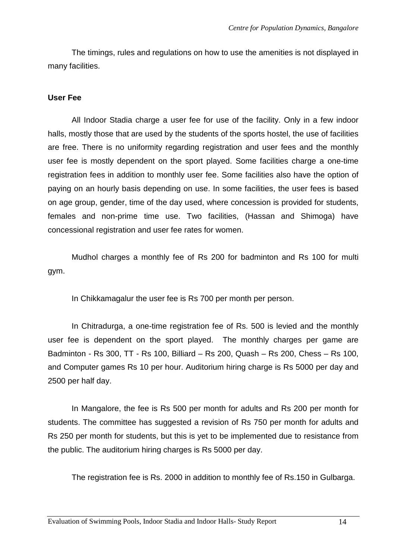The timings, rules and regulations on how to use the amenities is not displayed in many facilities.

#### **User Fee**

All Indoor Stadia charge a user fee for use of the facility. Only in a few indoor halls, mostly those that are used by the students of the sports hostel, the use of facilities are free. There is no uniformity regarding registration and user fees and the monthly user fee is mostly dependent on the sport played. Some facilities charge a one-time registration fees in addition to monthly user fee. Some facilities also have the option of paying on an hourly basis depending on use. In some facilities, the user fees is based on age group, gender, time of the day used, where concession is provided for students, females and non-prime time use. Two facilities, (Hassan and Shimoga) have concessional registration and user fee rates for women.

Mudhol charges a monthly fee of Rs 200 for badminton and Rs 100 for multi gym.

In Chikkamagalur the user fee is Rs 700 per month per person.

In Chitradurga, a one-time registration fee of Rs. 500 is levied and the monthly user fee is dependent on the sport played. The monthly charges per game are Badminton - Rs 300, TT - Rs 100, Billiard – Rs 200, Quash – Rs 200, Chess – Rs 100, and Computer games Rs 10 per hour. Auditorium hiring charge is Rs 5000 per day and 2500 per half day.

In Mangalore, the fee is Rs 500 per month for adults and Rs 200 per month for students. The committee has suggested a revision of Rs 750 per month for adults and Rs 250 per month for students, but this is yet to be implemented due to resistance from the public. The auditorium hiring charges is Rs 5000 per day.

The registration fee is Rs. 2000 in addition to monthly fee of Rs.150 in Gulbarga.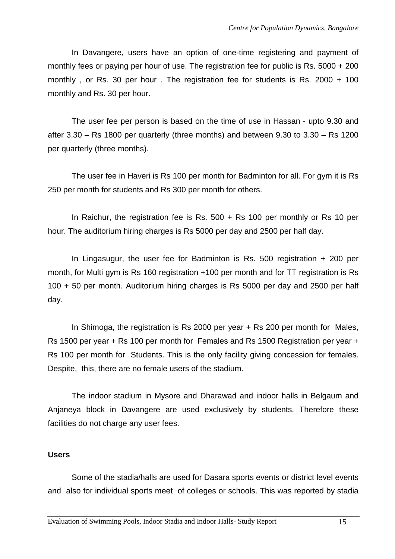In Davangere, users have an option of one-time registering and payment of monthly fees or paying per hour of use. The registration fee for public is Rs. 5000 + 200 monthly , or Rs. 30 per hour . The registration fee for students is Rs. 2000 + 100 monthly and Rs. 30 per hour.

The user fee per person is based on the time of use in Hassan - upto 9.30 and after 3.30 – Rs 1800 per quarterly (three months) and between 9.30 to 3.30 – Rs 1200 per quarterly (three months).

The user fee in Haveri is Rs 100 per month for Badminton for all. For gym it is Rs 250 per month for students and Rs 300 per month for others.

In Raichur, the registration fee is Rs. 500 + Rs 100 per monthly or Rs 10 per hour. The auditorium hiring charges is Rs 5000 per day and 2500 per half day.

In Lingasugur, the user fee for Badminton is Rs. 500 registration + 200 per month, for Multi gym is Rs 160 registration +100 per month and for TT registration is Rs 100 + 50 per month. Auditorium hiring charges is Rs 5000 per day and 2500 per half day.

In Shimoga, the registration is Rs 2000 per year + Rs 200 per month for Males, Rs 1500 per year + Rs 100 per month for Females and Rs 1500 Registration per year + Rs 100 per month for Students. This is the only facility giving concession for females. Despite, this, there are no female users of the stadium.

The indoor stadium in Mysore and Dharawad and indoor halls in Belgaum and Anjaneya block in Davangere are used exclusively by students. Therefore these facilities do not charge any user fees.

#### **Users**

Some of the stadia/halls are used for Dasara sports events or district level events and also for individual sports meet of colleges or schools. This was reported by stadia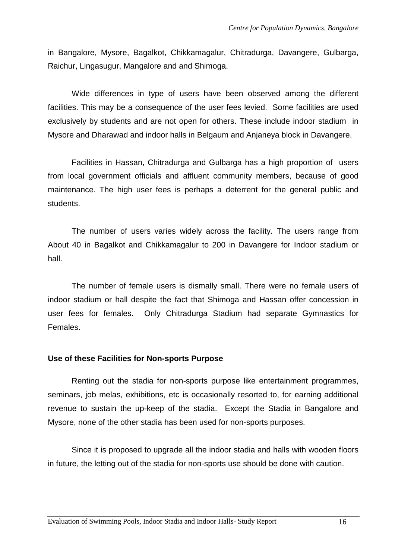in Bangalore, Mysore, Bagalkot, Chikkamagalur, Chitradurga, Davangere, Gulbarga, Raichur, Lingasugur, Mangalore and and Shimoga.

Wide differences in type of users have been observed among the different facilities. This may be a consequence of the user fees levied. Some facilities are used exclusively by students and are not open for others. These include indoor stadium in Mysore and Dharawad and indoor halls in Belgaum and Anjaneya block in Davangere.

Facilities in Hassan, Chitradurga and Gulbarga has a high proportion of users from local government officials and affluent community members, because of good maintenance. The high user fees is perhaps a deterrent for the general public and students.

The number of users varies widely across the facility. The users range from About 40 in Bagalkot and Chikkamagalur to 200 in Davangere for Indoor stadium or hall.

The number of female users is dismally small. There were no female users of indoor stadium or hall despite the fact that Shimoga and Hassan offer concession in user fees for females. Only Chitradurga Stadium had separate Gymnastics for Females.

# **Use of these Facilities for Non-sports Purpose**

 Renting out the stadia for non-sports purpose like entertainment programmes, seminars, job melas, exhibitions, etc is occasionally resorted to, for earning additional revenue to sustain the up-keep of the stadia. Except the Stadia in Bangalore and Mysore, none of the other stadia has been used for non-sports purposes.

Since it is proposed to upgrade all the indoor stadia and halls with wooden floors in future, the letting out of the stadia for non-sports use should be done with caution.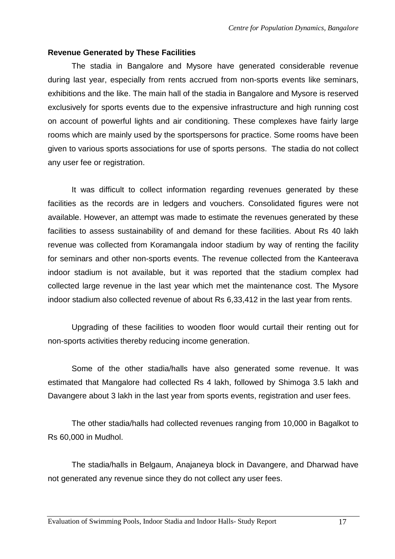#### **Revenue Generated by These Facilities**

 The stadia in Bangalore and Mysore have generated considerable revenue during last year, especially from rents accrued from non-sports events like seminars, exhibitions and the like. The main hall of the stadia in Bangalore and Mysore is reserved exclusively for sports events due to the expensive infrastructure and high running cost on account of powerful lights and air conditioning. These complexes have fairly large rooms which are mainly used by the sportspersons for practice. Some rooms have been given to various sports associations for use of sports persons. The stadia do not collect any user fee or registration.

It was difficult to collect information regarding revenues generated by these facilities as the records are in ledgers and vouchers. Consolidated figures were not available. However, an attempt was made to estimate the revenues generated by these facilities to assess sustainability of and demand for these facilities. About Rs 40 lakh revenue was collected from Koramangala indoor stadium by way of renting the facility for seminars and other non-sports events. The revenue collected from the Kanteerava indoor stadium is not available, but it was reported that the stadium complex had collected large revenue in the last year which met the maintenance cost. The Mysore indoor stadium also collected revenue of about Rs 6,33,412 in the last year from rents.

Upgrading of these facilities to wooden floor would curtail their renting out for non-sports activities thereby reducing income generation.

 Some of the other stadia/halls have also generated some revenue. It was estimated that Mangalore had collected Rs 4 lakh, followed by Shimoga 3.5 lakh and Davangere about 3 lakh in the last year from sports events, registration and user fees.

The other stadia/halls had collected revenues ranging from 10,000 in Bagalkot to Rs 60,000 in Mudhol.

The stadia/halls in Belgaum, Anajaneya block in Davangere, and Dharwad have not generated any revenue since they do not collect any user fees.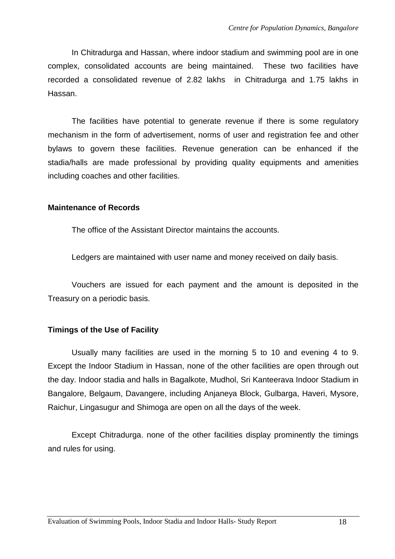In Chitradurga and Hassan, where indoor stadium and swimming pool are in one complex, consolidated accounts are being maintained. These two facilities have recorded a consolidated revenue of 2.82 lakhs in Chitradurga and 1.75 lakhs in Hassan.

 The facilities have potential to generate revenue if there is some regulatory mechanism in the form of advertisement, norms of user and registration fee and other bylaws to govern these facilities. Revenue generation can be enhanced if the stadia/halls are made professional by providing quality equipments and amenities including coaches and other facilities.

#### **Maintenance of Records**

The office of the Assistant Director maintains the accounts.

Ledgers are maintained with user name and money received on daily basis.

Vouchers are issued for each payment and the amount is deposited in the Treasury on a periodic basis.

# **Timings of the Use of Facility**

Usually many facilities are used in the morning 5 to 10 and evening 4 to 9. Except the Indoor Stadium in Hassan, none of the other facilities are open through out the day. Indoor stadia and halls in Bagalkote, Mudhol, Sri Kanteerava Indoor Stadium in Bangalore, Belgaum, Davangere, including Anjaneya Block, Gulbarga, Haveri, Mysore, Raichur, Lingasugur and Shimoga are open on all the days of the week.

Except Chitradurga. none of the other facilities display prominently the timings and rules for using.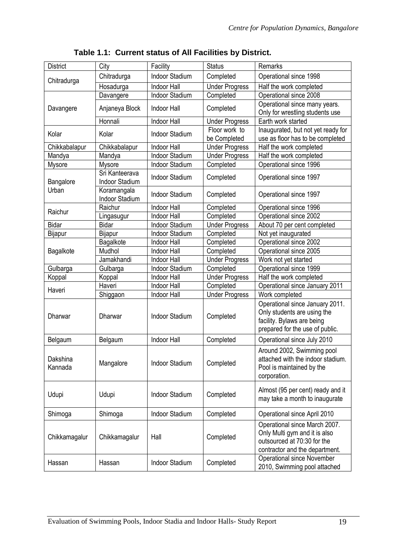| <b>District</b>     | City                             | Facility              | <b>Status</b>                 | Remarks                                                                                                                         |
|---------------------|----------------------------------|-----------------------|-------------------------------|---------------------------------------------------------------------------------------------------------------------------------|
|                     | Chitradurga                      | <b>Indoor Stadium</b> | Completed                     | Operational since 1998                                                                                                          |
| Chitradurga         | Hosadurga                        | <b>Indoor Hall</b>    | <b>Under Progress</b>         | Half the work completed                                                                                                         |
|                     | Davangere                        | Indoor Stadium        | Completed                     | Operational since 2008                                                                                                          |
| Davangere           | Anjaneya Block                   | <b>Indoor Hall</b>    | Completed                     | Operational since many years.<br>Only for wrestling students use                                                                |
|                     | Honnali                          | <b>Indoor Hall</b>    | <b>Under Progress</b>         | Earth work started                                                                                                              |
| Kolar               | Kolar                            | Indoor Stadium        | Floor work to<br>be Completed | Inaugurated, but not yet ready for<br>use as floor has to be completed                                                          |
| Chikkabalapur       | Chikkabalapur                    | Indoor Hall           | <b>Under Progress</b>         | Half the work completed                                                                                                         |
| Mandya              | Mandya                           | Indoor Stadium        | <b>Under Progress</b>         | Half the work completed                                                                                                         |
| Mysore              | <b>Mysore</b>                    | Indoor Stadium        | Completed                     | Operational since 1996                                                                                                          |
| Bangalore           | Sri Kanteerava<br>Indoor Stadium | Indoor Stadium        | Completed                     | Operational since 1997                                                                                                          |
| Urban               | Koramangala<br>Indoor Stadium    | <b>Indoor Stadium</b> | Completed                     | Operational since 1997                                                                                                          |
| Raichur             | Raichur                          | <b>Indoor Hall</b>    | Completed                     | Operational since 1996                                                                                                          |
|                     | Lingasugur                       | Indoor Hall           | Completed                     | Operational since 2002                                                                                                          |
| <b>Bidar</b>        | <b>Bidar</b>                     | Indoor Stadium        | <b>Under Progress</b>         | About 70 per cent completed                                                                                                     |
| Bijapur             | Bijapur                          | Indoor Stadium        | Completed                     | Not yet inaugurated                                                                                                             |
|                     | Bagalkote                        | <b>Indoor Hall</b>    | Completed                     | Operational since 2002                                                                                                          |
| Bagalkote           | Mudhol                           | <b>Indoor Hall</b>    | Completed                     | Operational since 2005                                                                                                          |
|                     | Jamakhandi                       | <b>Indoor Hall</b>    | <b>Under Progress</b>         | Work not yet started                                                                                                            |
| Gulbarga            | Gulbarga                         | Indoor Stadium        | Completed                     | Operational since 1999                                                                                                          |
| Koppal              | Koppal                           | Indoor Hall           | <b>Under Progress</b>         | Half the work completed                                                                                                         |
| Haveri              | Haveri                           | <b>Indoor Hall</b>    | Completed                     | Operational since January 2011                                                                                                  |
|                     | Shiggaon                         | Indoor Hall           | <b>Under Progress</b>         | Work completed                                                                                                                  |
| Dharwar             | Dharwar                          | <b>Indoor Stadium</b> | Completed                     | Operational since January 2011.<br>Only students are using the<br>facility. Bylaws are being<br>prepared for the use of public. |
| Belgaum             | Belgaum                          | <b>Indoor Hall</b>    | Completed                     | Operational since July 2010                                                                                                     |
| Dakshina<br>Kannada | Mangalore                        | <b>Indoor Stadium</b> | Completed                     | Around 2002, Swimming pool<br>attached with the indoor stadium.<br>Pool is maintained by the<br>corporation.                    |
| Udupi               | Udupi                            | <b>Indoor Stadium</b> | Completed                     | Almost (95 per cent) ready and it<br>may take a month to inaugurate                                                             |
| Shimoga             | Shimoga                          | Indoor Stadium        | Completed                     | Operational since April 2010                                                                                                    |
| Chikkamagalur       | Chikkamagalur                    | Hall                  | Completed                     | Operational since March 2007.<br>Only Multi gym and it is also<br>outsourced at 70:30 for the<br>contractor and the department. |
| Hassan              | Hassan                           | Indoor Stadium        | Completed                     | <b>Operational since November</b><br>2010, Swimming pool attached                                                               |

# **Table 1.1: Current status of All Facilities by District.**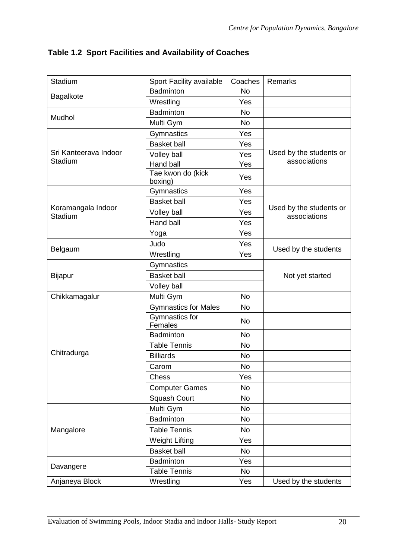| Stadium                              | Sport Facility available     | Coaches   | Remarks                                 |
|--------------------------------------|------------------------------|-----------|-----------------------------------------|
| Bagalkote                            | <b>Badminton</b>             | <b>No</b> |                                         |
|                                      | Wrestling                    | Yes       |                                         |
| Mudhol                               | <b>Badminton</b>             | <b>No</b> |                                         |
|                                      | Multi Gym                    | <b>No</b> |                                         |
|                                      | Gymnastics                   | Yes       |                                         |
|                                      | <b>Basket ball</b>           | Yes       |                                         |
| Sri Kanteerava Indoor                | Volley ball                  | Yes       | Used by the students or                 |
| Stadium                              | <b>Hand ball</b>             | Yes       | associations                            |
|                                      | Tae kwon do (kick<br>boxing) | Yes       |                                         |
|                                      | Gymnastics                   | Yes       |                                         |
|                                      | <b>Basket ball</b>           | Yes       |                                         |
| Koramangala Indoor<br><b>Stadium</b> | Volley ball                  | Yes       | Used by the students or<br>associations |
|                                      | Hand ball                    | Yes       |                                         |
|                                      | Yoga                         | Yes       |                                         |
|                                      | Judo                         | Yes       |                                         |
| Belgaum                              | Wrestling                    | Yes       | Used by the students                    |
|                                      | Gymnastics                   |           |                                         |
| <b>Bijapur</b>                       | <b>Basket ball</b>           |           | Not yet started                         |
|                                      | Volley ball                  |           |                                         |
| Chikkamagalur                        | Multi Gym                    | <b>No</b> |                                         |
|                                      | <b>Gymnastics for Males</b>  | No        |                                         |
|                                      | Gymnastics for<br>Females    | <b>No</b> |                                         |
|                                      | Badminton                    | <b>No</b> |                                         |
|                                      | <b>Table Tennis</b>          | <b>No</b> |                                         |
| Chitradurga                          | <b>Billiards</b>             | <b>No</b> |                                         |
|                                      | Carom                        | <b>No</b> |                                         |
|                                      | <b>Chess</b>                 | Yes       |                                         |
|                                      | <b>Computer Games</b>        | No        |                                         |
|                                      | Squash Court                 | No        |                                         |
|                                      | Multi Gym                    | <b>No</b> |                                         |
|                                      | Badminton                    | No        |                                         |
| Mangalore                            | <b>Table Tennis</b>          | No        |                                         |
|                                      | <b>Weight Lifting</b>        | Yes       |                                         |
|                                      | <b>Basket ball</b>           | No        |                                         |
|                                      | Badminton                    | Yes       |                                         |
| Davangere                            | <b>Table Tennis</b>          | No        |                                         |
| Anjaneya Block                       | Wrestling                    | Yes       | Used by the students                    |

**Table 1.2 Sport Facilities and Availability of Coaches**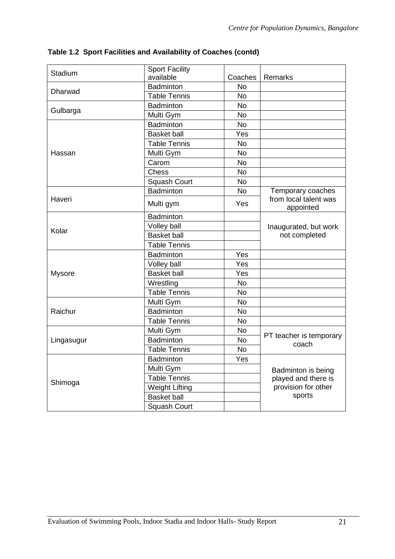| Stadium       | Sport Facility        |           |                                    |
|---------------|-----------------------|-----------|------------------------------------|
|               | available             | Coaches   | Remarks                            |
| Dharwad       | Badminton             | <b>No</b> |                                    |
|               | <b>Table Tennis</b>   | <b>No</b> |                                    |
|               | Badminton             | <b>No</b> |                                    |
| Gulbarga      | Multi Gym             | <b>No</b> |                                    |
|               | Badminton             | <b>No</b> |                                    |
|               | <b>Basket ball</b>    | Yes       |                                    |
|               | <b>Table Tennis</b>   | <b>No</b> |                                    |
| Hassan        | Multi Gym             | <b>No</b> |                                    |
|               | Carom                 | <b>No</b> |                                    |
|               | Chess                 | <b>No</b> |                                    |
|               | Squash Court          | <b>No</b> |                                    |
|               | <b>Badminton</b>      | <b>No</b> | Temporary coaches                  |
| Haveri        | Multi gym             | Yes       | from local talent was<br>appointed |
|               | Badminton             |           |                                    |
|               | Volley ball           |           | Inaugurated, but work              |
| Kolar         | <b>Basket ball</b>    |           | not completed                      |
|               | <b>Table Tennis</b>   |           |                                    |
|               | <b>Badminton</b>      | Yes       |                                    |
|               | Volley ball           | Yes       |                                    |
| <b>Mysore</b> | <b>Basket ball</b>    | Yes       |                                    |
|               | Wrestling             | <b>No</b> |                                    |
|               | <b>Table Tennis</b>   | <b>No</b> |                                    |
|               | Multi Gym             | <b>No</b> |                                    |
| Raichur       | Badminton             | <b>No</b> |                                    |
|               | <b>Table Tennis</b>   | <b>No</b> |                                    |
|               | Multi Gym             | <b>No</b> |                                    |
| Lingasugur    | <b>Badminton</b>      | <b>No</b> | PT teacher is temporary<br>coach   |
|               | <b>Table Tennis</b>   | <b>No</b> |                                    |
|               | <b>Badminton</b>      | Yes       |                                    |
|               | Multi Gym             |           | Badminton is being                 |
|               | Table Tennis          |           | played and there is                |
| Shimoga       | <b>Weight Lifting</b> |           | provision for other                |
|               | <b>Basket ball</b>    |           | sports                             |
|               | <b>Squash Court</b>   |           |                                    |

**Table 1.2 Sport Facilities and Availability of Coaches (contd)**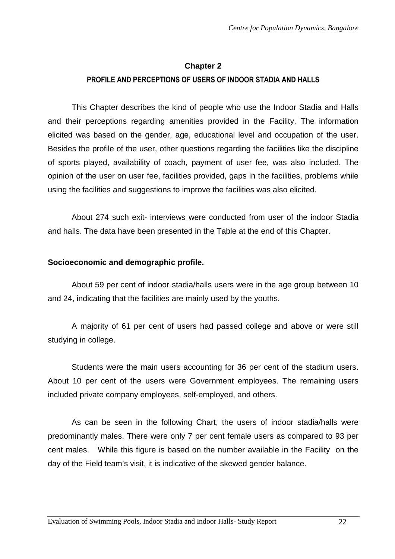# **Chapter 2 PROFILE AND PERCEPTIONS OF USERS OF INDOOR STADIA AND HALLS**

This Chapter describes the kind of people who use the Indoor Stadia and Halls and their perceptions regarding amenities provided in the Facility. The information elicited was based on the gender, age, educational level and occupation of the user. Besides the profile of the user, other questions regarding the facilities like the discipline of sports played, availability of coach, payment of user fee, was also included. The opinion of the user on user fee, facilities provided, gaps in the facilities, problems while using the facilities and suggestions to improve the facilities was also elicited.

About 274 such exit- interviews were conducted from user of the indoor Stadia and halls. The data have been presented in the Table at the end of this Chapter.

# **Socioeconomic and demographic profile.**

About 59 per cent of indoor stadia/halls users were in the age group between 10 and 24, indicating that the facilities are mainly used by the youths.

A majority of 61 per cent of users had passed college and above or were still studying in college.

Students were the main users accounting for 36 per cent of the stadium users. About 10 per cent of the users were Government employees. The remaining users included private company employees, self-employed, and others.

As can be seen in the following Chart, the users of indoor stadia/halls were predominantly males. There were only 7 per cent female users as compared to 93 per cent males. While this figure is based on the number available in the Facility on the day of the Field team's visit, it is indicative of the skewed gender balance.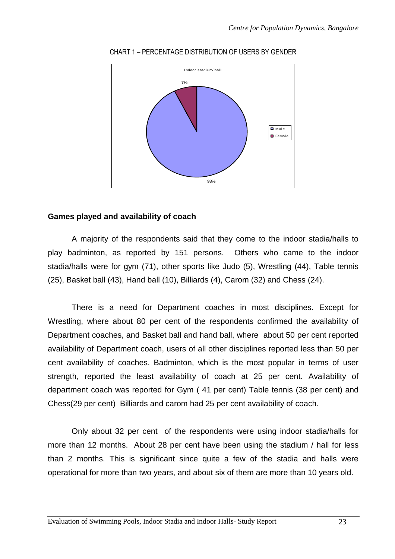

#### CHART 1 – PERCENTAGE DISTRIBUTION OF USERS BY GENDER

# **Games played and availability of coach**

A majority of the respondents said that they come to the indoor stadia/halls to play badminton, as reported by 151 persons. Others who came to the indoor stadia/halls were for gym (71), other sports like Judo (5), Wrestling (44), Table tennis (25), Basket ball (43), Hand ball (10), Billiards (4), Carom (32) and Chess (24).

There is a need for Department coaches in most disciplines. Except for Wrestling, where about 80 per cent of the respondents confirmed the availability of Department coaches, and Basket ball and hand ball, where about 50 per cent reported availability of Department coach, users of all other disciplines reported less than 50 per cent availability of coaches. Badminton, which is the most popular in terms of user strength, reported the least availability of coach at 25 per cent. Availability of department coach was reported for Gym ( 41 per cent) Table tennis (38 per cent) and Chess(29 per cent) Billiards and carom had 25 per cent availability of coach.

Only about 32 per cent of the respondents were using indoor stadia/halls for more than 12 months. About 28 per cent have been using the stadium / hall for less than 2 months. This is significant since quite a few of the stadia and halls were operational for more than two years, and about six of them are more than 10 years old.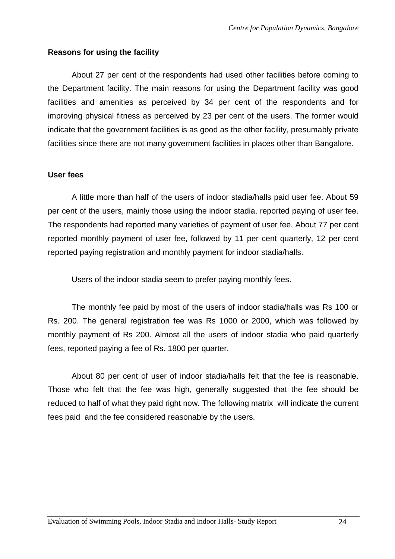#### **Reasons for using the facility**

 About 27 per cent of the respondents had used other facilities before coming to the Department facility. The main reasons for using the Department facility was good facilities and amenities as perceived by 34 per cent of the respondents and for improving physical fitness as perceived by 23 per cent of the users. The former would indicate that the government facilities is as good as the other facility, presumably private facilities since there are not many government facilities in places other than Bangalore.

#### **User fees**

A little more than half of the users of indoor stadia/halls paid user fee. About 59 per cent of the users, mainly those using the indoor stadia, reported paying of user fee. The respondents had reported many varieties of payment of user fee. About 77 per cent reported monthly payment of user fee, followed by 11 per cent quarterly, 12 per cent reported paying registration and monthly payment for indoor stadia/halls.

Users of the indoor stadia seem to prefer paying monthly fees.

 The monthly fee paid by most of the users of indoor stadia/halls was Rs 100 or Rs. 200. The general registration fee was Rs 1000 or 2000, which was followed by monthly payment of Rs 200. Almost all the users of indoor stadia who paid quarterly fees, reported paying a fee of Rs. 1800 per quarter.

 About 80 per cent of user of indoor stadia/halls felt that the fee is reasonable. Those who felt that the fee was high, generally suggested that the fee should be reduced to half of what they paid right now. The following matrix will indicate the current fees paid and the fee considered reasonable by the users.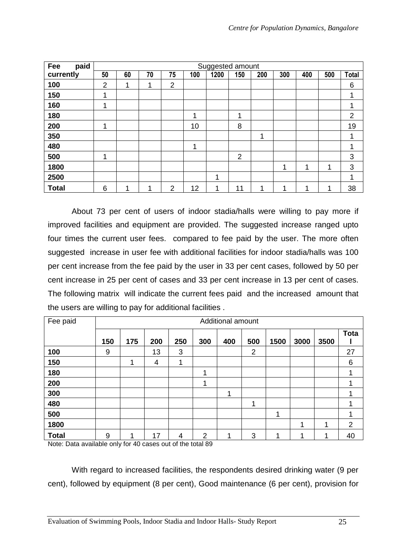| paid<br>Fee  |                | Suggested amount |    |                |     |      |                |     |     |     |     |                |
|--------------|----------------|------------------|----|----------------|-----|------|----------------|-----|-----|-----|-----|----------------|
| currently    | 50             | 60               | 70 | 75             | 100 | 1200 | 150            | 200 | 300 | 400 | 500 | <b>Total</b>   |
| 100          | $\overline{2}$ | 1                | ٠  | $\overline{2}$ |     |      |                |     |     |     |     | 6              |
| 150          | 1              |                  |    |                |     |      |                |     |     |     |     |                |
| 160          | 1              |                  |    |                |     |      |                |     |     |     |     |                |
| 180          |                |                  |    |                | 1   |      | 1              |     |     |     |     | $\overline{2}$ |
| 200          | 1              |                  |    |                | 10  |      | 8              |     |     |     |     | 19             |
| 350          |                |                  |    |                |     |      |                | 1   |     |     |     |                |
| 480          |                |                  |    |                | 1   |      |                |     |     |     |     |                |
| 500          | 1              |                  |    |                |     |      | $\overline{2}$ |     |     |     |     | 3              |
| 1800         |                |                  |    |                |     |      |                |     | 1   | 4   | 4   | 3              |
| 2500         |                |                  |    |                |     | 1    |                |     |     |     |     |                |
| <b>Total</b> | 6              | ◢                | ٠  | $\overline{2}$ | 12  | 1    | 11             | 1   | ٠   |     |     | 38             |

 About 73 per cent of users of indoor stadia/halls were willing to pay more if improved facilities and equipment are provided. The suggested increase ranged upto four times the current user fees. compared to fee paid by the user. The more often suggested increase in user fee with additional facilities for indoor stadia/halls was 100 per cent increase from the fee paid by the user in 33 per cent cases, followed by 50 per cent increase in 25 per cent of cases and 33 per cent increase in 13 per cent of cases. The following matrix will indicate the current fees paid and the increased amount that the users are willing to pay for additional facilities .

| Fee paid     | Additional amount |     |     |     |                |     |                |      |      |      |                |
|--------------|-------------------|-----|-----|-----|----------------|-----|----------------|------|------|------|----------------|
|              | 150               | 175 | 200 | 250 | 300            | 400 | 500            | 1500 | 3000 | 3500 | <b>Tota</b>    |
| 100          | 9                 |     | 13  | 3   |                |     | $\overline{2}$ |      |      |      | 27             |
| 150          |                   | 1   | 4   | 1   |                |     |                |      |      |      | 6              |
| 180          |                   |     |     |     | 1              |     |                |      |      |      | 1              |
| 200          |                   |     |     |     | 1              |     |                |      |      |      |                |
| 300          |                   |     |     |     |                | 1   |                |      |      |      |                |
| 480          |                   |     |     |     |                |     | 4              |      |      |      |                |
| 500          |                   |     |     |     |                |     |                | ٠    |      |      |                |
| 1800         |                   |     |     |     |                |     |                |      |      | ◀    | $\overline{2}$ |
| <b>Total</b> | 9                 | 1   | 17  | 4   | $\overline{2}$ |     | 3              |      |      | ٠    | 40             |

Note: Data available only for 40 cases out of the total 89

With regard to increased facilities, the respondents desired drinking water (9 per cent), followed by equipment (8 per cent), Good maintenance (6 per cent), provision for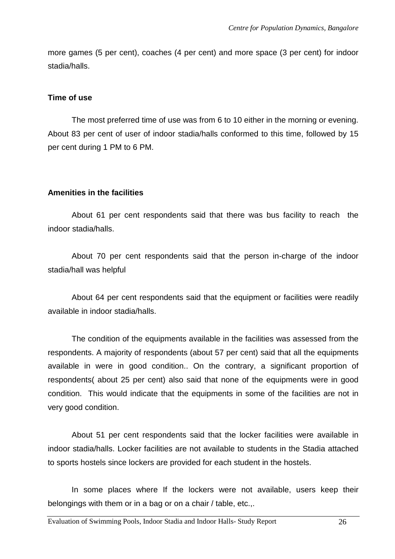more games (5 per cent), coaches (4 per cent) and more space (3 per cent) for indoor stadia/halls.

#### **Time of use**

 The most preferred time of use was from 6 to 10 either in the morning or evening. About 83 per cent of user of indoor stadia/halls conformed to this time, followed by 15 per cent during 1 PM to 6 PM.

# **Amenities in the facilities**

 About 61 per cent respondents said that there was bus facility to reach the indoor stadia/halls.

About 70 per cent respondents said that the person in-charge of the indoor stadia/hall was helpful

About 64 per cent respondents said that the equipment or facilities were readily available in indoor stadia/halls.

The condition of the equipments available in the facilities was assessed from the respondents. A majority of respondents (about 57 per cent) said that all the equipments available in were in good condition.. On the contrary, a significant proportion of respondents( about 25 per cent) also said that none of the equipments were in good condition. This would indicate that the equipments in some of the facilities are not in very good condition.

About 51 per cent respondents said that the locker facilities were available in indoor stadia/halls. Locker facilities are not available to students in the Stadia attached to sports hostels since lockers are provided for each student in the hostels.

In some places where If the lockers were not available, users keep their belongings with them or in a bag or on a chair / table, etc.,.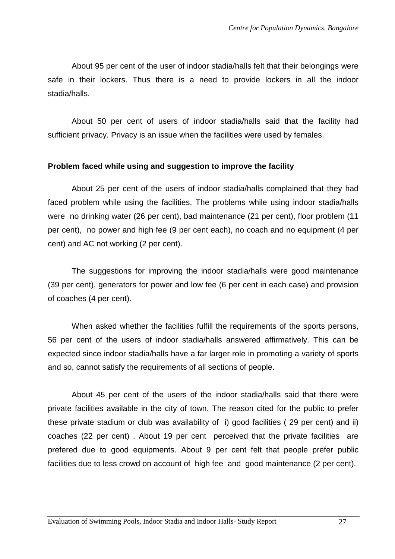About 95 per cent of the user of indoor stadia/halls felt that their belongings were safe in their lockers. Thus there is a need to provide lockers in all the indoor stadia/halls.

 About 50 per cent of users of indoor stadia/halls said that the facility had sufficient privacy. Privacy is an issue when the facilities were used by females.

#### **Problem faced while using and suggestion to improve the facility**

About 25 per cent of the users of indoor stadia/halls complained that they had faced problem while using the facilities. The problems while using indoor stadia/halls were no drinking water (26 per cent), bad maintenance (21 per cent), floor problem (11 per cent), no power and high fee (9 per cent each), no coach and no equipment (4 per cent) and AC not working (2 per cent).

The suggestions for improving the indoor stadia/halls were good maintenance (39 per cent), generators for power and low fee (6 per cent in each case) and provision of coaches (4 per cent).

When asked whether the facilities fulfill the requirements of the sports persons, 56 per cent of the users of indoor stadia/halls answered affirmatively. This can be expected since indoor stadia/halls have a far larger role in promoting a variety of sports and so, cannot satisfy the requirements of all sections of people.

About 45 per cent of the users of the indoor stadia/halls said that there were private facilities available in the city of town. The reason cited for the public to prefer these private stadium or club was availability of i) good facilities ( 29 per cent) and ii) coaches (22 per cent) . About 19 per cent perceived that the private facilities are prefered due to good equipments. About 9 per cent felt that people prefer public facilities due to less crowd on account of high fee and good maintenance (2 per cent).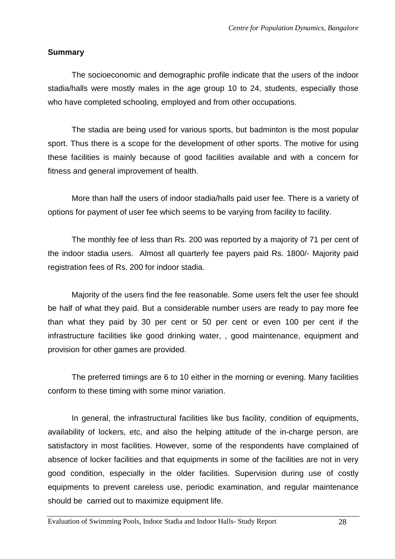#### **Summary**

 The socioeconomic and demographic profile indicate that the users of the indoor stadia/halls were mostly males in the age group 10 to 24, students, especially those who have completed schooling, employed and from other occupations.

 The stadia are being used for various sports, but badminton is the most popular sport. Thus there is a scope for the development of other sports. The motive for using these facilities is mainly because of good facilities available and with a concern for fitness and general improvement of health.

 More than half the users of indoor stadia/halls paid user fee. There is a variety of options for payment of user fee which seems to be varying from facility to facility.

The monthly fee of less than Rs. 200 was reported by a majority of 71 per cent of the indoor stadia users. Almost all quarterly fee payers paid Rs. 1800/- Majority paid registration fees of Rs. 200 for indoor stadia.

Majority of the users find the fee reasonable. Some users felt the user fee should be half of what they paid. But a considerable number users are ready to pay more fee than what they paid by 30 per cent or 50 per cent or even 100 per cent if the infrastructure facilities like good drinking water, , good maintenance, equipment and provision for other games are provided.

 The preferred timings are 6 to 10 either in the morning or evening. Many facilities conform to these timing with some minor variation.

In general, the infrastructural facilities like bus facility, condition of equipments, availability of lockers, etc, and also the helping attitude of the in-charge person, are satisfactory in most facilities. However, some of the respondents have complained of absence of locker facilities and that equipments in some of the facilities are not in very good condition, especially in the older facilities. Supervision during use of costly equipments to prevent careless use, periodic examination, and regular maintenance should be carried out to maximize equipment life.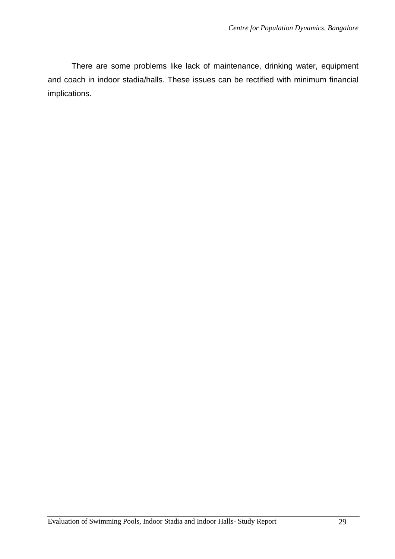There are some problems like lack of maintenance, drinking water, equipment and coach in indoor stadia/halls. These issues can be rectified with minimum financial implications.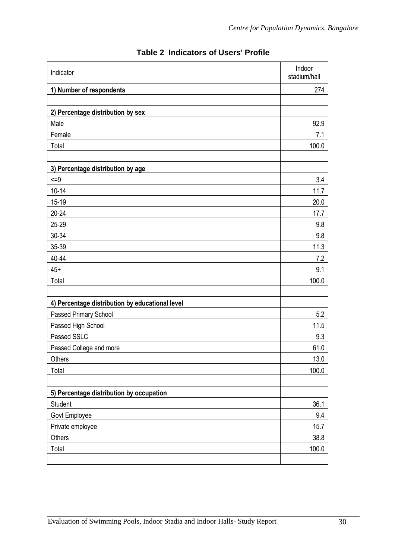| Indicator                                       | Indoor<br>stadium/hall |
|-------------------------------------------------|------------------------|
| 1) Number of respondents                        | 274                    |
|                                                 |                        |
| 2) Percentage distribution by sex               |                        |
| Male                                            | 92.9                   |
| Female                                          | 7.1                    |
| Total                                           | 100.0                  |
| 3) Percentage distribution by age               |                        |
| $\leq$ =9                                       | 3.4                    |
| $10 - 14$                                       | 11.7                   |
| $15-19$                                         | 20.0                   |
| $20 - 24$                                       | 17.7                   |
| 25-29                                           | 9.8                    |
| 30-34                                           | 9.8                    |
| 35-39                                           | 11.3                   |
| 40-44                                           | 7.2                    |
| $45+$                                           | 9.1                    |
| Total                                           | 100.0                  |
|                                                 |                        |
| 4) Percentage distribution by educational level |                        |
| Passed Primary School                           | 5.2                    |
| Passed High School                              | 11.5                   |
| Passed SSLC                                     | 9.3                    |
| Passed College and more                         | 61.0                   |
| Others                                          | 13.0                   |
| Total                                           | 100.0                  |
|                                                 |                        |
| 5) Percentage distribution by occupation        |                        |
| Student                                         | 36.1                   |
| Govt Employee                                   | 9.4                    |
| Private employee                                | 15.7                   |
| Others                                          | 38.8                   |
| Total                                           | 100.0                  |
|                                                 |                        |

# **Table 2 Indicators of Users' Profile**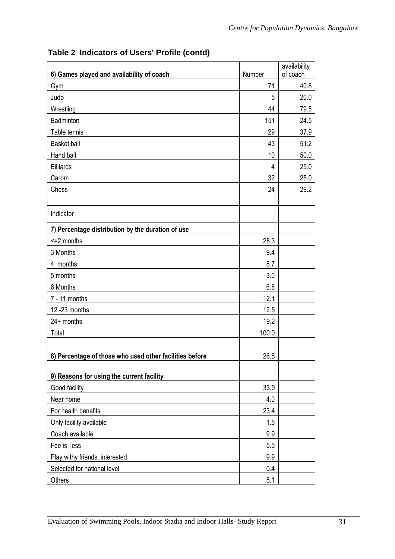|                                                         |        | availability |
|---------------------------------------------------------|--------|--------------|
| 6) Games played and availability of coach               | Number | of coach     |
| Gym                                                     | 71     | 40.8         |
| Judo                                                    | 5      | 20.0         |
| Wrestling                                               | 44     | 79.5         |
| Badminton                                               | 151    | 24.5         |
| Table tennis                                            | 29     | 37.9         |
| <b>Basket ball</b>                                      | 43     | 51.2         |
| Hand ball                                               | 10     | 50.0         |
| <b>Billiards</b>                                        | 4      | 25.0         |
| Carom                                                   | 32     | 25.0         |
| Chess                                                   | 24     | 29.2         |
| Indicator                                               |        |              |
| 7) Percentage distribution by the duration of use       |        |              |
| $=2$ months                                             | 28.3   |              |
| 3 Months                                                | 9.4    |              |
| 4 months                                                | 8.7    |              |
| 5 months                                                | 3.0    |              |
| 6 Months                                                | 6.8    |              |
| $7 - 11$ months                                         | 12.1   |              |
| 12 - 23 months                                          | 12.5   |              |
| $24+$ months                                            | 19.2   |              |
| Total                                                   | 100.0  |              |
|                                                         |        |              |
| 8) Percentage of those who used other facilities before | 26.8   |              |
| 9) Reasons for using the current facility               |        |              |
| Good facility                                           | 33.9   |              |
| Near home                                               | 4.0    |              |
| For health benefits                                     | 23.4   |              |
| Only facility available                                 | 1.5    |              |
| Coach available                                         | 9.9    |              |
| Fee is less                                             | 5.5    |              |
| Play withy friends, interested                          | 9.9    |              |
| Selected for national level                             | 0.4    |              |
| Others                                                  | 5.1    |              |

# **Table 2 Indicators of Users' Profile (contd)**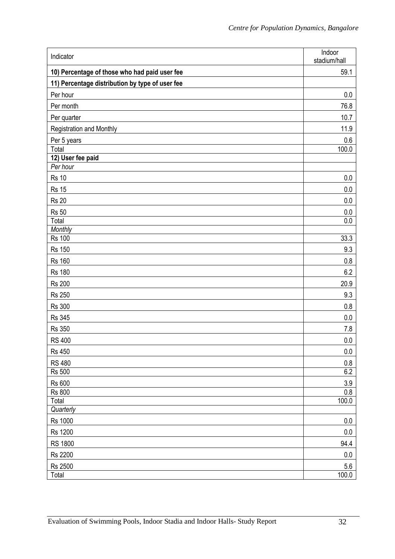| Indicator                                       | Indoor<br>stadium/hall |
|-------------------------------------------------|------------------------|
| 10) Percentage of those who had paid user fee   | 59.1                   |
| 11) Percentage distribution by type of user fee |                        |
| Per hour                                        | 0.0                    |
| Per month                                       | 76.8                   |
| Per quarter                                     | 10.7                   |
| Registration and Monthly                        | 11.9                   |
| Per 5 years                                     | 0.6                    |
| Total                                           | 100.0                  |
| 12) User fee paid                               |                        |
| Per hour                                        |                        |
| <b>Rs 10</b>                                    | 0.0                    |
| <b>Rs 15</b>                                    | 0.0                    |
| <b>Rs 20</b>                                    | 0.0                    |
| <b>Rs 50</b><br>Total                           | 0.0<br>$0.0\,$         |
| <b>Monthly</b>                                  |                        |
| <b>Rs 100</b>                                   | 33.3                   |
| <b>Rs 150</b>                                   | 9.3                    |
| <b>Rs 160</b>                                   | 0.8                    |
| <b>Rs 180</b>                                   | 6.2                    |
| <b>Rs 200</b>                                   | 20.9                   |
| <b>Rs 250</b>                                   | 9.3                    |
| <b>Rs 300</b>                                   | 0.8                    |
| <b>Rs 345</b>                                   | 0.0                    |
| <b>Rs 350</b>                                   | 7.8                    |
| <b>RS 400</b>                                   | $0.0\,$                |
| <b>Rs 450</b>                                   | $0.0\,$                |
| <b>RS 480</b>                                   | 0.8                    |
| <b>Rs 500</b>                                   | 6.2                    |
| <b>Rs 600</b>                                   | $3.9\,$                |
| <b>Rs 800</b>                                   | 0.8                    |
| Total<br>Quarterly                              | 100.0                  |
| <b>Rs 1000</b>                                  | $0.0\,$                |
| <b>Rs 1200</b>                                  | $0.0\,$                |
| <b>RS 1800</b>                                  | 94.4                   |
| <b>Rs 2200</b>                                  | $0.0\,$                |
| Rs 2500                                         | 5.6                    |
| Total                                           | 100.0                  |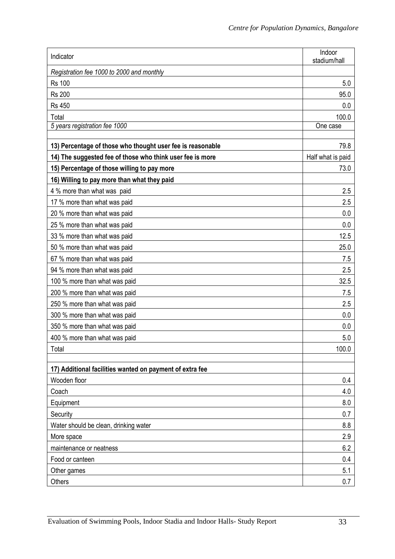| Indicator                                                  | Indoor<br>stadium/hall |
|------------------------------------------------------------|------------------------|
| Registration fee 1000 to 2000 and monthly                  |                        |
| <b>Rs 100</b>                                              | 5.0                    |
| <b>Rs 200</b>                                              | 95.0                   |
| <b>Rs 450</b>                                              | 0.0                    |
| Total                                                      | 100.0                  |
| 5 years registration fee 1000                              | One case               |
| 13) Percentage of those who thought user fee is reasonable | 79.8                   |
| 14) The suggested fee of those who think user fee is more  | Half what is paid      |
| 15) Percentage of those willing to pay more                | 73.0                   |
| 16) Willing to pay more than what they paid                |                        |
| 4 % more than what was paid                                | 2.5                    |
| 17 % more than what was paid                               | 2.5                    |
| 20 % more than what was paid                               | 0.0                    |
| 25 % more than what was paid                               | 0.0                    |
| 33 % more than what was paid                               | 12.5                   |
| 50 % more than what was paid                               | 25.0                   |
| 67 % more than what was paid                               | 7.5                    |
| 94 % more than what was paid                               | 2.5                    |
| 100 % more than what was paid                              | 32.5                   |
| 200 % more than what was paid                              | 7.5                    |
| 250 % more than what was paid                              | 2.5                    |
| 300 % more than what was paid                              | 0.0                    |
| 350 % more than what was paid                              | 0.0                    |
| 400 % more than what was paid                              | 5.0                    |
| Total                                                      | 100.0                  |
|                                                            |                        |
| 17) Additional facilities wanted on payment of extra fee   |                        |
| Wooden floor<br>Coach                                      | 0.4<br>4.0             |
| Equipment                                                  | 8.0                    |
| Security                                                   | 0.7                    |
| Water should be clean, drinking water                      | 8.8                    |
| More space                                                 | 2.9                    |
| maintenance or neatness                                    | 6.2                    |
| Food or canteen                                            | 0.4                    |
| Other games                                                | 5.1                    |
| Others                                                     | 0.7                    |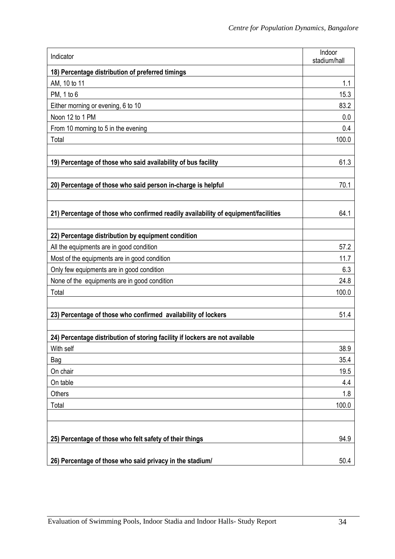| Indicator                                                                          | Indoor<br>stadium/hall |
|------------------------------------------------------------------------------------|------------------------|
| 18) Percentage distribution of preferred timings                                   |                        |
| AM, 10 to 11                                                                       | 1.1                    |
| PM, 1 to 6                                                                         | 15.3                   |
| Either morning or evening, 6 to 10                                                 | 83.2                   |
| Noon 12 to 1 PM                                                                    | 0.0                    |
| From 10 morning to 5 in the evening                                                | 0.4                    |
| Total                                                                              | 100.0                  |
|                                                                                    |                        |
| 19) Percentage of those who said availability of bus facility                      | 61.3                   |
|                                                                                    |                        |
| 20) Percentage of those who said person in-charge is helpful                       | 70.1                   |
|                                                                                    |                        |
| 21) Percentage of those who confirmed readily availability of equipment/facilities | 64.1                   |
|                                                                                    |                        |
| 22) Percentage distribution by equipment condition                                 |                        |
| All the equipments are in good condition                                           | 57.2                   |
| Most of the equipments are in good condition                                       | 11.7                   |
| Only few equipments are in good condition                                          | 6.3                    |
| None of the equipments are in good condition                                       | 24.8                   |
| Total                                                                              | 100.0                  |
|                                                                                    |                        |
| 23) Percentage of those who confirmed availability of lockers                      | 51.4                   |
|                                                                                    |                        |
| 24) Percentage distribution of storing facility if lockers are not available       |                        |
| With self                                                                          | 38.9                   |
| Bag                                                                                | 35.4                   |
| On chair                                                                           | 19.5                   |
| On table                                                                           | 4.4                    |
| Others                                                                             | 1.8                    |
| Total                                                                              | 100.0                  |
|                                                                                    |                        |
|                                                                                    |                        |
| 25) Percentage of those who felt safety of their things                            | 94.9                   |
| 26) Percentage of those who said privacy in the stadium/                           | 50.4                   |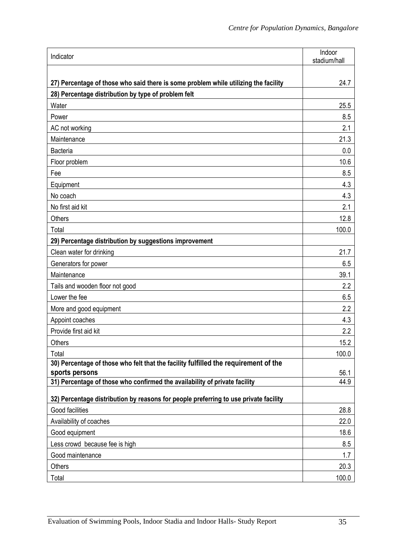| Indicator                                                                                    | Indoor<br>stadium/hall |
|----------------------------------------------------------------------------------------------|------------------------|
|                                                                                              |                        |
| 27) Percentage of those who said there is some problem while utilizing the facility          | 24.7                   |
| 28) Percentage distribution by type of problem felt                                          |                        |
| Water                                                                                        | 25.5                   |
| Power                                                                                        | 8.5                    |
| AC not working                                                                               | 2.1                    |
| Maintenance                                                                                  | 21.3                   |
| Bacteria                                                                                     | 0.0                    |
| Floor problem                                                                                | 10.6                   |
| Fee                                                                                          | 8.5                    |
| Equipment                                                                                    | 4.3                    |
| No coach                                                                                     | 4.3                    |
| No first aid kit                                                                             | 2.1                    |
| <b>Others</b>                                                                                | 12.8                   |
| Total                                                                                        | 100.0                  |
| 29) Percentage distribution by suggestions improvement                                       |                        |
| Clean water for drinking                                                                     | 21.7                   |
| Generators for power                                                                         | 6.5                    |
| Maintenance                                                                                  | 39.1                   |
| Tails and wooden floor not good                                                              | 2.2                    |
| Lower the fee                                                                                | 6.5                    |
| More and good equipment                                                                      | 2.2                    |
| Appoint coaches                                                                              | 4.3                    |
| Provide first aid kit                                                                        | 2.2                    |
| Others                                                                                       | 15.2                   |
| Total                                                                                        | 100.0                  |
| 30) Percentage of those who felt that the facility fulfilled the requirement of the          |                        |
| sports persons<br>31) Percentage of those who confirmed the availability of private facility | 56.1<br>44.9           |
|                                                                                              |                        |
| 32) Percentage distribution by reasons for people preferring to use private facility         |                        |
| Good facilities                                                                              | 28.8                   |
| Availability of coaches                                                                      | 22.0                   |
| Good equipment                                                                               | 18.6                   |
| Less crowd because fee is high                                                               | 8.5                    |
| Good maintenance                                                                             | 1.7                    |
| Others                                                                                       | 20.3                   |
| Total                                                                                        | 100.0                  |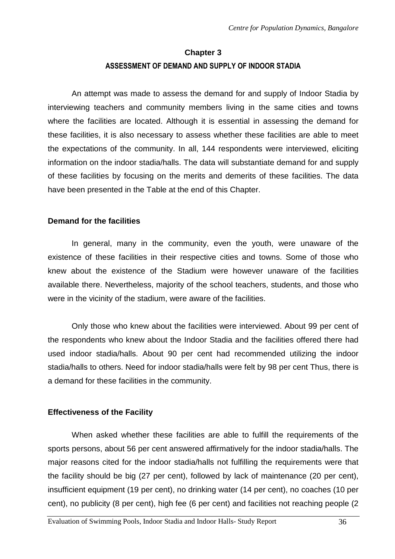# **Chapter 3 ASSESSMENT OF DEMAND AND SUPPLY OF INDOOR STADIA**

An attempt was made to assess the demand for and supply of Indoor Stadia by interviewing teachers and community members living in the same cities and towns where the facilities are located. Although it is essential in assessing the demand for these facilities, it is also necessary to assess whether these facilities are able to meet the expectations of the community. In all, 144 respondents were interviewed, eliciting information on the indoor stadia/halls. The data will substantiate demand for and supply of these facilities by focusing on the merits and demerits of these facilities. The data have been presented in the Table at the end of this Chapter.

# **Demand for the facilities**

 In general, many in the community, even the youth, were unaware of the existence of these facilities in their respective cities and towns. Some of those who knew about the existence of the Stadium were however unaware of the facilities available there. Nevertheless, majority of the school teachers, students, and those who were in the vicinity of the stadium, were aware of the facilities.

Only those who knew about the facilities were interviewed. About 99 per cent of the respondents who knew about the Indoor Stadia and the facilities offered there had used indoor stadia/halls. About 90 per cent had recommended utilizing the indoor stadia/halls to others. Need for indoor stadia/halls were felt by 98 per cent Thus, there is a demand for these facilities in the community.

# **Effectiveness of the Facility**

 When asked whether these facilities are able to fulfill the requirements of the sports persons, about 56 per cent answered affirmatively for the indoor stadia/halls. The major reasons cited for the indoor stadia/halls not fulfilling the requirements were that the facility should be big (27 per cent), followed by lack of maintenance (20 per cent), insufficient equipment (19 per cent), no drinking water (14 per cent), no coaches (10 per cent), no publicity (8 per cent), high fee (6 per cent) and facilities not reaching people (2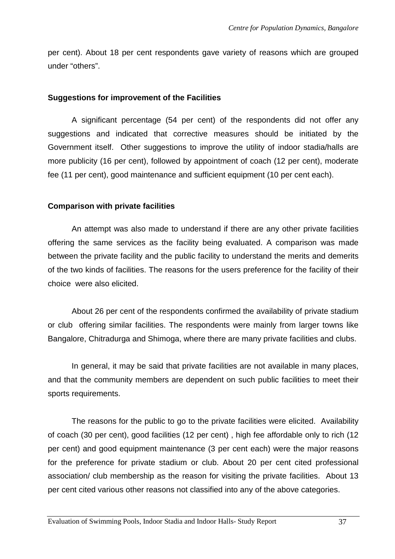per cent). About 18 per cent respondents gave variety of reasons which are grouped under "others".

#### **Suggestions for improvement of the Facilities**

A significant percentage (54 per cent) of the respondents did not offer any suggestions and indicated that corrective measures should be initiated by the Government itself. Other suggestions to improve the utility of indoor stadia/halls are more publicity (16 per cent), followed by appointment of coach (12 per cent), moderate fee (11 per cent), good maintenance and sufficient equipment (10 per cent each).

#### **Comparison with private facilities**

 An attempt was also made to understand if there are any other private facilities offering the same services as the facility being evaluated. A comparison was made between the private facility and the public facility to understand the merits and demerits of the two kinds of facilities. The reasons for the users preference for the facility of their choice were also elicited.

About 26 per cent of the respondents confirmed the availability of private stadium or club offering similar facilities. The respondents were mainly from larger towns like Bangalore, Chitradurga and Shimoga, where there are many private facilities and clubs.

 In general, it may be said that private facilities are not available in many places, and that the community members are dependent on such public facilities to meet their sports requirements.

 The reasons for the public to go to the private facilities were elicited. Availability of coach (30 per cent), good facilities (12 per cent) , high fee affordable only to rich (12 per cent) and good equipment maintenance (3 per cent each) were the major reasons for the preference for private stadium or club. About 20 per cent cited professional association/ club membership as the reason for visiting the private facilities. About 13 per cent cited various other reasons not classified into any of the above categories.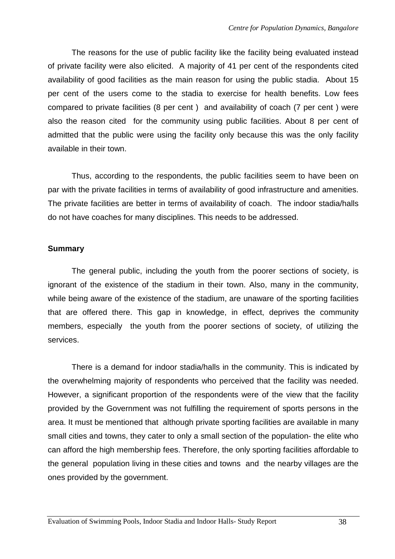The reasons for the use of public facility like the facility being evaluated instead of private facility were also elicited. A majority of 41 per cent of the respondents cited availability of good facilities as the main reason for using the public stadia. About 15 per cent of the users come to the stadia to exercise for health benefits. Low fees compared to private facilities (8 per cent ) and availability of coach (7 per cent ) were also the reason cited for the community using public facilities. About 8 per cent of admitted that the public were using the facility only because this was the only facility available in their town.

 Thus, according to the respondents, the public facilities seem to have been on par with the private facilities in terms of availability of good infrastructure and amenities. The private facilities are better in terms of availability of coach. The indoor stadia/halls do not have coaches for many disciplines. This needs to be addressed.

#### **Summary**

The general public, including the youth from the poorer sections of society, is ignorant of the existence of the stadium in their town. Also, many in the community, while being aware of the existence of the stadium, are unaware of the sporting facilities that are offered there. This gap in knowledge, in effect, deprives the community members, especially the youth from the poorer sections of society, of utilizing the services.

There is a demand for indoor stadia/halls in the community. This is indicated by the overwhelming majority of respondents who perceived that the facility was needed. However, a significant proportion of the respondents were of the view that the facility provided by the Government was not fulfilling the requirement of sports persons in the area. It must be mentioned that although private sporting facilities are available in many small cities and towns, they cater to only a small section of the population- the elite who can afford the high membership fees. Therefore, the only sporting facilities affordable to the general population living in these cities and towns and the nearby villages are the ones provided by the government.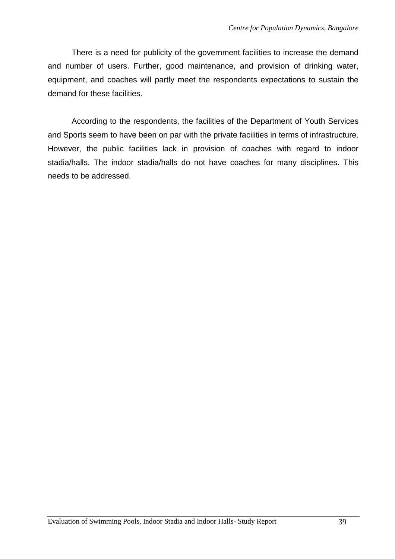There is a need for publicity of the government facilities to increase the demand and number of users. Further, good maintenance, and provision of drinking water, equipment, and coaches will partly meet the respondents expectations to sustain the demand for these facilities.

 According to the respondents, the facilities of the Department of Youth Services and Sports seem to have been on par with the private facilities in terms of infrastructure. However, the public facilities lack in provision of coaches with regard to indoor stadia/halls. The indoor stadia/halls do not have coaches for many disciplines. This needs to be addressed.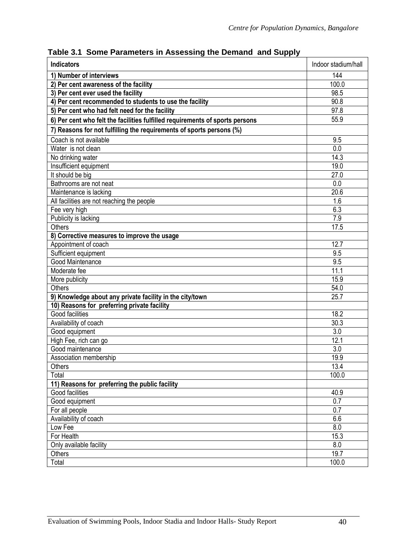| <b>Indicators</b>                                                            | Indoor stadium/hall |
|------------------------------------------------------------------------------|---------------------|
| 1) Number of interviews                                                      | 144                 |
| 2) Per cent awareness of the facility                                        | 100.0               |
| 3) Per cent ever used the facility                                           | 98.5                |
| 4) Per cent recommended to students to use the facility                      | 90.8                |
| 5) Per cent who had felt need for the facility                               | 97.8                |
| 6) Per cent who felt the facilities fulfilled requirements of sports persons | 55.9                |
| 7) Reasons for not fulfilling the requirements of sports persons (%)         |                     |
| Coach is not available                                                       | 9.5                 |
| Water is not clean                                                           | 0.0                 |
| No drinking water                                                            | 14.3                |
| Insufficient equipment                                                       | 19.0                |
| It should be big                                                             | 27.0                |
| Bathrooms are not neat                                                       | 0.0                 |
| Maintenance is lacking                                                       | 20.6                |
| All facilities are not reaching the people                                   | 1.6                 |
| Fee very high                                                                | 6.3                 |
| Publicity is lacking                                                         | 7.9                 |
| <b>Others</b>                                                                | 17.5                |
| 8) Corrective measures to improve the usage                                  |                     |
| Appointment of coach                                                         | 12.7                |
| Sufficient equipment                                                         | 9.5                 |
| Good Maintenance                                                             | 9.5                 |
| Moderate fee                                                                 | 11.1                |
| More publicity                                                               | 15.9                |
| <b>Others</b>                                                                | 54.0                |
| 9) Knowledge about any private facility in the city/town                     | 25.7                |
| 10) Reasons for preferring private facility                                  |                     |
| Good facilities                                                              | 18.2                |
| Availability of coach                                                        | 30.3                |
| Good equipment                                                               | 3.0                 |
| High Fee, rich can go                                                        | 12.1                |
| Good maintenance                                                             | $\overline{3}.0$    |
| Association membership                                                       | 19.9                |
| <b>Others</b>                                                                | 13.4                |
| Total                                                                        | 100.0               |
| 11) Reasons for preferring the public facility                               |                     |
| Good facilities                                                              | 40.9                |
| Good equipment                                                               | 0.7                 |
| For all people                                                               | 0.7                 |
| Availability of coach                                                        | 6.6                 |
| Low Fee                                                                      | 8.0                 |
| For Health                                                                   | 15.3                |
| Only available facility                                                      | 8.0                 |
| <b>Others</b>                                                                | 19.7                |
| Total                                                                        | 100.0               |

**Table 3.1 Some Parameters in Assessing the Demand and Supply**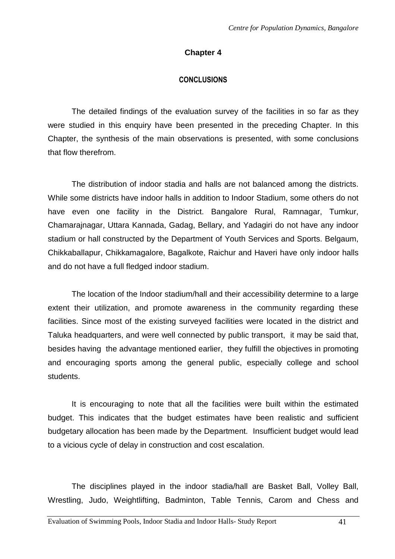# **Chapter 4**

# **CONCLUSIONS**

 The detailed findings of the evaluation survey of the facilities in so far as they were studied in this enquiry have been presented in the preceding Chapter. In this Chapter, the synthesis of the main observations is presented, with some conclusions that flow therefrom.

The distribution of indoor stadia and halls are not balanced among the districts. While some districts have indoor halls in addition to Indoor Stadium, some others do not have even one facility in the District. Bangalore Rural, Ramnagar, Tumkur, Chamarajnagar, Uttara Kannada, Gadag, Bellary, and Yadagiri do not have any indoor stadium or hall constructed by the Department of Youth Services and Sports. Belgaum, Chikkaballapur, Chikkamagalore, Bagalkote, Raichur and Haveri have only indoor halls and do not have a full fledged indoor stadium.

The location of the Indoor stadium/hall and their accessibility determine to a large extent their utilization, and promote awareness in the community regarding these facilities. Since most of the existing surveyed facilities were located in the district and Taluka headquarters, and were well connected by public transport, it may be said that, besides having the advantage mentioned earlier, they fulfill the objectives in promoting and encouraging sports among the general public, especially college and school students.

 It is encouraging to note that all the facilities were built within the estimated budget. This indicates that the budget estimates have been realistic and sufficient budgetary allocation has been made by the Department. Insufficient budget would lead to a vicious cycle of delay in construction and cost escalation.

The disciplines played in the indoor stadia/hall are Basket Ball, Volley Ball, Wrestling, Judo, Weightlifting, Badminton, Table Tennis, Carom and Chess and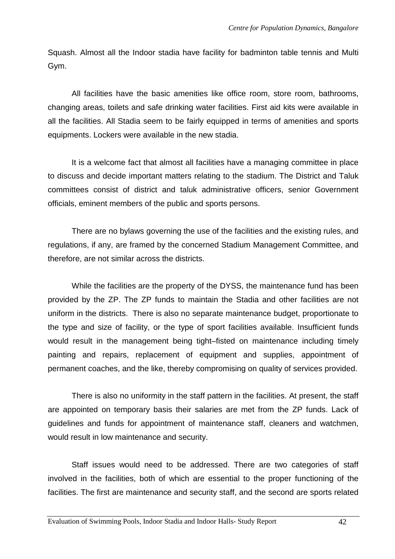Squash. Almost all the Indoor stadia have facility for badminton table tennis and Multi Gym.

All facilities have the basic amenities like office room, store room, bathrooms, changing areas, toilets and safe drinking water facilities. First aid kits were available in all the facilities. All Stadia seem to be fairly equipped in terms of amenities and sports equipments. Lockers were available in the new stadia.

 It is a welcome fact that almost all facilities have a managing committee in place to discuss and decide important matters relating to the stadium. The District and Taluk committees consist of district and taluk administrative officers, senior Government officials, eminent members of the public and sports persons.

 There are no bylaws governing the use of the facilities and the existing rules, and regulations, if any, are framed by the concerned Stadium Management Committee, and therefore, are not similar across the districts.

 While the facilities are the property of the DYSS, the maintenance fund has been provided by the ZP. The ZP funds to maintain the Stadia and other facilities are not uniform in the districts. There is also no separate maintenance budget, proportionate to the type and size of facility, or the type of sport facilities available. Insufficient funds would result in the management being tight–fisted on maintenance including timely painting and repairs, replacement of equipment and supplies, appointment of permanent coaches, and the like, thereby compromising on quality of services provided.

There is also no uniformity in the staff pattern in the facilities. At present, the staff are appointed on temporary basis their salaries are met from the ZP funds. Lack of guidelines and funds for appointment of maintenance staff, cleaners and watchmen, would result in low maintenance and security.

Staff issues would need to be addressed. There are two categories of staff involved in the facilities, both of which are essential to the proper functioning of the facilities. The first are maintenance and security staff, and the second are sports related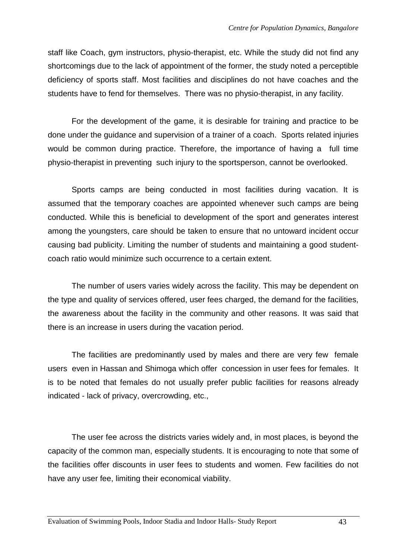staff like Coach, gym instructors, physio-therapist, etc. While the study did not find any shortcomings due to the lack of appointment of the former, the study noted a perceptible deficiency of sports staff. Most facilities and disciplines do not have coaches and the students have to fend for themselves. There was no physio-therapist, in any facility.

For the development of the game, it is desirable for training and practice to be done under the guidance and supervision of a trainer of a coach. Sports related injuries would be common during practice. Therefore, the importance of having a full time physio-therapist in preventing such injury to the sportsperson, cannot be overlooked.

Sports camps are being conducted in most facilities during vacation. It is assumed that the temporary coaches are appointed whenever such camps are being conducted. While this is beneficial to development of the sport and generates interest among the youngsters, care should be taken to ensure that no untoward incident occur causing bad publicity. Limiting the number of students and maintaining a good studentcoach ratio would minimize such occurrence to a certain extent.

The number of users varies widely across the facility. This may be dependent on the type and quality of services offered, user fees charged, the demand for the facilities, the awareness about the facility in the community and other reasons. It was said that there is an increase in users during the vacation period.

The facilities are predominantly used by males and there are very few female users even in Hassan and Shimoga which offer concession in user fees for females. It is to be noted that females do not usually prefer public facilities for reasons already indicated - lack of privacy, overcrowding, etc.,

 The user fee across the districts varies widely and, in most places, is beyond the capacity of the common man, especially students. It is encouraging to note that some of the facilities offer discounts in user fees to students and women. Few facilities do not have any user fee, limiting their economical viability.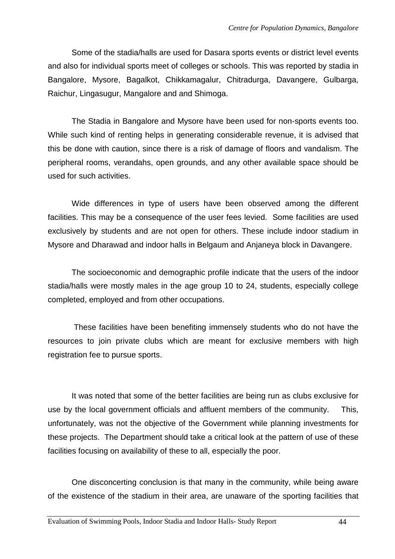Some of the stadia/halls are used for Dasara sports events or district level events and also for individual sports meet of colleges or schools. This was reported by stadia in Bangalore, Mysore, Bagalkot, Chikkamagalur, Chitradurga, Davangere, Gulbarga, Raichur, Lingasugur, Mangalore and and Shimoga.

The Stadia in Bangalore and Mysore have been used for non-sports events too. While such kind of renting helps in generating considerable revenue, it is advised that this be done with caution, since there is a risk of damage of floors and vandalism. The peripheral rooms, verandahs, open grounds, and any other available space should be used for such activities.

Wide differences in type of users have been observed among the different facilities. This may be a consequence of the user fees levied. Some facilities are used exclusively by students and are not open for others. These include indoor stadium in Mysore and Dharawad and indoor halls in Belgaum and Anjaneya block in Davangere.

 The socioeconomic and demographic profile indicate that the users of the indoor stadia/halls were mostly males in the age group 10 to 24, students, especially college completed, employed and from other occupations.

 These facilities have been benefiting immensely students who do not have the resources to join private clubs which are meant for exclusive members with high registration fee to pursue sports.

It was noted that some of the better facilities are being run as clubs exclusive for use by the local government officials and affluent members of the community. This, unfortunately, was not the objective of the Government while planning investments for these projects. The Department should take a critical look at the pattern of use of these facilities focusing on availability of these to all, especially the poor.

One disconcerting conclusion is that many in the community, while being aware of the existence of the stadium in their area, are unaware of the sporting facilities that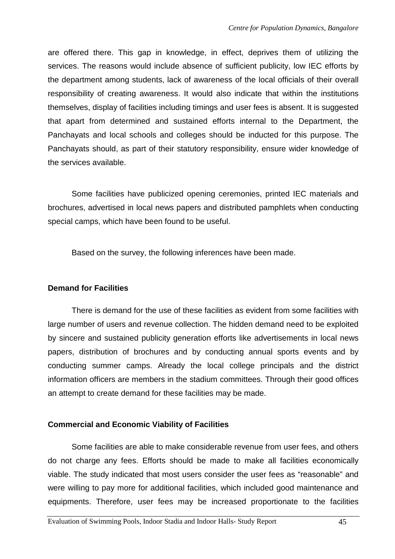are offered there. This gap in knowledge, in effect, deprives them of utilizing the services. The reasons would include absence of sufficient publicity, low IEC efforts by the department among students, lack of awareness of the local officials of their overall responsibility of creating awareness. It would also indicate that within the institutions themselves, display of facilities including timings and user fees is absent. It is suggested that apart from determined and sustained efforts internal to the Department, the Panchayats and local schools and colleges should be inducted for this purpose. The Panchayats should, as part of their statutory responsibility, ensure wider knowledge of the services available.

 Some facilities have publicized opening ceremonies, printed IEC materials and brochures, advertised in local news papers and distributed pamphlets when conducting special camps, which have been found to be useful.

Based on the survey, the following inferences have been made.

# **Demand for Facilities**

 There is demand for the use of these facilities as evident from some facilities with large number of users and revenue collection. The hidden demand need to be exploited by sincere and sustained publicity generation efforts like advertisements in local news papers, distribution of brochures and by conducting annual sports events and by conducting summer camps. Already the local college principals and the district information officers are members in the stadium committees. Through their good offices an attempt to create demand for these facilities may be made.

# **Commercial and Economic Viability of Facilities**

 Some facilities are able to make considerable revenue from user fees, and others do not charge any fees. Efforts should be made to make all facilities economically viable. The study indicated that most users consider the user fees as "reasonable" and were willing to pay more for additional facilities, which included good maintenance and equipments. Therefore, user fees may be increased proportionate to the facilities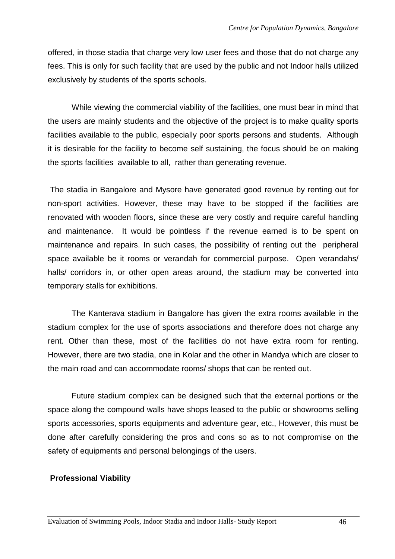offered, in those stadia that charge very low user fees and those that do not charge any fees. This is only for such facility that are used by the public and not Indoor halls utilized exclusively by students of the sports schools.

While viewing the commercial viability of the facilities, one must bear in mind that the users are mainly students and the objective of the project is to make quality sports facilities available to the public, especially poor sports persons and students. Although it is desirable for the facility to become self sustaining, the focus should be on making the sports facilities available to all, rather than generating revenue.

 The stadia in Bangalore and Mysore have generated good revenue by renting out for non-sport activities. However, these may have to be stopped if the facilities are renovated with wooden floors, since these are very costly and require careful handling and maintenance. It would be pointless if the revenue earned is to be spent on maintenance and repairs. In such cases, the possibility of renting out the peripheral space available be it rooms or verandah for commercial purpose. Open verandahs/ halls/ corridors in, or other open areas around, the stadium may be converted into temporary stalls for exhibitions.

The Kanterava stadium in Bangalore has given the extra rooms available in the stadium complex for the use of sports associations and therefore does not charge any rent. Other than these, most of the facilities do not have extra room for renting. However, there are two stadia, one in Kolar and the other in Mandya which are closer to the main road and can accommodate rooms/ shops that can be rented out.

Future stadium complex can be designed such that the external portions or the space along the compound walls have shops leased to the public or showrooms selling sports accessories, sports equipments and adventure gear, etc., However, this must be done after carefully considering the pros and cons so as to not compromise on the safety of equipments and personal belongings of the users.

#### **Professional Viability**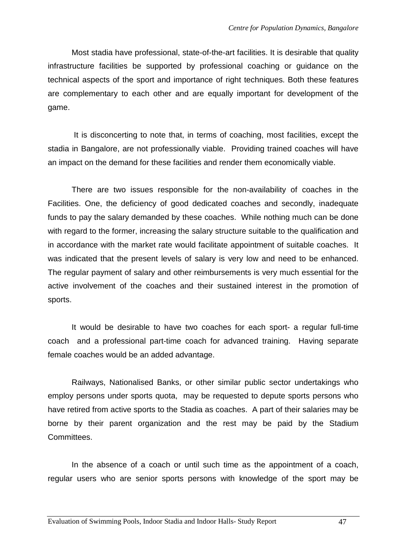Most stadia have professional, state-of-the-art facilities. It is desirable that quality infrastructure facilities be supported by professional coaching or guidance on the technical aspects of the sport and importance of right techniques. Both these features are complementary to each other and are equally important for development of the game.

 It is disconcerting to note that, in terms of coaching, most facilities, except the stadia in Bangalore, are not professionally viable. Providing trained coaches will have an impact on the demand for these facilities and render them economically viable.

There are two issues responsible for the non-availability of coaches in the Facilities. One, the deficiency of good dedicated coaches and secondly, inadequate funds to pay the salary demanded by these coaches. While nothing much can be done with regard to the former, increasing the salary structure suitable to the qualification and in accordance with the market rate would facilitate appointment of suitable coaches. It was indicated that the present levels of salary is very low and need to be enhanced. The regular payment of salary and other reimbursements is very much essential for the active involvement of the coaches and their sustained interest in the promotion of sports.

It would be desirable to have two coaches for each sport- a regular full-time coach and a professional part-time coach for advanced training. Having separate female coaches would be an added advantage.

Railways, Nationalised Banks, or other similar public sector undertakings who employ persons under sports quota, may be requested to depute sports persons who have retired from active sports to the Stadia as coaches. A part of their salaries may be borne by their parent organization and the rest may be paid by the Stadium Committees.

In the absence of a coach or until such time as the appointment of a coach, regular users who are senior sports persons with knowledge of the sport may be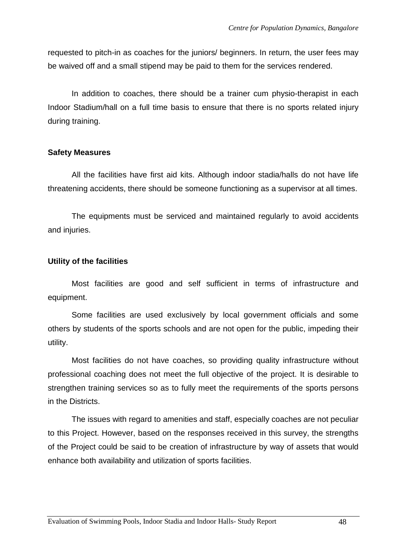requested to pitch-in as coaches for the juniors/ beginners. In return, the user fees may be waived off and a small stipend may be paid to them for the services rendered.

In addition to coaches, there should be a trainer cum physio-therapist in each Indoor Stadium/hall on a full time basis to ensure that there is no sports related injury during training.

#### **Safety Measures**

All the facilities have first aid kits. Although indoor stadia/halls do not have life threatening accidents, there should be someone functioning as a supervisor at all times.

The equipments must be serviced and maintained regularly to avoid accidents and injuries.

# **Utility of the facilities**

Most facilities are good and self sufficient in terms of infrastructure and equipment.

Some facilities are used exclusively by local government officials and some others by students of the sports schools and are not open for the public, impeding their utility.

Most facilities do not have coaches, so providing quality infrastructure without professional coaching does not meet the full objective of the project. It is desirable to strengthen training services so as to fully meet the requirements of the sports persons in the Districts.

The issues with regard to amenities and staff, especially coaches are not peculiar to this Project. However, based on the responses received in this survey, the strengths of the Project could be said to be creation of infrastructure by way of assets that would enhance both availability and utilization of sports facilities.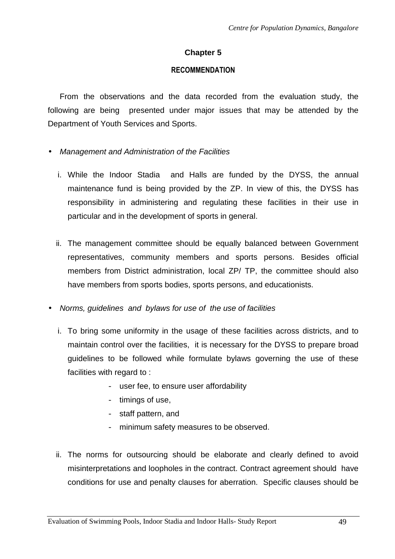# **Chapter 5**

#### **RECOMMENDATION**

From the observations and the data recorded from the evaluation study, the following are being presented under major issues that may be attended by the Department of Youth Services and Sports.

- Management and Administration of the Facilities
	- i. While the Indoor Stadia and Halls are funded by the DYSS, the annual maintenance fund is being provided by the ZP. In view of this, the DYSS has responsibility in administering and regulating these facilities in their use in particular and in the development of sports in general.
	- ii. The management committee should be equally balanced between Government representatives, community members and sports persons. Besides official members from District administration, local ZP/ TP, the committee should also have members from sports bodies, sports persons, and educationists.
- Norms, guidelines and bylaws for use of the use of facilities
	- i. To bring some uniformity in the usage of these facilities across districts, and to maintain control over the facilities, it is necessary for the DYSS to prepare broad guidelines to be followed while formulate bylaws governing the use of these facilities with regard to :
		- user fee, to ensure user affordability
		- timings of use,
		- staff pattern, and
		- minimum safety measures to be observed.
	- ii. The norms for outsourcing should be elaborate and clearly defined to avoid misinterpretations and loopholes in the contract. Contract agreement should have conditions for use and penalty clauses for aberration. Specific clauses should be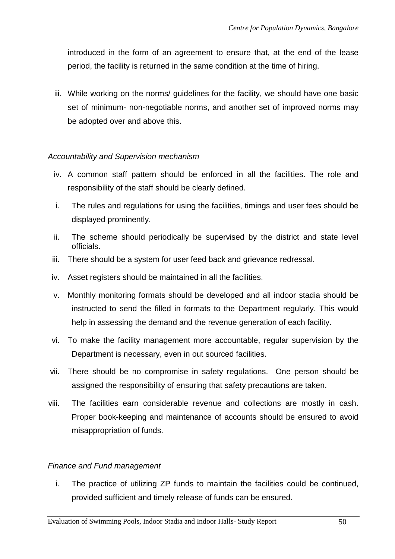introduced in the form of an agreement to ensure that, at the end of the lease period, the facility is returned in the same condition at the time of hiring.

iii. While working on the norms/ guidelines for the facility, we should have one basic set of minimum- non-negotiable norms, and another set of improved norms may be adopted over and above this.

# Accountability and Supervision mechanism

- iv. A common staff pattern should be enforced in all the facilities. The role and responsibility of the staff should be clearly defined.
- i. The rules and regulations for using the facilities, timings and user fees should be displayed prominently.
- ii. The scheme should periodically be supervised by the district and state level officials.
- iii. There should be a system for user feed back and grievance redressal.
- iv. Asset registers should be maintained in all the facilities.
- v. Monthly monitoring formats should be developed and all indoor stadia should be instructed to send the filled in formats to the Department regularly. This would help in assessing the demand and the revenue generation of each facility.
- vi. To make the facility management more accountable, regular supervision by the Department is necessary, even in out sourced facilities.
- vii. There should be no compromise in safety regulations. One person should be assigned the responsibility of ensuring that safety precautions are taken.
- viii. The facilities earn considerable revenue and collections are mostly in cash. Proper book-keeping and maintenance of accounts should be ensured to avoid misappropriation of funds.

# Finance and Fund management

i. The practice of utilizing ZP funds to maintain the facilities could be continued, provided sufficient and timely release of funds can be ensured.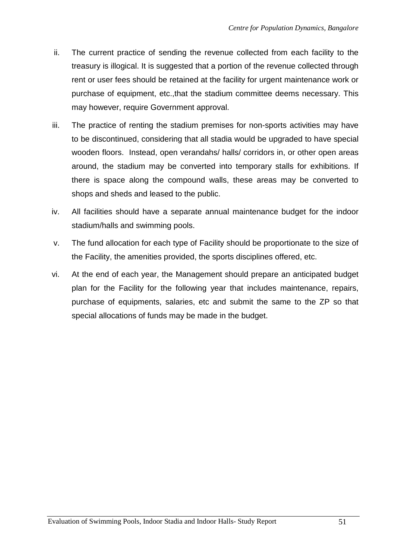- ii. The current practice of sending the revenue collected from each facility to the treasury is illogical. It is suggested that a portion of the revenue collected through rent or user fees should be retained at the facility for urgent maintenance work or purchase of equipment, etc.,that the stadium committee deems necessary. This may however, require Government approval.
- iii. The practice of renting the stadium premises for non-sports activities may have to be discontinued, considering that all stadia would be upgraded to have special wooden floors. Instead, open verandahs/ halls/ corridors in, or other open areas around, the stadium may be converted into temporary stalls for exhibitions. If there is space along the compound walls, these areas may be converted to shops and sheds and leased to the public.
- iv. All facilities should have a separate annual maintenance budget for the indoor stadium/halls and swimming pools.
- v. The fund allocation for each type of Facility should be proportionate to the size of the Facility, the amenities provided, the sports disciplines offered, etc.
- vi. At the end of each year, the Management should prepare an anticipated budget plan for the Facility for the following year that includes maintenance, repairs, purchase of equipments, salaries, etc and submit the same to the ZP so that special allocations of funds may be made in the budget.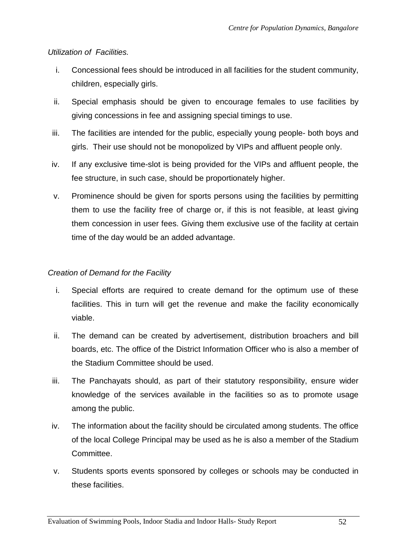### Utilization of Facilities.

- i. Concessional fees should be introduced in all facilities for the student community, children, especially girls.
- ii. Special emphasis should be given to encourage females to use facilities by giving concessions in fee and assigning special timings to use.
- iii. The facilities are intended for the public, especially young people- both boys and girls. Their use should not be monopolized by VIPs and affluent people only.
- iv. If any exclusive time-slot is being provided for the VIPs and affluent people, the fee structure, in such case, should be proportionately higher.
- v. Prominence should be given for sports persons using the facilities by permitting them to use the facility free of charge or, if this is not feasible, at least giving them concession in user fees. Giving them exclusive use of the facility at certain time of the day would be an added advantage.

### Creation of Demand for the Facility

- i. Special efforts are required to create demand for the optimum use of these facilities. This in turn will get the revenue and make the facility economically viable.
- ii. The demand can be created by advertisement, distribution broachers and bill boards, etc. The office of the District Information Officer who is also a member of the Stadium Committee should be used.
- iii. The Panchayats should, as part of their statutory responsibility, ensure wider knowledge of the services available in the facilities so as to promote usage among the public.
- iv. The information about the facility should be circulated among students. The office of the local College Principal may be used as he is also a member of the Stadium Committee.
- v. Students sports events sponsored by colleges or schools may be conducted in these facilities.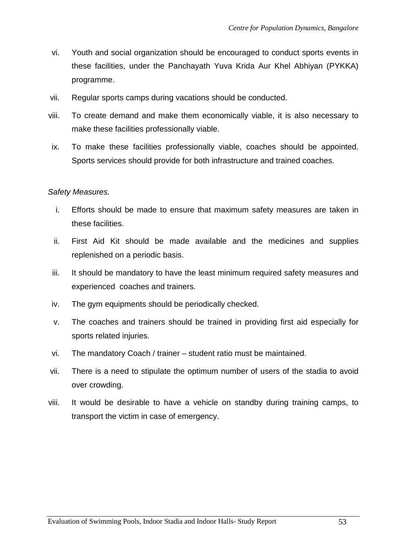- vi. Youth and social organization should be encouraged to conduct sports events in these facilities, under the Panchayath Yuva Krida Aur Khel Abhiyan (PYKKA) programme.
- vii. Regular sports camps during vacations should be conducted.
- viii. To create demand and make them economically viable, it is also necessary to make these facilities professionally viable.
- ix. To make these facilities professionally viable, coaches should be appointed. Sports services should provide for both infrastructure and trained coaches.

### Safety Measures.

- i. Efforts should be made to ensure that maximum safety measures are taken in these facilities.
- ii. First Aid Kit should be made available and the medicines and supplies replenished on a periodic basis.
- iii. It should be mandatory to have the least minimum required safety measures and experienced coaches and trainers.
- iv. The gym equipments should be periodically checked.
- v. The coaches and trainers should be trained in providing first aid especially for sports related injuries.
- vi. The mandatory Coach / trainer student ratio must be maintained.
- vii. There is a need to stipulate the optimum number of users of the stadia to avoid over crowding.
- viii. It would be desirable to have a vehicle on standby during training camps, to transport the victim in case of emergency.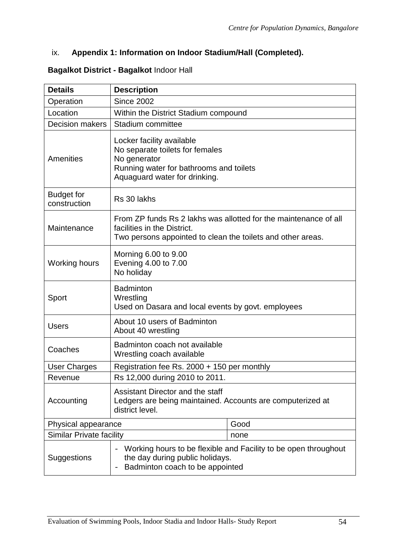# ix. **Appendix 1: Information on Indoor Stadium/Hall (Completed).**

#### **Bagalkot District - Bagalkot** Indoor Hall

| <b>Details</b>                    | <b>Description</b>                                                                                                                                             |      |
|-----------------------------------|----------------------------------------------------------------------------------------------------------------------------------------------------------------|------|
| Operation                         | <b>Since 2002</b>                                                                                                                                              |      |
| Location                          | Within the District Stadium compound                                                                                                                           |      |
| <b>Decision makers</b>            | Stadium committee                                                                                                                                              |      |
| Amenities                         | Locker facility available<br>No separate toilets for females<br>No generator<br>Running water for bathrooms and toilets<br>Aquaguard water for drinking.       |      |
| <b>Budget for</b><br>construction | Rs 30 lakhs                                                                                                                                                    |      |
| Maintenance                       | From ZP funds Rs 2 lakhs was allotted for the maintenance of all<br>facilities in the District.<br>Two persons appointed to clean the toilets and other areas. |      |
| <b>Working hours</b>              | Morning 6.00 to 9.00<br>Evening 4.00 to 7.00<br>No holiday                                                                                                     |      |
| Sport                             | <b>Badminton</b><br>Wrestling<br>Used on Dasara and local events by govt. employees                                                                            |      |
| <b>Users</b>                      | About 10 users of Badminton<br>About 40 wrestling                                                                                                              |      |
| Coaches                           | Badminton coach not available<br>Wrestling coach available                                                                                                     |      |
| <b>User Charges</b>               | Registration fee Rs. 2000 + 150 per monthly                                                                                                                    |      |
| Revenue                           | Rs 12,000 during 2010 to 2011.                                                                                                                                 |      |
| Accounting                        | Assistant Director and the staff<br>Ledgers are being maintained. Accounts are computerized at<br>district level.                                              |      |
| Physical appearance               |                                                                                                                                                                | Good |
| Similar Private facility          |                                                                                                                                                                | none |
| Suggestions                       | Working hours to be flexible and Facility to be open throughout<br>the day during public holidays.<br>Badminton coach to be appointed                          |      |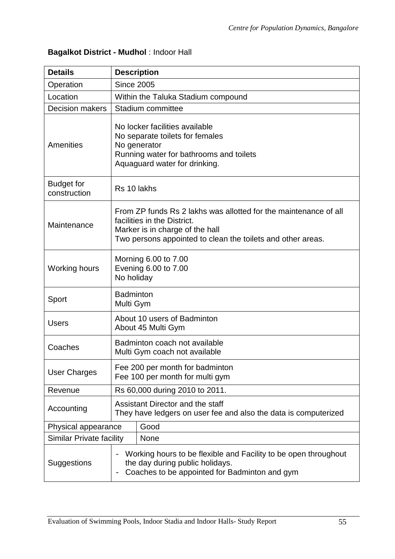# **Bagalkot District - Mudhol** : Indoor Hall

| <b>Details</b>                    | <b>Description</b>                                                                                                                                                                                |  |
|-----------------------------------|---------------------------------------------------------------------------------------------------------------------------------------------------------------------------------------------------|--|
| Operation                         | <b>Since 2005</b>                                                                                                                                                                                 |  |
| Location                          | Within the Taluka Stadium compound                                                                                                                                                                |  |
| <b>Decision makers</b>            | Stadium committee                                                                                                                                                                                 |  |
| Amenities                         | No locker facilities available<br>No separate toilets for females<br>No generator<br>Running water for bathrooms and toilets<br>Aquaguard water for drinking.                                     |  |
| <b>Budget for</b><br>construction | Rs 10 lakhs                                                                                                                                                                                       |  |
| Maintenance                       | From ZP funds Rs 2 lakhs was allotted for the maintenance of all<br>facilities in the District.<br>Marker is in charge of the hall<br>Two persons appointed to clean the toilets and other areas. |  |
| Working hours                     | Morning 6.00 to 7.00<br>Evening 6.00 to 7.00<br>No holiday                                                                                                                                        |  |
| Sport                             | <b>Badminton</b><br>Multi Gym                                                                                                                                                                     |  |
| <b>Users</b>                      | About 10 users of Badminton<br>About 45 Multi Gym                                                                                                                                                 |  |
| Coaches                           | Badminton coach not available<br>Multi Gym coach not available                                                                                                                                    |  |
| <b>User Charges</b>               | Fee 200 per month for badminton<br>Fee 100 per month for multi gym                                                                                                                                |  |
| Revenue                           | Rs 60,000 during 2010 to 2011.                                                                                                                                                                    |  |
| Accounting                        | Assistant Director and the staff<br>They have ledgers on user fee and also the data is computerized                                                                                               |  |
| Physical appearance               | Good                                                                                                                                                                                              |  |
| <b>Similar Private facility</b>   | None                                                                                                                                                                                              |  |
| Suggestions                       | Working hours to be flexible and Facility to be open throughout<br>the day during public holidays.<br>Coaches to be appointed for Badminton and gym                                               |  |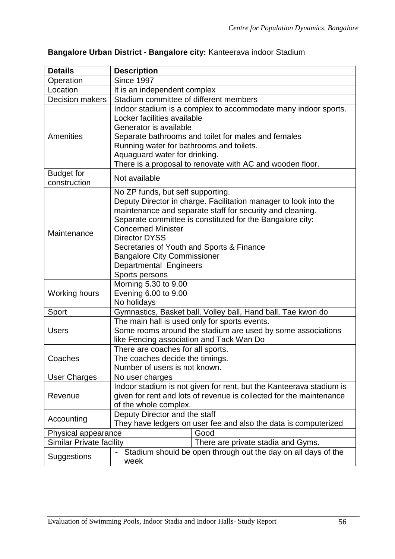| <b>Details</b>                    | <b>Description</b>                                                                                                                                                                                                                                                                                                                                                                                                  |                                                                                                                                                                                    |
|-----------------------------------|---------------------------------------------------------------------------------------------------------------------------------------------------------------------------------------------------------------------------------------------------------------------------------------------------------------------------------------------------------------------------------------------------------------------|------------------------------------------------------------------------------------------------------------------------------------------------------------------------------------|
| Operation                         | <b>Since 1997</b>                                                                                                                                                                                                                                                                                                                                                                                                   |                                                                                                                                                                                    |
| Location                          | It is an independent complex                                                                                                                                                                                                                                                                                                                                                                                        |                                                                                                                                                                                    |
| <b>Decision makers</b>            | Stadium committee of different members                                                                                                                                                                                                                                                                                                                                                                              |                                                                                                                                                                                    |
| Amenities                         | Locker facilities available<br>Generator is available<br>Running water for bathrooms and toilets.<br>Aquaguard water for drinking.                                                                                                                                                                                                                                                                                  | Indoor stadium is a complex to accommodate many indoor sports.<br>Separate bathrooms and toilet for males and females<br>There is a proposal to renovate with AC and wooden floor. |
| <b>Budget for</b><br>construction | Not available                                                                                                                                                                                                                                                                                                                                                                                                       |                                                                                                                                                                                    |
| Maintenance                       | No ZP funds, but self supporting.<br>Deputy Director in charge. Facilitation manager to look into the<br>maintenance and separate staff for security and cleaning.<br>Separate committee is constituted for the Bangalore city:<br><b>Concerned Minister</b><br><b>Director DYSS</b><br>Secretaries of Youth and Sports & Finance<br><b>Bangalore City Commissioner</b><br>Departmental Engineers<br>Sports persons |                                                                                                                                                                                    |
| Working hours                     | Morning 5.30 to 9.00<br>Evening 6.00 to 9.00<br>No holidays                                                                                                                                                                                                                                                                                                                                                         |                                                                                                                                                                                    |
| Sport                             | Gymnastics, Basket ball, Volley ball, Hand ball, Tae kwon do                                                                                                                                                                                                                                                                                                                                                        |                                                                                                                                                                                    |
| <b>Users</b>                      | The main hall is used only for sports events.<br>Some rooms around the stadium are used by some associations<br>like Fencing association and Tack Wan Do                                                                                                                                                                                                                                                            |                                                                                                                                                                                    |
| Coaches                           | There are coaches for all sports.<br>The coaches decide the timings.<br>Number of users is not known.                                                                                                                                                                                                                                                                                                               |                                                                                                                                                                                    |
| <b>User Charges</b>               | No user charges                                                                                                                                                                                                                                                                                                                                                                                                     |                                                                                                                                                                                    |
| Revenue                           | Indoor stadium is not given for rent, but the Kanteerava stadium is<br>given for rent and lots of revenue is collected for the maintenance<br>of the whole complex.                                                                                                                                                                                                                                                 |                                                                                                                                                                                    |
| Accounting                        | Deputy Director and the staff<br>They have ledgers on user fee and also the data is computerized                                                                                                                                                                                                                                                                                                                    |                                                                                                                                                                                    |
| Physical appearance               |                                                                                                                                                                                                                                                                                                                                                                                                                     | Good                                                                                                                                                                               |
| <b>Similar Private facility</b>   |                                                                                                                                                                                                                                                                                                                                                                                                                     | There are private stadia and Gyms.                                                                                                                                                 |
| <b>Suggestions</b>                | Stadium should be open through out the day on all days of the<br>week                                                                                                                                                                                                                                                                                                                                               |                                                                                                                                                                                    |

# **Bangalore Urban District - Bangalore city:** Kanteerava indoor Stadium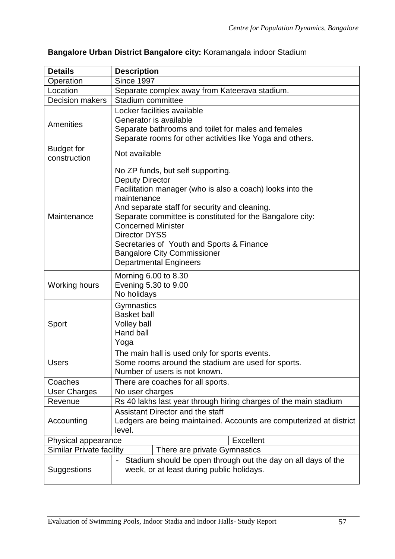| <b>Details</b>                          | <b>Description</b>                                                                                                                                                                                                                                                                                                                                                                                                             |  |  |
|-----------------------------------------|--------------------------------------------------------------------------------------------------------------------------------------------------------------------------------------------------------------------------------------------------------------------------------------------------------------------------------------------------------------------------------------------------------------------------------|--|--|
| Operation                               | <b>Since 1997</b>                                                                                                                                                                                                                                                                                                                                                                                                              |  |  |
| Location                                | Separate complex away from Kateerava stadium.                                                                                                                                                                                                                                                                                                                                                                                  |  |  |
| <b>Decision makers</b>                  | Stadium committee                                                                                                                                                                                                                                                                                                                                                                                                              |  |  |
| Amenities                               | Locker facilities available<br>Generator is available<br>Separate bathrooms and toilet for males and females<br>Separate rooms for other activities like Yoga and others.                                                                                                                                                                                                                                                      |  |  |
| <b>Budget for</b><br>construction       | Not available                                                                                                                                                                                                                                                                                                                                                                                                                  |  |  |
| Maintenance                             | No ZP funds, but self supporting.<br><b>Deputy Director</b><br>Facilitation manager (who is also a coach) looks into the<br>maintenance<br>And separate staff for security and cleaning.<br>Separate committee is constituted for the Bangalore city:<br><b>Concerned Minister</b><br><b>Director DYSS</b><br>Secretaries of Youth and Sports & Finance<br><b>Bangalore City Commissioner</b><br><b>Departmental Engineers</b> |  |  |
| <b>Working hours</b>                    | Morning 6.00 to 8.30<br>Evening 5.30 to 9.00<br>No holidays                                                                                                                                                                                                                                                                                                                                                                    |  |  |
| Sport                                   | Gymnastics<br><b>Basket ball</b><br>Volley ball<br>Hand ball<br>Yoga                                                                                                                                                                                                                                                                                                                                                           |  |  |
| <b>Users</b>                            | The main hall is used only for sports events.<br>Some rooms around the stadium are used for sports.<br>Number of users is not known.                                                                                                                                                                                                                                                                                           |  |  |
| Coaches                                 | There are coaches for all sports.                                                                                                                                                                                                                                                                                                                                                                                              |  |  |
| User Charges                            | No user charges                                                                                                                                                                                                                                                                                                                                                                                                                |  |  |
| Revenue                                 | Rs 40 lakhs last year through hiring charges of the main stadium                                                                                                                                                                                                                                                                                                                                                               |  |  |
| Accounting                              | Assistant Director and the staff<br>Ledgers are being maintained. Accounts are computerized at district<br>level.                                                                                                                                                                                                                                                                                                              |  |  |
| <b>Excellent</b><br>Physical appearance |                                                                                                                                                                                                                                                                                                                                                                                                                                |  |  |
| Similar Private facility                | There are private Gymnastics                                                                                                                                                                                                                                                                                                                                                                                                   |  |  |
| Suggestions                             | Stadium should be open through out the day on all days of the<br>$\qquad \qquad -$<br>week, or at least during public holidays.                                                                                                                                                                                                                                                                                                |  |  |

# **Bangalore Urban District Bangalore city:** Koramangala indoor Stadium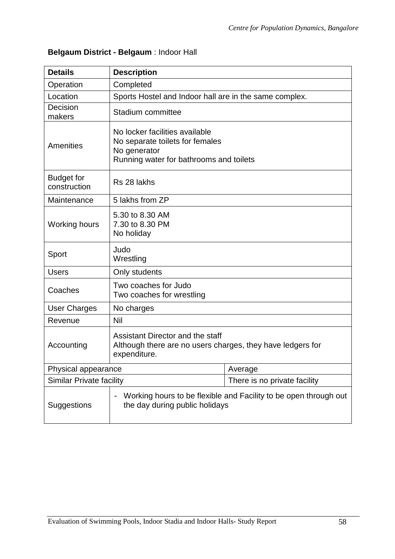|  |  | Belgaum District - Belgaum : Indoor Hall |  |  |  |
|--|--|------------------------------------------|--|--|--|
|--|--|------------------------------------------|--|--|--|

| <b>Details</b>                    | <b>Description</b>                                                                                                           |                                                                  |  |
|-----------------------------------|------------------------------------------------------------------------------------------------------------------------------|------------------------------------------------------------------|--|
| Operation                         | Completed                                                                                                                    |                                                                  |  |
| Location                          | Sports Hostel and Indoor hall are in the same complex.                                                                       |                                                                  |  |
| Decision<br>makers                | Stadium committee                                                                                                            |                                                                  |  |
| <b>Amenities</b>                  | No locker facilities available<br>No separate toilets for females<br>No generator<br>Running water for bathrooms and toilets |                                                                  |  |
| <b>Budget for</b><br>construction | Rs 28 lakhs                                                                                                                  |                                                                  |  |
| Maintenance                       | 5 lakhs from ZP                                                                                                              |                                                                  |  |
| Working hours                     | 5.30 to 8.30 AM<br>7.30 to 8.30 PM<br>No holiday                                                                             |                                                                  |  |
| Sport                             | Judo<br>Wrestling                                                                                                            |                                                                  |  |
| <b>Users</b>                      | Only students                                                                                                                |                                                                  |  |
| Coaches                           | Two coaches for Judo<br>Two coaches for wrestling                                                                            |                                                                  |  |
| User Charges                      | No charges                                                                                                                   |                                                                  |  |
| Revenue                           | Nil                                                                                                                          |                                                                  |  |
| Accounting                        | Assistant Director and the staff<br>Although there are no users charges, they have ledgers for<br>expenditure.               |                                                                  |  |
| Physical appearance               |                                                                                                                              | Average                                                          |  |
| <b>Similar Private facility</b>   |                                                                                                                              | There is no private facility                                     |  |
| Suggestions                       | the day during public holidays                                                                                               | Working hours to be flexible and Facility to be open through out |  |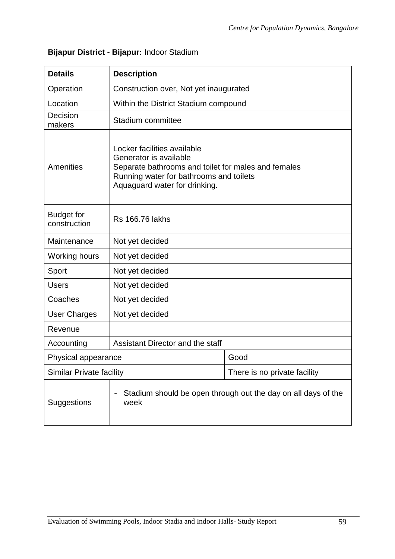| <b>Details</b>                    | <b>Description</b>                                                                                                                                                                       |                                                               |  |
|-----------------------------------|------------------------------------------------------------------------------------------------------------------------------------------------------------------------------------------|---------------------------------------------------------------|--|
| Operation                         | Construction over, Not yet inaugurated                                                                                                                                                   |                                                               |  |
| Location                          | Within the District Stadium compound                                                                                                                                                     |                                                               |  |
| Decision<br>makers                | Stadium committee                                                                                                                                                                        |                                                               |  |
| Amenities                         | Locker facilities available<br>Generator is available<br>Separate bathrooms and toilet for males and females<br>Running water for bathrooms and toilets<br>Aquaguard water for drinking. |                                                               |  |
| <b>Budget for</b><br>construction | <b>Rs 166.76 lakhs</b>                                                                                                                                                                   |                                                               |  |
| Maintenance                       | Not yet decided                                                                                                                                                                          |                                                               |  |
| <b>Working hours</b>              | Not yet decided                                                                                                                                                                          |                                                               |  |
| Sport                             | Not yet decided                                                                                                                                                                          |                                                               |  |
| <b>Users</b>                      | Not yet decided                                                                                                                                                                          |                                                               |  |
| Coaches                           | Not yet decided                                                                                                                                                                          |                                                               |  |
| <b>User Charges</b>               | Not yet decided                                                                                                                                                                          |                                                               |  |
| Revenue                           |                                                                                                                                                                                          |                                                               |  |
| Accounting                        | Assistant Director and the staff                                                                                                                                                         |                                                               |  |
| Physical appearance               |                                                                                                                                                                                          | Good                                                          |  |
| <b>Similar Private facility</b>   |                                                                                                                                                                                          | There is no private facility                                  |  |
| <b>Suggestions</b>                | week                                                                                                                                                                                     | Stadium should be open through out the day on all days of the |  |

# **Bijapur District - Bijapur:** Indoor Stadium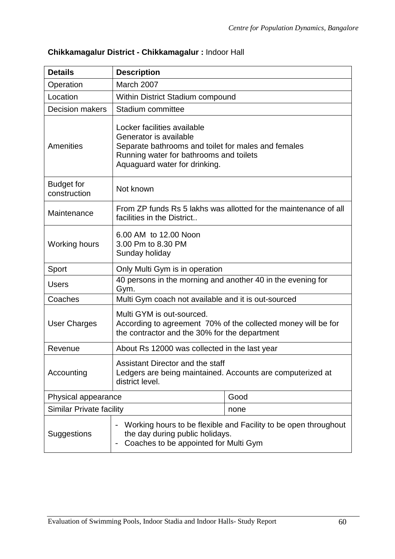| <b>Details</b>                    | <b>Description</b>                                                                                                                                                                       |                                                                 |
|-----------------------------------|------------------------------------------------------------------------------------------------------------------------------------------------------------------------------------------|-----------------------------------------------------------------|
| Operation                         | March 2007                                                                                                                                                                               |                                                                 |
| Location                          | Within District Stadium compound                                                                                                                                                         |                                                                 |
| <b>Decision makers</b>            | Stadium committee                                                                                                                                                                        |                                                                 |
| Amenities                         | Locker facilities available<br>Generator is available<br>Separate bathrooms and toilet for males and females<br>Running water for bathrooms and toilets<br>Aquaguard water for drinking. |                                                                 |
| <b>Budget for</b><br>construction | Not known                                                                                                                                                                                |                                                                 |
| Maintenance                       | From ZP funds Rs 5 lakhs was allotted for the maintenance of all<br>facilities in the District                                                                                           |                                                                 |
| <b>Working hours</b>              | 6.00 AM to 12.00 Noon<br>3.00 Pm to 8.30 PM<br>Sunday holiday                                                                                                                            |                                                                 |
| Sport                             | Only Multi Gym is in operation                                                                                                                                                           |                                                                 |
| <b>Users</b>                      | 40 persons in the morning and another 40 in the evening for<br>Gym.                                                                                                                      |                                                                 |
| Coaches                           | Multi Gym coach not available and it is out-sourced                                                                                                                                      |                                                                 |
| <b>User Charges</b>               | Multi GYM is out-sourced.<br>According to agreement 70% of the collected money will be for<br>the contractor and the 30% for the department                                              |                                                                 |
| Revenue                           | About Rs 12000 was collected in the last year                                                                                                                                            |                                                                 |
| Accounting                        | Assistant Director and the staff<br>Ledgers are being maintained. Accounts are computerized at<br>district level.                                                                        |                                                                 |
| Physical appearance               |                                                                                                                                                                                          | Good                                                            |
| <b>Similar Private facility</b>   |                                                                                                                                                                                          | none                                                            |
| Suggestions                       | the day during public holidays.<br>Coaches to be appointed for Multi Gym                                                                                                                 | Working hours to be flexible and Facility to be open throughout |

# **Chikkamagalur District - Chikkamagalur :** Indoor Hall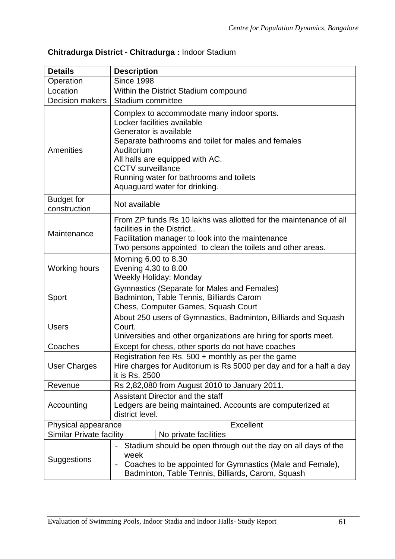| <b>Details</b>                    | <b>Description</b>                                                                                                                                                                                                                                                                                                  |  |
|-----------------------------------|---------------------------------------------------------------------------------------------------------------------------------------------------------------------------------------------------------------------------------------------------------------------------------------------------------------------|--|
| Operation                         | <b>Since 1998</b>                                                                                                                                                                                                                                                                                                   |  |
| Location                          | Within the District Stadium compound                                                                                                                                                                                                                                                                                |  |
| <b>Decision makers</b>            | Stadium committee                                                                                                                                                                                                                                                                                                   |  |
| Amenities                         | Complex to accommodate many indoor sports.<br>Locker facilities available<br>Generator is available<br>Separate bathrooms and toilet for males and females<br>Auditorium<br>All halls are equipped with AC.<br><b>CCTV</b> surveillance<br>Running water for bathrooms and toilets<br>Aquaguard water for drinking. |  |
| <b>Budget for</b><br>construction | Not available                                                                                                                                                                                                                                                                                                       |  |
| Maintenance                       | From ZP funds Rs 10 lakhs was allotted for the maintenance of all<br>facilities in the District<br>Facilitation manager to look into the maintenance<br>Two persons appointed to clean the toilets and other areas.                                                                                                 |  |
| <b>Working hours</b>              | Morning 6.00 to 8.30<br>Evening 4.30 to 8.00<br><b>Weekly Holiday: Monday</b>                                                                                                                                                                                                                                       |  |
| Sport                             | Gymnastics (Separate for Males and Females)<br>Badminton, Table Tennis, Billiards Carom<br>Chess, Computer Games, Squash Court                                                                                                                                                                                      |  |
| <b>Users</b>                      | About 250 users of Gymnastics, Badminton, Billiards and Squash<br>Court.<br>Universities and other organizations are hiring for sports meet.                                                                                                                                                                        |  |
| Coaches                           | Except for chess, other sports do not have coaches                                                                                                                                                                                                                                                                  |  |
| <b>User Charges</b>               | Registration fee Rs. $500 +$ monthly as per the game<br>Hire charges for Auditorium is Rs 5000 per day and for a half a day<br>it is Rs. 2500                                                                                                                                                                       |  |
| Revenue                           | Rs 2,82,080 from August 2010 to January 2011.                                                                                                                                                                                                                                                                       |  |
| Accounting                        | Assistant Director and the staff<br>Ledgers are being maintained. Accounts are computerized at<br>district level.                                                                                                                                                                                                   |  |
| Excellent<br>Physical appearance  |                                                                                                                                                                                                                                                                                                                     |  |
| <b>Similar Private facility</b>   | No private facilities                                                                                                                                                                                                                                                                                               |  |
| Suggestions                       | Stadium should be open through out the day on all days of the<br>week<br>Coaches to be appointed for Gymnastics (Male and Female),<br>$\qquad \qquad -$<br>Badminton, Table Tennis, Billiards, Carom, Squash                                                                                                        |  |

# **Chitradurga District - Chitradurga :** Indoor Stadium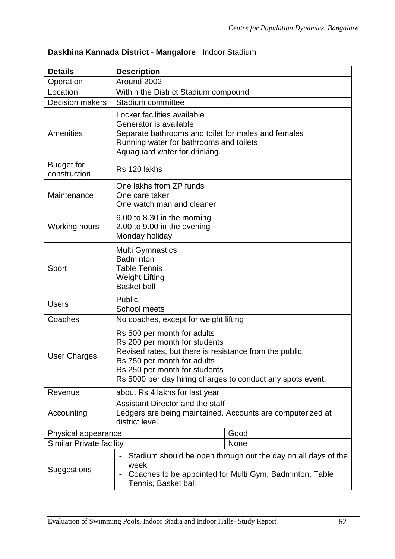| <b>Details</b>                    | <b>Description</b>                                                                                                                                                                                                                                    |                                                                                                                          |  |
|-----------------------------------|-------------------------------------------------------------------------------------------------------------------------------------------------------------------------------------------------------------------------------------------------------|--------------------------------------------------------------------------------------------------------------------------|--|
| Operation                         | Around 2002                                                                                                                                                                                                                                           |                                                                                                                          |  |
| Location                          | Within the District Stadium compound                                                                                                                                                                                                                  |                                                                                                                          |  |
| <b>Decision makers</b>            | Stadium committee                                                                                                                                                                                                                                     |                                                                                                                          |  |
| Amenities                         | Locker facilities available<br>Generator is available<br>Separate bathrooms and toilet for males and females<br>Running water for bathrooms and toilets<br>Aquaguard water for drinking.                                                              |                                                                                                                          |  |
| <b>Budget for</b><br>construction | Rs 120 lakhs                                                                                                                                                                                                                                          |                                                                                                                          |  |
| Maintenance                       | One lakhs from ZP funds<br>One care taker<br>One watch man and cleaner                                                                                                                                                                                |                                                                                                                          |  |
| <b>Working hours</b>              | 6.00 to 8.30 in the morning<br>2.00 to 9.00 in the evening<br>Monday holiday                                                                                                                                                                          |                                                                                                                          |  |
| Sport                             | <b>Multi Gymnastics</b><br><b>Badminton</b><br><b>Table Tennis</b><br><b>Weight Lifting</b><br><b>Basket ball</b>                                                                                                                                     |                                                                                                                          |  |
| <b>Users</b>                      | Public<br><b>School meets</b>                                                                                                                                                                                                                         |                                                                                                                          |  |
| Coaches                           | No coaches, except for weight lifting                                                                                                                                                                                                                 |                                                                                                                          |  |
| <b>User Charges</b>               | Rs 500 per month for adults<br>Rs 200 per month for students<br>Revised rates, but there is resistance from the public.<br>Rs 750 per month for adults<br>Rs 250 per month for students<br>Rs 5000 per day hiring charges to conduct any spots event. |                                                                                                                          |  |
| Revenue                           | about Rs 4 lakhs for last year                                                                                                                                                                                                                        |                                                                                                                          |  |
| Accounting                        | Assistant Director and the staff<br>Ledgers are being maintained. Accounts are computerized at<br>district level.                                                                                                                                     |                                                                                                                          |  |
| Physical appearance               |                                                                                                                                                                                                                                                       | Good                                                                                                                     |  |
| <b>Similar Private facility</b>   |                                                                                                                                                                                                                                                       | None                                                                                                                     |  |
| Suggestions                       | $\qquad \qquad -$<br>week<br>Tennis, Basket ball                                                                                                                                                                                                      | Stadium should be open through out the day on all days of the<br>Coaches to be appointed for Multi Gym, Badminton, Table |  |

# **Daskhina Kannada District - Mangalore** : Indoor Stadium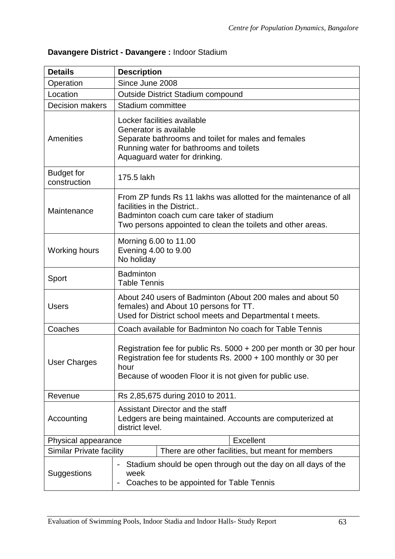| <b>Details</b>                    | <b>Description</b>                                                                                                                                                                                          |  |
|-----------------------------------|-------------------------------------------------------------------------------------------------------------------------------------------------------------------------------------------------------------|--|
| Operation                         | Since June 2008                                                                                                                                                                                             |  |
| Location                          | <b>Outside District Stadium compound</b>                                                                                                                                                                    |  |
| <b>Decision makers</b>            | Stadium committee                                                                                                                                                                                           |  |
| <b>Amenities</b>                  | Locker facilities available<br>Generator is available<br>Separate bathrooms and toilet for males and females<br>Running water for bathrooms and toilets<br>Aquaguard water for drinking.                    |  |
| <b>Budget for</b><br>construction | 175.5 lakh                                                                                                                                                                                                  |  |
| Maintenance                       | From ZP funds Rs 11 lakhs was allotted for the maintenance of all<br>facilities in the District<br>Badminton coach cum care taker of stadium<br>Two persons appointed to clean the toilets and other areas. |  |
| <b>Working hours</b>              | Morning 6.00 to 11.00<br>Evening 4.00 to 9.00<br>No holiday                                                                                                                                                 |  |
| Sport                             | <b>Badminton</b><br><b>Table Tennis</b>                                                                                                                                                                     |  |
| <b>Users</b>                      | About 240 users of Badminton (About 200 males and about 50<br>females) and About 10 persons for TT.<br>Used for District school meets and Departmental t meets.                                             |  |
| Coaches                           | Coach available for Badminton No coach for Table Tennis                                                                                                                                                     |  |
| <b>User Charges</b>               | Registration fee for public Rs. 5000 + 200 per month or 30 per hour<br>Registration fee for students Rs. 2000 + 100 monthly or 30 per<br>hour<br>Because of wooden Floor it is not given for public use.    |  |
| Revenue                           | Rs 2,85,675 during 2010 to 2011.                                                                                                                                                                            |  |
| Accounting                        | Assistant Director and the staff<br>Ledgers are being maintained. Accounts are computerized at<br>district level.                                                                                           |  |
| Physical appearance               | <b>Excellent</b>                                                                                                                                                                                            |  |
| Similar Private facility          | There are other facilities, but meant for members                                                                                                                                                           |  |
| Suggestions                       | Stadium should be open through out the day on all days of the<br>$\qquad \qquad -$<br>week<br>Coaches to be appointed for Table Tennis                                                                      |  |

# **Davangere District - Davangere :** Indoor Stadium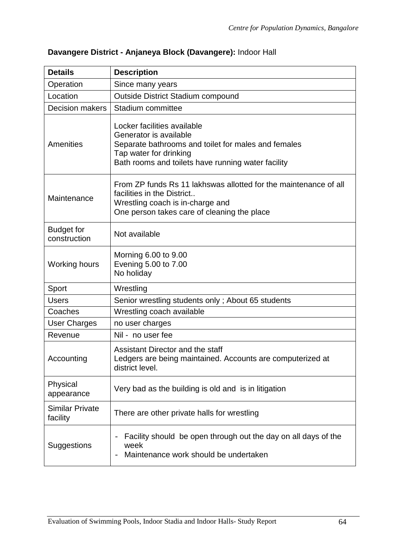| <b>Details</b>                     | <b>Description</b>                                                                                                                                                                           |  |
|------------------------------------|----------------------------------------------------------------------------------------------------------------------------------------------------------------------------------------------|--|
| Operation                          | Since many years                                                                                                                                                                             |  |
| Location                           | <b>Outside District Stadium compound</b>                                                                                                                                                     |  |
| <b>Decision makers</b>             | Stadium committee                                                                                                                                                                            |  |
| Amenities                          | Locker facilities available<br>Generator is available<br>Separate bathrooms and toilet for males and females<br>Tap water for drinking<br>Bath rooms and toilets have running water facility |  |
| Maintenance                        | From ZP funds Rs 11 lakhswas allotted for the maintenance of all<br>facilities in the District<br>Wrestling coach is in-charge and<br>One person takes care of cleaning the place            |  |
| <b>Budget for</b><br>construction  | Not available                                                                                                                                                                                |  |
| <b>Working hours</b>               | Morning 6.00 to 9.00<br>Evening 5.00 to 7.00<br>No holiday                                                                                                                                   |  |
| Sport                              | Wrestling                                                                                                                                                                                    |  |
| <b>Users</b>                       | Senior wrestling students only; About 65 students                                                                                                                                            |  |
| Coaches                            | Wrestling coach available                                                                                                                                                                    |  |
| <b>User Charges</b>                | no user charges                                                                                                                                                                              |  |
| Revenue                            | Nil - no user fee                                                                                                                                                                            |  |
| Accounting                         | Assistant Director and the staff<br>Ledgers are being maintained. Accounts are computerized at<br>district level.                                                                            |  |
| Physical<br>appearance             | Very bad as the building is old and is in litigation                                                                                                                                         |  |
| <b>Similar Private</b><br>facility | There are other private halls for wrestling                                                                                                                                                  |  |
| Suggestions                        | Facility should be open through out the day on all days of the<br>week<br>Maintenance work should be undertaken                                                                              |  |

# **Davangere District - Anjaneya Block (Davangere):** Indoor Hall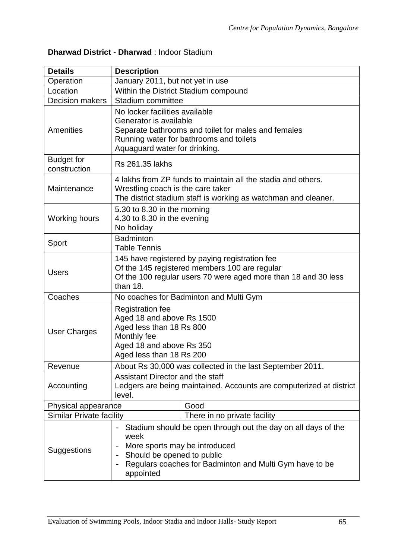# **Dharwad District - Dharwad** : Indoor Stadium

| <b>Details</b>                    | <b>Description</b>                                                                                                                                                                          |                                                                                                                                                                                         |  |
|-----------------------------------|---------------------------------------------------------------------------------------------------------------------------------------------------------------------------------------------|-----------------------------------------------------------------------------------------------------------------------------------------------------------------------------------------|--|
| Operation                         | January 2011, but not yet in use                                                                                                                                                            |                                                                                                                                                                                         |  |
| Location                          | Within the District Stadium compound                                                                                                                                                        |                                                                                                                                                                                         |  |
| <b>Decision makers</b>            | Stadium committee                                                                                                                                                                           |                                                                                                                                                                                         |  |
| <b>Amenities</b>                  | No locker facilities available<br>Generator is available<br>Separate bathrooms and toilet for males and females<br>Running water for bathrooms and toilets<br>Aquaguard water for drinking. |                                                                                                                                                                                         |  |
| <b>Budget for</b><br>construction | Rs 261.35 lakhs                                                                                                                                                                             |                                                                                                                                                                                         |  |
| Maintenance                       | Wrestling coach is the care taker                                                                                                                                                           | 4 lakhs from ZP funds to maintain all the stadia and others.<br>The district stadium staff is working as watchman and cleaner.                                                          |  |
| <b>Working hours</b>              | 5.30 to 8.30 in the morning<br>4.30 to 8.30 in the evening<br>No holiday                                                                                                                    |                                                                                                                                                                                         |  |
| Sport                             | <b>Badminton</b><br><b>Table Tennis</b>                                                                                                                                                     |                                                                                                                                                                                         |  |
| <b>Users</b>                      | 145 have registered by paying registration fee<br>Of the 145 registered members 100 are regular<br>Of the 100 regular users 70 were aged more than 18 and 30 less<br>than 18.               |                                                                                                                                                                                         |  |
| Coaches                           | No coaches for Badminton and Multi Gym                                                                                                                                                      |                                                                                                                                                                                         |  |
| <b>User Charges</b>               | <b>Registration fee</b><br>Aged 18 and above Rs 1500<br>Aged less than 18 Rs 800<br>Monthly fee<br>Aged 18 and above Rs 350<br>Aged less than 18 Rs 200                                     |                                                                                                                                                                                         |  |
| Revenue                           | About Rs 30,000 was collected in the last September 2011.                                                                                                                                   |                                                                                                                                                                                         |  |
| Accounting                        | Assistant Director and the staff<br>Ledgers are being maintained. Accounts are computerized at district<br>level.                                                                           |                                                                                                                                                                                         |  |
| Physical appearance               |                                                                                                                                                                                             | Good                                                                                                                                                                                    |  |
| <b>Similar Private facility</b>   |                                                                                                                                                                                             | There in no private facility                                                                                                                                                            |  |
| Suggestions                       | -<br>week<br>appointed                                                                                                                                                                      | Stadium should be open through out the day on all days of the<br>More sports may be introduced<br>Should be opened to public<br>Regulars coaches for Badminton and Multi Gym have to be |  |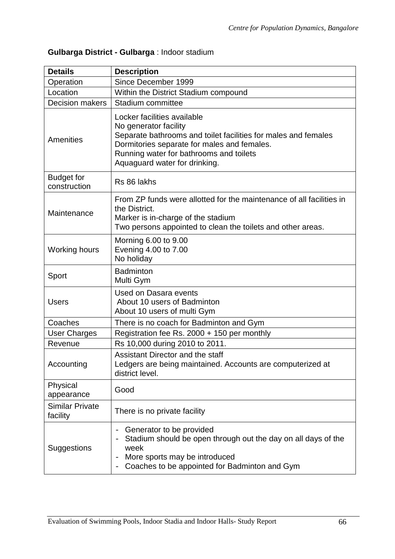|  |  |  | Gulbarga District - Gulbarga : Indoor stadium |  |
|--|--|--|-----------------------------------------------|--|
|--|--|--|-----------------------------------------------|--|

| <b>Details</b>                     | <b>Description</b>                                                                                                                                                                                                                                |  |  |
|------------------------------------|---------------------------------------------------------------------------------------------------------------------------------------------------------------------------------------------------------------------------------------------------|--|--|
| Operation                          | Since December 1999                                                                                                                                                                                                                               |  |  |
| Location                           | Within the District Stadium compound                                                                                                                                                                                                              |  |  |
| <b>Decision makers</b>             | Stadium committee                                                                                                                                                                                                                                 |  |  |
| Amenities                          | Locker facilities available<br>No generator facility<br>Separate bathrooms and toilet facilities for males and females<br>Dormitories separate for males and females.<br>Running water for bathrooms and toilets<br>Aquaguard water for drinking. |  |  |
| <b>Budget for</b><br>construction  | Rs 86 lakhs                                                                                                                                                                                                                                       |  |  |
| Maintenance                        | From ZP funds were allotted for the maintenance of all facilities in<br>the District.<br>Marker is in-charge of the stadium<br>Two persons appointed to clean the toilets and other areas.                                                        |  |  |
| <b>Working hours</b>               | Morning 6.00 to 9.00<br>Evening 4.00 to 7.00<br>No holiday                                                                                                                                                                                        |  |  |
| Sport                              | <b>Badminton</b><br>Multi Gym                                                                                                                                                                                                                     |  |  |
| <b>Users</b>                       | Used on Dasara events<br>About 10 users of Badminton<br>About 10 users of multi Gym                                                                                                                                                               |  |  |
| Coaches                            | There is no coach for Badminton and Gym                                                                                                                                                                                                           |  |  |
| <b>User Charges</b>                | Registration fee Rs. 2000 + 150 per monthly                                                                                                                                                                                                       |  |  |
| Revenue                            | Rs 10,000 during 2010 to 2011.                                                                                                                                                                                                                    |  |  |
| Accounting                         | Assistant Director and the staff<br>Ledgers are being maintained. Accounts are computerized at<br>district level.                                                                                                                                 |  |  |
| Physical<br>appearance             | Good                                                                                                                                                                                                                                              |  |  |
| <b>Similar Private</b><br>facility | There is no private facility                                                                                                                                                                                                                      |  |  |
| <b>Suggestions</b>                 | Generator to be provided<br>Stadium should be open through out the day on all days of the<br>week<br>More sports may be introduced<br>Coaches to be appointed for Badminton and Gym                                                               |  |  |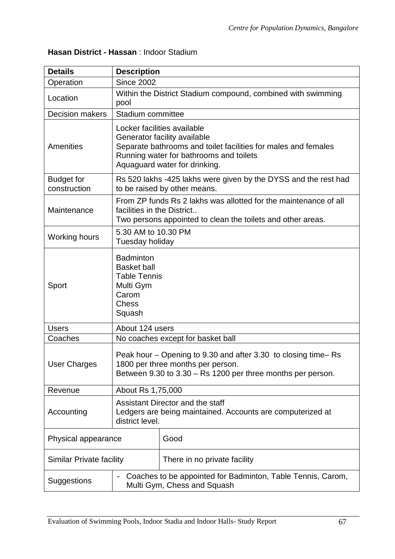# **Hasan District - Hassan** : Indoor Stadium

| <b>Details</b>                    | <b>Description</b>                                                                                                                                                                                        |  |  |
|-----------------------------------|-----------------------------------------------------------------------------------------------------------------------------------------------------------------------------------------------------------|--|--|
| Operation                         | <b>Since 2002</b>                                                                                                                                                                                         |  |  |
| Location                          | Within the District Stadium compound, combined with swimming<br>pool                                                                                                                                      |  |  |
| <b>Decision makers</b>            | Stadium committee                                                                                                                                                                                         |  |  |
| <b>Amenities</b>                  | Locker facilities available<br>Generator facility available<br>Separate bathrooms and toilet facilities for males and females<br>Running water for bathrooms and toilets<br>Aquaguard water for drinking. |  |  |
| <b>Budget for</b><br>construction | Rs 520 lakhs -425 lakhs were given by the DYSS and the rest had<br>to be raised by other means.                                                                                                           |  |  |
| Maintenance                       | From ZP funds Rs 2 lakhs was allotted for the maintenance of all<br>facilities in the District<br>Two persons appointed to clean the toilets and other areas.                                             |  |  |
| <b>Working hours</b>              | 5.30 AM to 10.30 PM<br>Tuesday holiday                                                                                                                                                                    |  |  |
| Sport                             | <b>Badminton</b><br><b>Basket ball</b><br><b>Table Tennis</b><br>Multi Gym<br>Carom<br><b>Chess</b><br>Squash                                                                                             |  |  |
| <b>Users</b>                      | About 124 users                                                                                                                                                                                           |  |  |
| Coaches                           | No coaches except for basket ball                                                                                                                                                                         |  |  |
| <b>User Charges</b>               | Peak hour – Opening to 9.30 and after 3.30 to closing time– Rs<br>1800 per three months per person.<br>Between 9.30 to 3.30 - Rs 1200 per three months per person.                                        |  |  |
| Revenue                           | About Rs 1,75,000                                                                                                                                                                                         |  |  |
| Accounting                        | Assistant Director and the staff<br>Ledgers are being maintained. Accounts are computerized at<br>district level.                                                                                         |  |  |
| Physical appearance               | Good                                                                                                                                                                                                      |  |  |
| Similar Private facility          | There in no private facility                                                                                                                                                                              |  |  |
| Suggestions                       | Coaches to be appointed for Badminton, Table Tennis, Carom,<br>$\qquad \qquad -$<br>Multi Gym, Chess and Squash                                                                                           |  |  |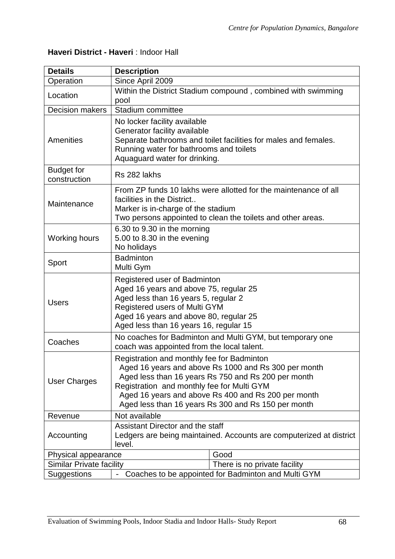# **Haveri District - Haveri** : Indoor Hall

| <b>Details</b>                    | <b>Description</b>                                                                                                                                                                                                                                                                                                    |  |  |
|-----------------------------------|-----------------------------------------------------------------------------------------------------------------------------------------------------------------------------------------------------------------------------------------------------------------------------------------------------------------------|--|--|
| Operation                         | Since April 2009                                                                                                                                                                                                                                                                                                      |  |  |
| Location                          | Within the District Stadium compound, combined with swimming<br>pool                                                                                                                                                                                                                                                  |  |  |
| <b>Decision makers</b>            | Stadium committee                                                                                                                                                                                                                                                                                                     |  |  |
| <b>Amenities</b>                  | No locker facility available<br>Generator facility available<br>Separate bathrooms and toilet facilities for males and females.<br>Running water for bathrooms and toilets<br>Aquaguard water for drinking.                                                                                                           |  |  |
| <b>Budget for</b><br>construction | Rs 282 lakhs                                                                                                                                                                                                                                                                                                          |  |  |
| Maintenance                       | From ZP funds 10 lakhs were allotted for the maintenance of all<br>facilities in the District<br>Marker is in-charge of the stadium<br>Two persons appointed to clean the toilets and other areas.                                                                                                                    |  |  |
| <b>Working hours</b>              | 6.30 to 9.30 in the morning<br>5.00 to 8.30 in the evening<br>No holidays                                                                                                                                                                                                                                             |  |  |
| Sport                             | <b>Badminton</b><br>Multi Gym                                                                                                                                                                                                                                                                                         |  |  |
| <b>Users</b>                      | Registered user of Badminton<br>Aged 16 years and above 75, regular 25<br>Aged less than 16 years 5, regular 2<br>Registered users of Multi GYM<br>Aged 16 years and above 80, regular 25<br>Aged less than 16 years 16, regular 15                                                                                   |  |  |
| Coaches                           | No coaches for Badminton and Multi GYM, but temporary one<br>coach was appointed from the local talent.                                                                                                                                                                                                               |  |  |
| <b>User Charges</b>               | Registration and monthly fee for Badminton<br>Aged 16 years and above Rs 1000 and Rs 300 per month<br>Aged less than 16 years Rs 750 and Rs 200 per month<br>Registration and monthly fee for Multi GYM<br>Aged 16 years and above Rs 400 and Rs 200 per month<br>Aged less than 16 years Rs 300 and Rs 150 per month |  |  |
| Revenue                           | Not available                                                                                                                                                                                                                                                                                                         |  |  |
| Accounting                        | Assistant Director and the staff<br>Ledgers are being maintained. Accounts are computerized at district<br>level.                                                                                                                                                                                                     |  |  |
| Physical appearance               | Good                                                                                                                                                                                                                                                                                                                  |  |  |
| <b>Similar Private facility</b>   | There is no private facility                                                                                                                                                                                                                                                                                          |  |  |
| Suggestions                       | Coaches to be appointed for Badminton and Multi GYM<br>$\overline{\phantom{0}}$                                                                                                                                                                                                                                       |  |  |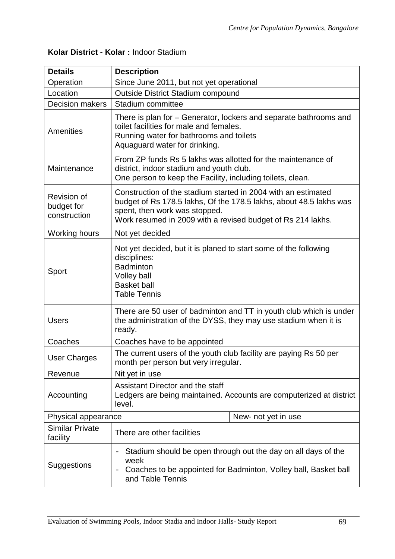| Kolar District - Kolar: Indoor Stadium |  |  |  |
|----------------------------------------|--|--|--|
|----------------------------------------|--|--|--|

| <b>Details</b>                                   | <b>Description</b>                                                                                                                                                                                                                  |  |  |
|--------------------------------------------------|-------------------------------------------------------------------------------------------------------------------------------------------------------------------------------------------------------------------------------------|--|--|
| Operation                                        | Since June 2011, but not yet operational                                                                                                                                                                                            |  |  |
| Location                                         | <b>Outside District Stadium compound</b>                                                                                                                                                                                            |  |  |
| <b>Decision makers</b>                           | Stadium committee                                                                                                                                                                                                                   |  |  |
| Amenities                                        | There is plan for – Generator, lockers and separate bathrooms and<br>toilet facilities for male and females.<br>Running water for bathrooms and toilets<br>Aquaguard water for drinking.                                            |  |  |
| Maintenance                                      | From ZP funds Rs 5 lakhs was allotted for the maintenance of<br>district, indoor stadium and youth club.<br>One person to keep the Facility, including toilets, clean.                                                              |  |  |
| <b>Revision of</b><br>budget for<br>construction | Construction of the stadium started in 2004 with an estimated<br>budget of Rs 178.5 lakhs, Of the 178.5 lakhs, about 48.5 lakhs was<br>spent, then work was stopped.<br>Work resumed in 2009 with a revised budget of Rs 214 lakhs. |  |  |
| Working hours                                    | Not yet decided                                                                                                                                                                                                                     |  |  |
| Sport                                            | Not yet decided, but it is planed to start some of the following<br>disciplines:<br><b>Badminton</b><br><b>Volley ball</b><br><b>Basket ball</b><br><b>Table Tennis</b>                                                             |  |  |
| <b>Users</b>                                     | There are 50 user of badminton and TT in youth club which is under<br>the administration of the DYSS, they may use stadium when it is<br>ready.                                                                                     |  |  |
| Coaches                                          | Coaches have to be appointed                                                                                                                                                                                                        |  |  |
| <b>User Charges</b>                              | The current users of the youth club facility are paying Rs 50 per<br>month per person but very irregular.                                                                                                                           |  |  |
| Revenue                                          | Nit yet in use                                                                                                                                                                                                                      |  |  |
| Accounting                                       | Assistant Director and the staff<br>Ledgers are being maintained. Accounts are computerized at district<br>level.                                                                                                                   |  |  |
| Physical appearance                              | New- not yet in use                                                                                                                                                                                                                 |  |  |
| <b>Similar Private</b><br>facility               | There are other facilities                                                                                                                                                                                                          |  |  |
| Suggestions                                      | Stadium should be open through out the day on all days of the<br>$\qquad \qquad -$<br>week<br>Coaches to be appointed for Badminton, Volley ball, Basket ball<br>$\qquad \qquad -$<br>and Table Tennis                              |  |  |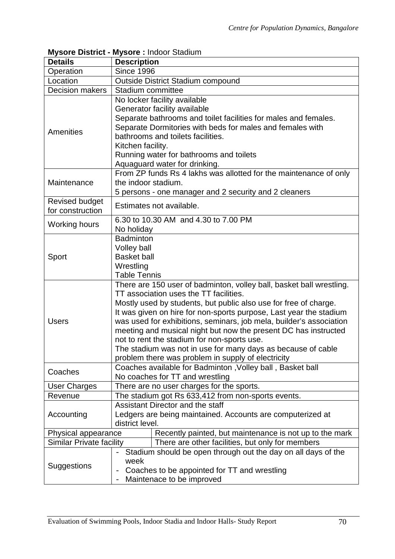|                                 | mysore District - mysore . muodi Stadium                             |  |  |  |
|---------------------------------|----------------------------------------------------------------------|--|--|--|
| <b>Details</b>                  | <b>Description</b>                                                   |  |  |  |
| Operation                       | <b>Since 1996</b>                                                    |  |  |  |
| Location                        | <b>Outside District Stadium compound</b>                             |  |  |  |
| <b>Decision makers</b>          | Stadium committee                                                    |  |  |  |
|                                 | No locker facility available                                         |  |  |  |
|                                 | Generator facility available                                         |  |  |  |
|                                 | Separate bathrooms and toilet facilities for males and females.      |  |  |  |
|                                 | Separate Dormitories with beds for males and females with            |  |  |  |
| Amenities                       | bathrooms and toilets facilities.                                    |  |  |  |
|                                 | Kitchen facility.                                                    |  |  |  |
|                                 | Running water for bathrooms and toilets                              |  |  |  |
|                                 |                                                                      |  |  |  |
|                                 | Aquaguard water for drinking.                                        |  |  |  |
|                                 | From ZP funds Rs 4 lakhs was allotted for the maintenance of only    |  |  |  |
| Maintenance                     | the indoor stadium.                                                  |  |  |  |
|                                 | 5 persons - one manager and 2 security and 2 cleaners                |  |  |  |
| <b>Revised budget</b>           | Estimates not available.                                             |  |  |  |
| for construction                |                                                                      |  |  |  |
| <b>Working hours</b>            | 6.30 to 10.30 AM and 4.30 to 7.00 PM                                 |  |  |  |
|                                 | No holiday                                                           |  |  |  |
|                                 | <b>Badminton</b>                                                     |  |  |  |
|                                 | Volley ball                                                          |  |  |  |
| Sport                           | <b>Basket ball</b>                                                   |  |  |  |
|                                 | Wrestling                                                            |  |  |  |
|                                 | <b>Table Tennis</b>                                                  |  |  |  |
|                                 | There are 150 user of badminton, volley ball, basket ball wrestling. |  |  |  |
|                                 | TT association uses the TT facilities.                               |  |  |  |
|                                 | Mostly used by students, but public also use for free of charge.     |  |  |  |
|                                 | It was given on hire for non-sports purpose, Last year the stadium   |  |  |  |
| <b>Users</b>                    | was used for exhibitions, seminars, job mela, builder's association  |  |  |  |
|                                 | meeting and musical night but now the present DC has instructed      |  |  |  |
|                                 | not to rent the stadium for non-sports use.                          |  |  |  |
|                                 | The stadium was not in use for many days as because of cable         |  |  |  |
|                                 | problem there was problem in supply of electricity                   |  |  |  |
|                                 | Coaches available for Badminton, Volley ball, Basket ball            |  |  |  |
| Coaches                         | No coaches for TT and wrestling                                      |  |  |  |
|                                 |                                                                      |  |  |  |
| <b>User Charges</b>             | There are no user charges for the sports.                            |  |  |  |
| Revenue                         | The stadium got Rs 633,412 from non-sports events.                   |  |  |  |
|                                 | Assistant Director and the staff                                     |  |  |  |
| Accounting                      | Ledgers are being maintained. Accounts are computerized at           |  |  |  |
|                                 | district level.                                                      |  |  |  |
| Physical appearance             | Recently painted, but maintenance is not up to the mark              |  |  |  |
| <b>Similar Private facility</b> | There are other facilities, but only for members                     |  |  |  |
|                                 | Stadium should be open through out the day on all days of the        |  |  |  |
| Suggestions                     | week                                                                 |  |  |  |
|                                 | Coaches to be appointed for TT and wrestling                         |  |  |  |
|                                 | Maintenace to be improved                                            |  |  |  |

## **Mysore District - Mysore :** Indoor Stadium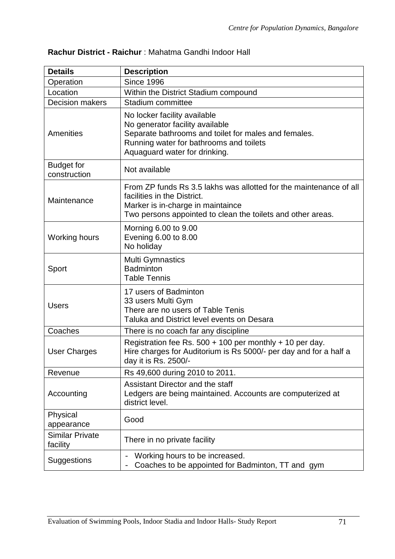| <b>Details</b>                     | <b>Description</b>                                                                                                                                                                                    |  |  |
|------------------------------------|-------------------------------------------------------------------------------------------------------------------------------------------------------------------------------------------------------|--|--|
| Operation                          | <b>Since 1996</b>                                                                                                                                                                                     |  |  |
| Location                           | Within the District Stadium compound                                                                                                                                                                  |  |  |
| <b>Decision makers</b>             | Stadium committee                                                                                                                                                                                     |  |  |
| <b>Amenities</b>                   | No locker facility available<br>No generator facility available<br>Separate bathrooms and toilet for males and females.<br>Running water for bathrooms and toilets<br>Aquaguard water for drinking.   |  |  |
| <b>Budget for</b><br>construction  | Not available                                                                                                                                                                                         |  |  |
| Maintenance                        | From ZP funds Rs 3.5 lakhs was allotted for the maintenance of all<br>facilities in the District.<br>Marker is in-charge in maintaince<br>Two persons appointed to clean the toilets and other areas. |  |  |
| Working hours                      | Morning 6.00 to 9.00<br>Evening 6.00 to 8.00<br>No holiday                                                                                                                                            |  |  |
| Sport                              | <b>Multi Gymnastics</b><br><b>Badminton</b><br><b>Table Tennis</b>                                                                                                                                    |  |  |
| <b>Users</b>                       | 17 users of Badminton<br>33 users Multi Gym<br>There are no users of Table Tenis<br>Taluka and District level events on Desara                                                                        |  |  |
| Coaches                            | There is no coach far any discipline                                                                                                                                                                  |  |  |
| <b>User Charges</b>                | Registration fee Rs. $500 + 100$ per monthly + 10 per day.<br>Hire charges for Auditorium is Rs 5000/- per day and for a half a<br>day it is Rs. 2500/-                                               |  |  |
| Revenue                            | Rs 49,600 during 2010 to 2011.                                                                                                                                                                        |  |  |
| Accounting                         | Assistant Director and the staff<br>Ledgers are being maintained. Accounts are computerized at<br>district level.                                                                                     |  |  |
| Physical<br>appearance             | Good                                                                                                                                                                                                  |  |  |
| <b>Similar Private</b><br>facility | There in no private facility                                                                                                                                                                          |  |  |
| <b>Suggestions</b>                 | Working hours to be increased.<br>Coaches to be appointed for Badminton, TT and gym                                                                                                                   |  |  |

# **Rachur District - Raichur** : Mahatma Gandhi Indoor Hall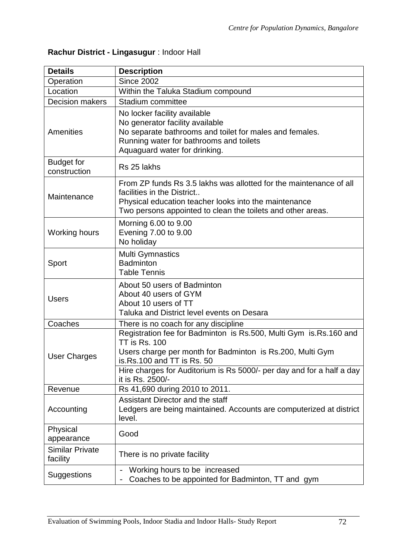| <b>Details</b>                     | <b>Description</b>                                                                                                                                                                                                                                                                |
|------------------------------------|-----------------------------------------------------------------------------------------------------------------------------------------------------------------------------------------------------------------------------------------------------------------------------------|
| Operation                          | <b>Since 2002</b>                                                                                                                                                                                                                                                                 |
| Location                           | Within the Taluka Stadium compound                                                                                                                                                                                                                                                |
| <b>Decision makers</b>             | Stadium committee                                                                                                                                                                                                                                                                 |
| Amenities                          | No locker facility available<br>No generator facility available<br>No separate bathrooms and toilet for males and females.<br>Running water for bathrooms and toilets<br>Aquaguard water for drinking.                                                                            |
| <b>Budget for</b><br>construction  | Rs 25 lakhs                                                                                                                                                                                                                                                                       |
| Maintenance                        | From ZP funds Rs 3.5 lakhs was allotted for the maintenance of all<br>facilities in the District<br>Physical education teacher looks into the maintenance<br>Two persons appointed to clean the toilets and other areas.                                                          |
| <b>Working hours</b>               | Morning 6.00 to 9.00<br>Evening 7.00 to 9.00<br>No holiday                                                                                                                                                                                                                        |
| Sport                              | <b>Multi Gymnastics</b><br><b>Badminton</b><br><b>Table Tennis</b>                                                                                                                                                                                                                |
| <b>Users</b>                       | About 50 users of Badminton<br>About 40 users of GYM<br>About 10 users of TT<br>Taluka and District level events on Desara                                                                                                                                                        |
| Coaches                            | There is no coach for any discipline                                                                                                                                                                                                                                              |
| <b>User Charges</b>                | Registration fee for Badminton is Rs.500, Multi Gym is.Rs.160 and<br><b>TT is Rs. 100</b><br>Users charge per month for Badminton is Rs.200, Multi Gym<br>is.Rs.100 and TT is Rs. 50<br>Hire charges for Auditorium is Rs 5000/- per day and for a half a day<br>it is Rs. 2500/- |
| Revenue                            | Rs 41,690 during 2010 to 2011.                                                                                                                                                                                                                                                    |
| Accounting                         | Assistant Director and the staff<br>Ledgers are being maintained. Accounts are computerized at district<br>level.                                                                                                                                                                 |
| Physical<br>appearance             | Good                                                                                                                                                                                                                                                                              |
| <b>Similar Private</b><br>facility | There is no private facility                                                                                                                                                                                                                                                      |
| Suggestions                        | Working hours to be increased<br>Coaches to be appointed for Badminton, TT and gym                                                                                                                                                                                                |

# **Rachur District - Lingasugur** : Indoor Hall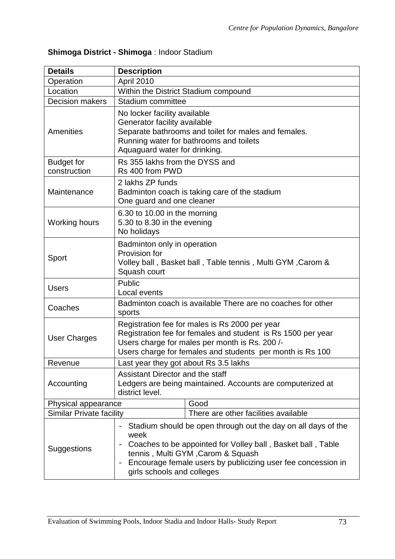# **Shimoga District - Shimoga** : Indoor Stadium

| <b>Details</b>                    | <b>Description</b>                                                                                                                                                                                                                                                      |                                               |  |  |
|-----------------------------------|-------------------------------------------------------------------------------------------------------------------------------------------------------------------------------------------------------------------------------------------------------------------------|-----------------------------------------------|--|--|
| Operation                         | April 2010                                                                                                                                                                                                                                                              |                                               |  |  |
| Location                          | Within the District Stadium compound                                                                                                                                                                                                                                    |                                               |  |  |
| <b>Decision makers</b>            | Stadium committee                                                                                                                                                                                                                                                       |                                               |  |  |
| Amenities                         | No locker facility available<br>Generator facility available<br>Separate bathrooms and toilet for males and females.<br>Running water for bathrooms and toilets<br>Aquaguard water for drinking.                                                                        |                                               |  |  |
| <b>Budget for</b><br>construction | Rs 355 lakhs from the DYSS and<br>Rs 400 from PWD                                                                                                                                                                                                                       |                                               |  |  |
| Maintenance                       | 2 lakhs ZP funds<br>One guard and one cleaner                                                                                                                                                                                                                           | Badminton coach is taking care of the stadium |  |  |
| Working hours                     | 6.30 to 10.00 in the morning<br>5.30 to 8.30 in the evening<br>No holidays                                                                                                                                                                                              |                                               |  |  |
| Sport                             | Badminton only in operation<br>Provision for<br>Volley ball, Basket ball, Table tennis, Multi GYM, Carom &<br>Squash court                                                                                                                                              |                                               |  |  |
| <b>Users</b>                      | Public<br>Local events                                                                                                                                                                                                                                                  |                                               |  |  |
| Coaches                           | Badminton coach is available There are no coaches for other<br>sports                                                                                                                                                                                                   |                                               |  |  |
| <b>User Charges</b>               | Registration fee for males is Rs 2000 per year<br>Registration fee for females and student is Rs 1500 per year<br>Users charge for males per month is Rs. 200/-<br>Users charge for females and students per month is Rs 100                                            |                                               |  |  |
| Revenue                           | Last year they got about Rs 3.5 lakhs                                                                                                                                                                                                                                   |                                               |  |  |
| Accounting                        | Assistant Director and the staff<br>Ledgers are being maintained. Accounts are computerized at<br>district level.                                                                                                                                                       |                                               |  |  |
| Physical appearance               |                                                                                                                                                                                                                                                                         | Good                                          |  |  |
| <b>Similar Private facility</b>   |                                                                                                                                                                                                                                                                         | There are other facilities available          |  |  |
| Suggestions                       | Stadium should be open through out the day on all days of the<br>week<br>Coaches to be appointed for Volley ball, Basket ball, Table<br>tennis, Multi GYM, Carom & Squash<br>Encourage female users by publicizing user fee concession in<br>girls schools and colleges |                                               |  |  |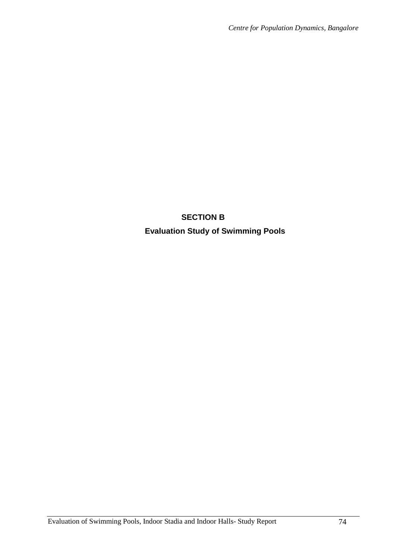# **SECTION B Evaluation Study of Swimming Pools**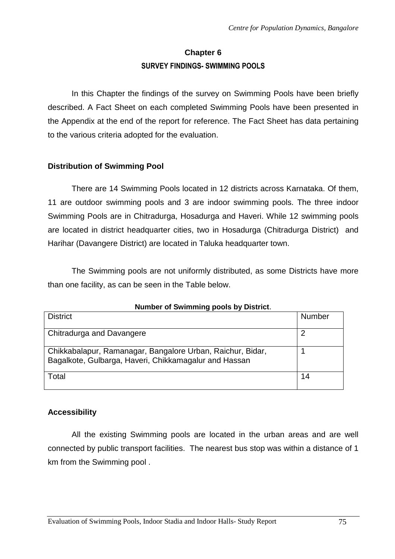# **Chapter 6 SURVEY FINDINGS- SWIMMING POOLS**

In this Chapter the findings of the survey on Swimming Pools have been briefly described. A Fact Sheet on each completed Swimming Pools have been presented in the Appendix at the end of the report for reference. The Fact Sheet has data pertaining to the various criteria adopted for the evaluation.

## **Distribution of Swimming Pool**

There are 14 Swimming Pools located in 12 districts across Karnataka. Of them, 11 are outdoor swimming pools and 3 are indoor swimming pools. The three indoor Swimming Pools are in Chitradurga, Hosadurga and Haveri. While 12 swimming pools are located in district headquarter cities, two in Hosadurga (Chitradurga District) and Harihar (Davangere District) are located in Taluka headquarter town.

The Swimming pools are not uniformly distributed, as some Districts have more than one facility, as can be seen in the Table below.

| <b>NUMBER OF SWIMMING POOPS BY DISTING.</b>                                                                         |        |  |
|---------------------------------------------------------------------------------------------------------------------|--------|--|
| <b>District</b>                                                                                                     | Number |  |
| Chitradurga and Davangere                                                                                           |        |  |
| Chikkabalapur, Ramanagar, Bangalore Urban, Raichur, Bidar,<br>Bagalkote, Gulbarga, Haveri, Chikkamagalur and Hassan |        |  |
| Total                                                                                                               | 14     |  |

## **Number of Swimming pools by District**.

## **Accessibility**

All the existing Swimming pools are located in the urban areas and are well connected by public transport facilities. The nearest bus stop was within a distance of 1 km from the Swimming pool .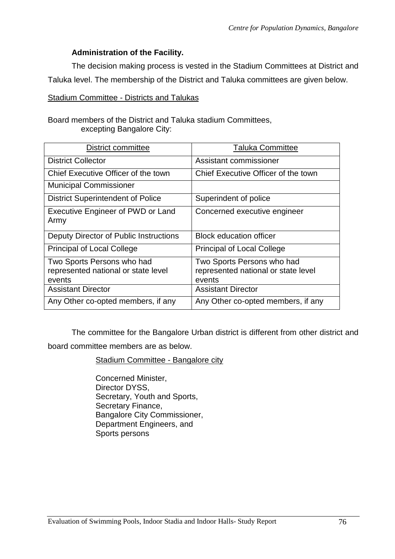### **Administration of the Facility.**

The decision making process is vested in the Stadium Committees at District and Taluka level. The membership of the District and Taluka committees are given below.

Stadium Committee - Districts and Talukas

Board members of the District and Taluka stadium Committees, excepting Bangalore City:

| <b>District committee</b>                                                   | <b>Taluka Committee</b>                                                     |
|-----------------------------------------------------------------------------|-----------------------------------------------------------------------------|
| <b>District Collector</b>                                                   | Assistant commissioner                                                      |
| Chief Executive Officer of the town                                         | Chief Executive Officer of the town                                         |
| <b>Municipal Commissioner</b>                                               |                                                                             |
| <b>District Superintendent of Police</b>                                    | Superindent of police                                                       |
| <b>Executive Engineer of PWD or Land</b><br>Army                            | Concerned executive engineer                                                |
| Deputy Director of Public Instructions                                      | <b>Block education officer</b>                                              |
| <b>Principal of Local College</b>                                           | <b>Principal of Local College</b>                                           |
| Two Sports Persons who had<br>represented national or state level<br>events | Two Sports Persons who had<br>represented national or state level<br>events |
| <b>Assistant Director</b>                                                   | <b>Assistant Director</b>                                                   |
| Any Other co-opted members, if any                                          | Any Other co-opted members, if any                                          |

The committee for the Bangalore Urban district is different from other district and board committee members are as below.

#### Stadium Committee - Bangalore city

Concerned Minister, Director DYSS, Secretary, Youth and Sports, Secretary Finance, Bangalore City Commissioner, Department Engineers, and Sports persons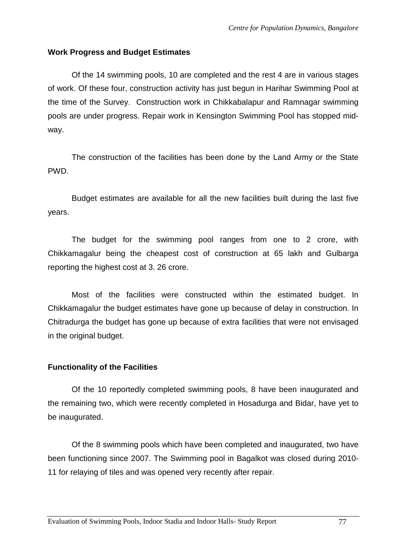### **Work Progress and Budget Estimates**

Of the 14 swimming pools, 10 are completed and the rest 4 are in various stages of work. Of these four, construction activity has just begun in Harihar Swimming Pool at the time of the Survey. Construction work in Chikkabalapur and Ramnagar swimming pools are under progress. Repair work in Kensington Swimming Pool has stopped midway.

The construction of the facilities has been done by the Land Army or the State PWD.

Budget estimates are available for all the new facilities built during the last five years.

The budget for the swimming pool ranges from one to 2 crore, with Chikkamagalur being the cheapest cost of construction at 65 lakh and Gulbarga reporting the highest cost at 3. 26 crore.

Most of the facilities were constructed within the estimated budget. In Chikkamagalur the budget estimates have gone up because of delay in construction. In Chitradurga the budget has gone up because of extra facilities that were not envisaged in the original budget.

#### **Functionality of the Facilities**

Of the 10 reportedly completed swimming pools, 8 have been inaugurated and the remaining two, which were recently completed in Hosadurga and Bidar, have yet to be inaugurated.

Of the 8 swimming pools which have been completed and inaugurated, two have been functioning since 2007. The Swimming pool in Bagalkot was closed during 2010- 11 for relaying of tiles and was opened very recently after repair.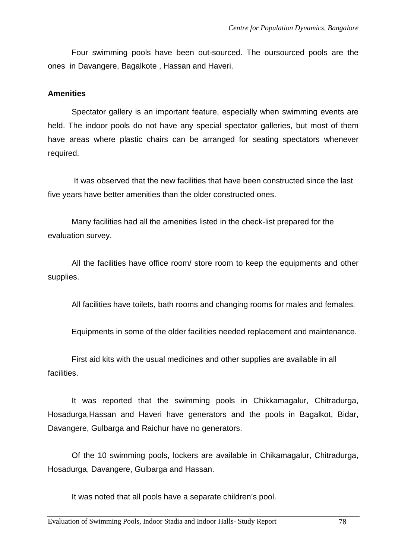Four swimming pools have been out-sourced. The oursourced pools are the ones in Davangere, Bagalkote , Hassan and Haveri.

#### **Amenities**

Spectator gallery is an important feature, especially when swimming events are held. The indoor pools do not have any special spectator galleries, but most of them have areas where plastic chairs can be arranged for seating spectators whenever required.

 It was observed that the new facilities that have been constructed since the last five years have better amenities than the older constructed ones.

Many facilities had all the amenities listed in the check-list prepared for the evaluation survey.

All the facilities have office room/ store room to keep the equipments and other supplies.

All facilities have toilets, bath rooms and changing rooms for males and females.

Equipments in some of the older facilities needed replacement and maintenance.

First aid kits with the usual medicines and other supplies are available in all facilities.

It was reported that the swimming pools in Chikkamagalur, Chitradurga, Hosadurga,Hassan and Haveri have generators and the pools in Bagalkot, Bidar, Davangere, Gulbarga and Raichur have no generators.

Of the 10 swimming pools, lockers are available in Chikamagalur, Chitradurga, Hosadurga, Davangere, Gulbarga and Hassan.

It was noted that all pools have a separate children's pool.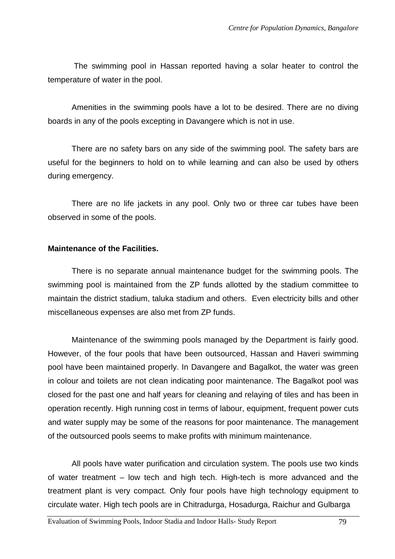The swimming pool in Hassan reported having a solar heater to control the temperature of water in the pool.

Amenities in the swimming pools have a lot to be desired. There are no diving boards in any of the pools excepting in Davangere which is not in use.

There are no safety bars on any side of the swimming pool. The safety bars are useful for the beginners to hold on to while learning and can also be used by others during emergency.

There are no life jackets in any pool. Only two or three car tubes have been observed in some of the pools.

#### **Maintenance of the Facilities.**

There is no separate annual maintenance budget for the swimming pools. The swimming pool is maintained from the ZP funds allotted by the stadium committee to maintain the district stadium, taluka stadium and others. Even electricity bills and other miscellaneous expenses are also met from ZP funds.

Maintenance of the swimming pools managed by the Department is fairly good. However, of the four pools that have been outsourced, Hassan and Haveri swimming pool have been maintained properly. In Davangere and Bagalkot, the water was green in colour and toilets are not clean indicating poor maintenance. The Bagalkot pool was closed for the past one and half years for cleaning and relaying of tiles and has been in operation recently. High running cost in terms of labour, equipment, frequent power cuts and water supply may be some of the reasons for poor maintenance. The management of the outsourced pools seems to make profits with minimum maintenance.

All pools have water purification and circulation system. The pools use two kinds of water treatment – low tech and high tech. High-tech is more advanced and the treatment plant is very compact. Only four pools have high technology equipment to circulate water. High tech pools are in Chitradurga, Hosadurga, Raichur and Gulbarga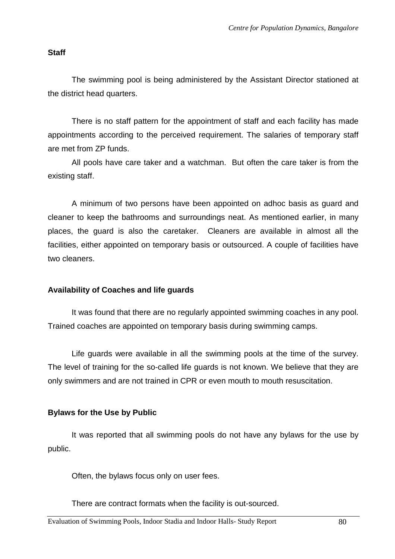### **Staff**

The swimming pool is being administered by the Assistant Director stationed at the district head quarters.

There is no staff pattern for the appointment of staff and each facility has made appointments according to the perceived requirement. The salaries of temporary staff are met from ZP funds.

All pools have care taker and a watchman. But often the care taker is from the existing staff.

A minimum of two persons have been appointed on adhoc basis as guard and cleaner to keep the bathrooms and surroundings neat. As mentioned earlier, in many places, the guard is also the caretaker. Cleaners are available in almost all the facilities, either appointed on temporary basis or outsourced. A couple of facilities have two cleaners.

## **Availability of Coaches and life guards**

It was found that there are no regularly appointed swimming coaches in any pool. Trained coaches are appointed on temporary basis during swimming camps.

Life guards were available in all the swimming pools at the time of the survey. The level of training for the so-called life guards is not known. We believe that they are only swimmers and are not trained in CPR or even mouth to mouth resuscitation.

## **Bylaws for the Use by Public**

It was reported that all swimming pools do not have any bylaws for the use by public.

Often, the bylaws focus only on user fees.

There are contract formats when the facility is out-sourced.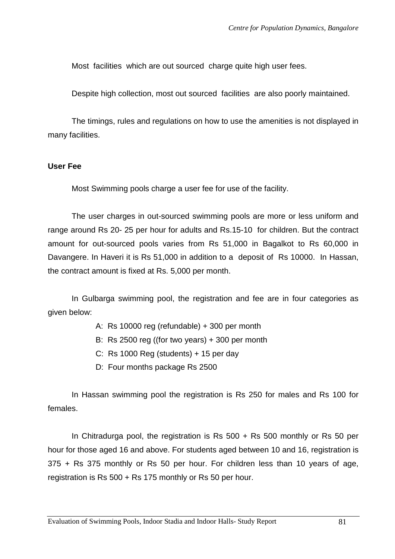Most facilities which are out sourced charge quite high user fees.

Despite high collection, most out sourced facilities are also poorly maintained.

The timings, rules and regulations on how to use the amenities is not displayed in many facilities.

#### **User Fee**

Most Swimming pools charge a user fee for use of the facility.

The user charges in out-sourced swimming pools are more or less uniform and range around Rs 20- 25 per hour for adults and Rs.15-10 for children. But the contract amount for out-sourced pools varies from Rs 51,000 in Bagalkot to Rs 60,000 in Davangere. In Haveri it is Rs 51,000 in addition to a deposit of Rs 10000. In Hassan, the contract amount is fixed at Rs. 5,000 per month.

 In Gulbarga swimming pool, the registration and fee are in four categories as given below:

- A: Rs 10000 reg (refundable) + 300 per month
- B: Rs 2500 reg ((for two years) + 300 per month
- C: Rs 1000 Reg (students) + 15 per day
- D: Four months package Rs 2500

In Hassan swimming pool the registration is Rs 250 for males and Rs 100 for females.

In Chitradurga pool, the registration is Rs  $500 + Rs$  500 monthly or Rs 50 per hour for those aged 16 and above. For students aged between 10 and 16, registration is 375 + Rs 375 monthly or Rs 50 per hour. For children less than 10 years of age, registration is Rs 500 + Rs 175 monthly or Rs 50 per hour.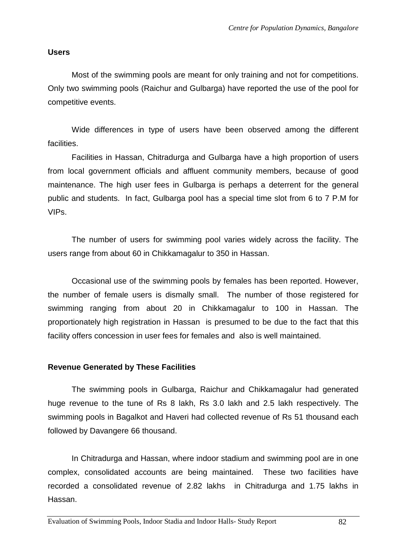#### **Users**

Most of the swimming pools are meant for only training and not for competitions. Only two swimming pools (Raichur and Gulbarga) have reported the use of the pool for competitive events.

Wide differences in type of users have been observed among the different facilities.

Facilities in Hassan, Chitradurga and Gulbarga have a high proportion of users from local government officials and affluent community members, because of good maintenance. The high user fees in Gulbarga is perhaps a deterrent for the general public and students. In fact, Gulbarga pool has a special time slot from 6 to 7 P.M for VIPs.

The number of users for swimming pool varies widely across the facility. The users range from about 60 in Chikkamagalur to 350 in Hassan.

Occasional use of the swimming pools by females has been reported. However, the number of female users is dismally small. The number of those registered for swimming ranging from about 20 in Chikkamagalur to 100 in Hassan. The proportionately high registration in Hassan is presumed to be due to the fact that this facility offers concession in user fees for females and also is well maintained.

#### **Revenue Generated by These Facilities**

 The swimming pools in Gulbarga, Raichur and Chikkamagalur had generated huge revenue to the tune of Rs 8 lakh, Rs 3.0 lakh and 2.5 lakh respectively. The swimming pools in Bagalkot and Haveri had collected revenue of Rs 51 thousand each followed by Davangere 66 thousand.

In Chitradurga and Hassan, where indoor stadium and swimming pool are in one complex, consolidated accounts are being maintained. These two facilities have recorded a consolidated revenue of 2.82 lakhs in Chitradurga and 1.75 lakhs in Hassan.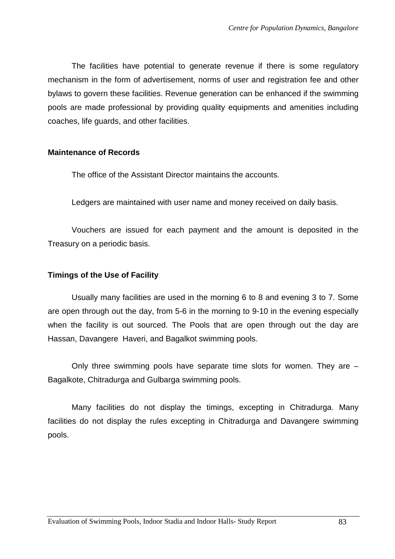The facilities have potential to generate revenue if there is some regulatory mechanism in the form of advertisement, norms of user and registration fee and other bylaws to govern these facilities. Revenue generation can be enhanced if the swimming pools are made professional by providing quality equipments and amenities including coaches, life guards, and other facilities.

#### **Maintenance of Records**

The office of the Assistant Director maintains the accounts.

Ledgers are maintained with user name and money received on daily basis.

Vouchers are issued for each payment and the amount is deposited in the Treasury on a periodic basis.

#### **Timings of the Use of Facility**

Usually many facilities are used in the morning 6 to 8 and evening 3 to 7. Some are open through out the day, from 5-6 in the morning to 9-10 in the evening especially when the facility is out sourced. The Pools that are open through out the day are Hassan, Davangere Haveri, and Bagalkot swimming pools.

Only three swimming pools have separate time slots for women. They are – Bagalkote, Chitradurga and Gulbarga swimming pools.

Many facilities do not display the timings, excepting in Chitradurga. Many facilities do not display the rules excepting in Chitradurga and Davangere swimming pools.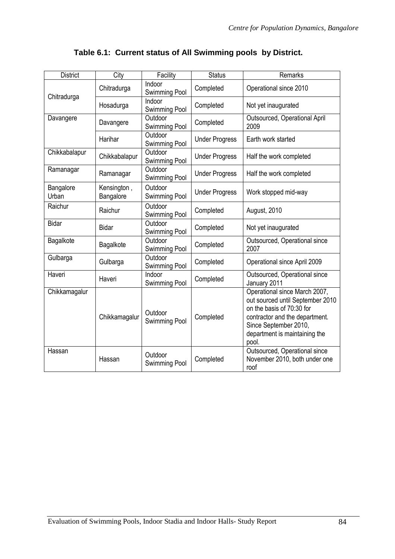| <b>District</b>    | City                     | Facility                                          | <b>Status</b>                                    | Remarks                                                                                                                                                                                             |  |
|--------------------|--------------------------|---------------------------------------------------|--------------------------------------------------|-----------------------------------------------------------------------------------------------------------------------------------------------------------------------------------------------------|--|
| Chitradurga        | Chitradurga              | Indoor<br>Swimming Pool                           | Completed                                        | Operational since 2010                                                                                                                                                                              |  |
|                    | Hosadurga                | Indoor<br>Swimming Pool                           | Completed                                        | Not yet inaugurated                                                                                                                                                                                 |  |
| Davangere          | Davangere                | Outdoor<br><b>Swimming Pool</b>                   | Completed                                        | Outsourced, Operational April<br>2009                                                                                                                                                               |  |
|                    | Harihar                  | Outdoor<br><b>Under Progress</b><br>Swimming Pool |                                                  | Earth work started                                                                                                                                                                                  |  |
| Chikkabalapur      | Chikkabalapur            | Outdoor<br>Swimming Pool                          | <b>Under Progress</b><br>Half the work completed |                                                                                                                                                                                                     |  |
| Ramanagar          | Ramanagar                | Outdoor<br>Swimming Pool                          | <b>Under Progress</b>                            | Half the work completed                                                                                                                                                                             |  |
| Bangalore<br>Urban | Kensington,<br>Bangalore | Outdoor<br>Swimming Pool                          | <b>Under Progress</b>                            | Work stopped mid-way                                                                                                                                                                                |  |
| Raichur            | Raichur                  | Outdoor<br>Swimming Pool                          | Completed                                        | August, 2010                                                                                                                                                                                        |  |
| <b>Bidar</b>       | <b>Bidar</b>             | Outdoor<br>Swimming Pool                          | Completed                                        | Not yet inaugurated                                                                                                                                                                                 |  |
| Bagalkote          | Bagalkote                | Outdoor<br>Swimming Pool                          | Completed                                        | Outsourced, Operational since<br>2007                                                                                                                                                               |  |
| Gulbarga           | Gulbarga                 | Outdoor<br>Swimming Pool                          | Completed                                        | Operational since April 2009                                                                                                                                                                        |  |
| Haveri             | Haveri                   | Indoor<br>Swimming Pool                           | Completed                                        | Outsourced, Operational since<br>January 2011                                                                                                                                                       |  |
| Chikkamagalur      | Chikkamagalur            | Outdoor<br>Swimming Pool                          | Completed                                        | Operational since March 2007,<br>out sourced until September 2010<br>on the basis of 70:30 for<br>contractor and the department.<br>Since September 2010,<br>department is maintaining the<br>pool. |  |
| Hassan             | Hassan                   | Outdoor<br>Swimming Pool                          | Completed                                        | Outsourced, Operational since<br>November 2010, both under one<br>roof                                                                                                                              |  |

# **Table 6.1: Current status of All Swimming pools by District.**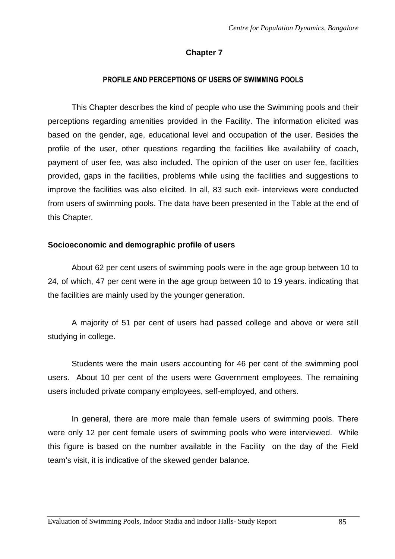## **Chapter 7**

#### **PROFILE AND PERCEPTIONS OF USERS OF SWIMMING POOLS**

This Chapter describes the kind of people who use the Swimming pools and their perceptions regarding amenities provided in the Facility. The information elicited was based on the gender, age, educational level and occupation of the user. Besides the profile of the user, other questions regarding the facilities like availability of coach, payment of user fee, was also included. The opinion of the user on user fee, facilities provided, gaps in the facilities, problems while using the facilities and suggestions to improve the facilities was also elicited. In all, 83 such exit- interviews were conducted from users of swimming pools. The data have been presented in the Table at the end of this Chapter.

#### **Socioeconomic and demographic profile of users**

About 62 per cent users of swimming pools were in the age group between 10 to 24, of which, 47 per cent were in the age group between 10 to 19 years. indicating that the facilities are mainly used by the younger generation.

A majority of 51 per cent of users had passed college and above or were still studying in college.

Students were the main users accounting for 46 per cent of the swimming pool users. About 10 per cent of the users were Government employees. The remaining users included private company employees, self-employed, and others.

 In general, there are more male than female users of swimming pools. There were only 12 per cent female users of swimming pools who were interviewed. While this figure is based on the number available in the Facility on the day of the Field team's visit, it is indicative of the skewed gender balance.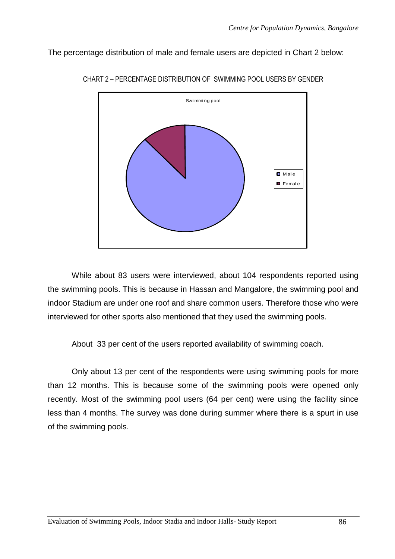The percentage distribution of male and female users are depicted in Chart 2 below:



CHART 2 – PERCENTAGE DISTRIBUTION OF SWIMMING POOL USERS BY GENDER

While about 83 users were interviewed, about 104 respondents reported using the swimming pools. This is because in Hassan and Mangalore, the swimming pool and indoor Stadium are under one roof and share common users. Therefore those who were interviewed for other sports also mentioned that they used the swimming pools.

About 33 per cent of the users reported availability of swimming coach.

Only about 13 per cent of the respondents were using swimming pools for more than 12 months. This is because some of the swimming pools were opened only recently. Most of the swimming pool users (64 per cent) were using the facility since less than 4 months. The survey was done during summer where there is a spurt in use of the swimming pools.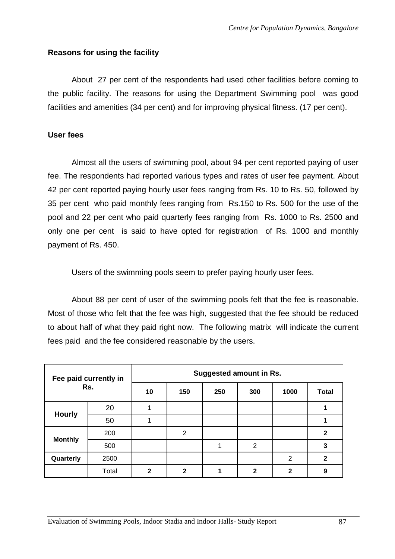### **Reasons for using the facility**

 About 27 per cent of the respondents had used other facilities before coming to the public facility. The reasons for using the Department Swimming pool was good facilities and amenities (34 per cent) and for improving physical fitness. (17 per cent).

#### **User fees**

Almost all the users of swimming pool, about 94 per cent reported paying of user fee. The respondents had reported various types and rates of user fee payment. About 42 per cent reported paying hourly user fees ranging from Rs. 10 to Rs. 50, followed by 35 per cent who paid monthly fees ranging from Rs.150 to Rs. 500 for the use of the pool and 22 per cent who paid quarterly fees ranging from Rs. 1000 to Rs. 2500 and only one per cent is said to have opted for registration of Rs. 1000 and monthly payment of Rs. 450.

Users of the swimming pools seem to prefer paying hourly user fees.

 About 88 per cent of user of the swimming pools felt that the fee is reasonable. Most of those who felt that the fee was high, suggested that the fee should be reduced to about half of what they paid right now. The following matrix will indicate the current fees paid and the fee considered reasonable by the users.

| Fee paid currently in<br>Rs. |       | <b>Suggested amount in Rs.</b> |                |     |              |                |              |  |
|------------------------------|-------|--------------------------------|----------------|-----|--------------|----------------|--------------|--|
|                              |       | 10                             | 150            | 250 | 300          | 1000           | <b>Total</b> |  |
| <b>Hourly</b>                | 20    |                                |                |     |              |                |              |  |
|                              | 50    |                                |                |     |              |                |              |  |
| <b>Monthly</b>               | 200   |                                | $\overline{2}$ |     |              |                | $\mathbf{2}$ |  |
|                              | 500   |                                |                |     | 2            |                | 3            |  |
| Quarterly                    | 2500  |                                |                |     |              | $\overline{2}$ | $\mathbf{2}$ |  |
|                              | Total | $\mathbf{2}$                   | $\mathbf{2}$   |     | $\mathbf{2}$ | 2              | 9            |  |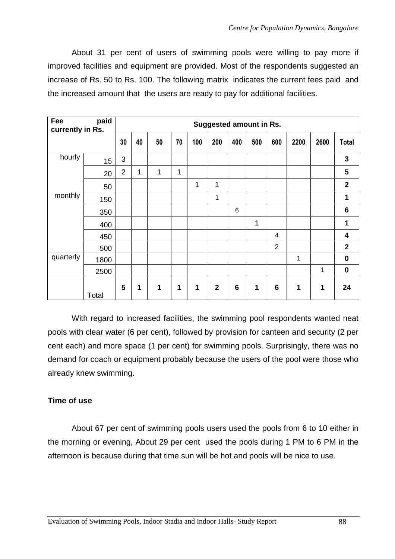About 31 per cent of users of swimming pools were willing to pay more if improved facilities and equipment are provided. Most of the respondents suggested an increase of Rs. 50 to Rs. 100. The following matrix indicates the current fees paid and the increased amount that the users are ready to pay for additional facilities.

| paid<br>Fee<br>currently in Rs. |       | <b>Suggested amount in Rs.</b> |    |    |    |             |              |                 |     |                 |             |      |              |
|---------------------------------|-------|--------------------------------|----|----|----|-------------|--------------|-----------------|-----|-----------------|-------------|------|--------------|
|                                 |       | 30                             | 40 | 50 | 70 | 100         | 200          | 400             | 500 | 600             | 2200        | 2600 | <b>Total</b> |
| hourly                          | 15    | 3                              |    |    |    |             |              |                 |     |                 |             |      | 3            |
|                                 | 20    | $\overline{2}$                 | 1  | 1  | 1  |             |              |                 |     |                 |             |      | 5            |
|                                 | 50    |                                |    |    |    | 1           | 1            |                 |     |                 |             |      | $\mathbf{2}$ |
| monthly                         | 150   |                                |    |    |    |             | 1            |                 |     |                 |             |      | $\mathbf 1$  |
|                                 | 350   |                                |    |    |    |             |              | 6               |     |                 |             |      | 6            |
|                                 | 400   |                                |    |    |    |             |              |                 | 1   |                 |             |      | 1            |
|                                 | 450   |                                |    |    |    |             |              |                 |     | 4               |             |      | 4            |
|                                 | 500   |                                |    |    |    |             |              |                 |     | $\overline{2}$  |             |      | $\mathbf{2}$ |
| quarterly                       | 1800  |                                |    |    |    |             |              |                 |     |                 | 1           |      | $\mathbf 0$  |
|                                 | 2500  |                                |    |    |    |             |              |                 |     |                 |             | 1    | $\bf{0}$     |
|                                 | Total | 5                              | 1  | 1  | 1  | $\mathbf 1$ | $\mathbf{2}$ | $6\phantom{1}6$ | 1   | $6\phantom{1}6$ | $\mathbf 1$ | 1    | 24           |

With regard to increased facilities, the swimming pool respondents wanted neat pools with clear water (6 per cent), followed by provision for canteen and security (2 per cent each) and more space (1 per cent) for swimming pools. Surprisingly, there was no demand for coach or equipment probably because the users of the pool were those who already knew swimming.

## **Time of use**

About 67 per cent of swimming pools users used the pools from 6 to 10 either in the morning or evening, About 29 per cent used the pools during 1 PM to 6 PM in the afternoon is because during that time sun will be hot and pools will be nice to use.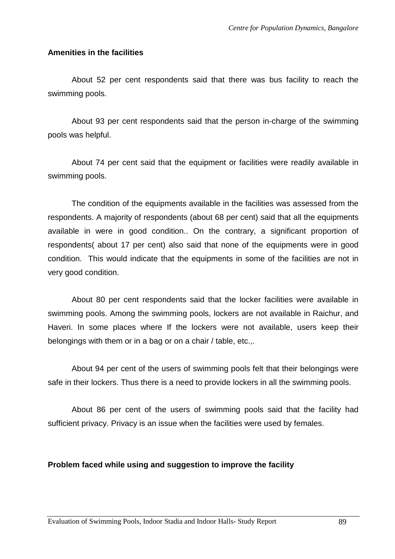#### **Amenities in the facilities**

 About 52 per cent respondents said that there was bus facility to reach the swimming pools.

About 93 per cent respondents said that the person in-charge of the swimming pools was helpful.

About 74 per cent said that the equipment or facilities were readily available in swimming pools.

The condition of the equipments available in the facilities was assessed from the respondents. A majority of respondents (about 68 per cent) said that all the equipments available in were in good condition.. On the contrary, a significant proportion of respondents( about 17 per cent) also said that none of the equipments were in good condition. This would indicate that the equipments in some of the facilities are not in very good condition.

About 80 per cent respondents said that the locker facilities were available in swimming pools. Among the swimming pools, lockers are not available in Raichur, and Haveri. In some places where If the lockers were not available, users keep their belongings with them or in a bag or on a chair / table, etc.,.

 About 94 per cent of the users of swimming pools felt that their belongings were safe in their lockers. Thus there is a need to provide lockers in all the swimming pools.

 About 86 per cent of the users of swimming pools said that the facility had sufficient privacy. Privacy is an issue when the facilities were used by females.

## **Problem faced while using and suggestion to improve the facility**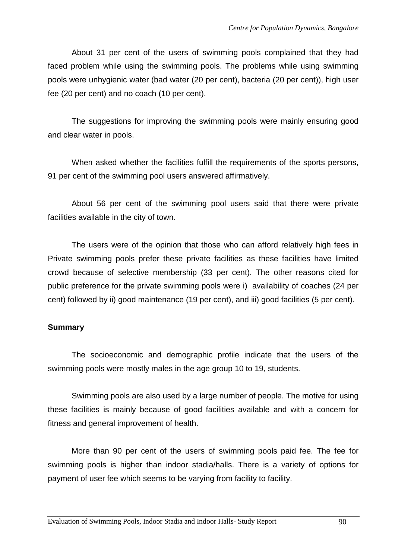About 31 per cent of the users of swimming pools complained that they had faced problem while using the swimming pools. The problems while using swimming pools were unhygienic water (bad water (20 per cent), bacteria (20 per cent)), high user fee (20 per cent) and no coach (10 per cent).

The suggestions for improving the swimming pools were mainly ensuring good and clear water in pools.

When asked whether the facilities fulfill the requirements of the sports persons, 91 per cent of the swimming pool users answered affirmatively.

About 56 per cent of the swimming pool users said that there were private facilities available in the city of town.

The users were of the opinion that those who can afford relatively high fees in Private swimming pools prefer these private facilities as these facilities have limited crowd because of selective membership (33 per cent). The other reasons cited for public preference for the private swimming pools were i) availability of coaches (24 per cent) followed by ii) good maintenance (19 per cent), and iii) good facilities (5 per cent).

## **Summary**

 The socioeconomic and demographic profile indicate that the users of the swimming pools were mostly males in the age group 10 to 19, students.

 Swimming pools are also used by a large number of people. The motive for using these facilities is mainly because of good facilities available and with a concern for fitness and general improvement of health.

 More than 90 per cent of the users of swimming pools paid fee. The fee for swimming pools is higher than indoor stadia/halls. There is a variety of options for payment of user fee which seems to be varying from facility to facility.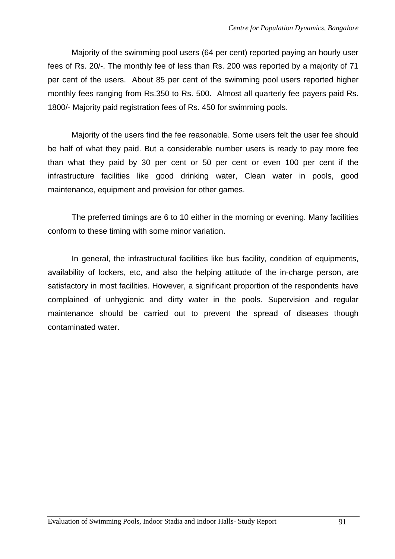Majority of the swimming pool users (64 per cent) reported paying an hourly user fees of Rs. 20/-. The monthly fee of less than Rs. 200 was reported by a majority of 71 per cent of the users. About 85 per cent of the swimming pool users reported higher monthly fees ranging from Rs.350 to Rs. 500. Almost all quarterly fee payers paid Rs. 1800/- Majority paid registration fees of Rs. 450 for swimming pools.

Majority of the users find the fee reasonable. Some users felt the user fee should be half of what they paid. But a considerable number users is ready to pay more fee than what they paid by 30 per cent or 50 per cent or even 100 per cent if the infrastructure facilities like good drinking water, Clean water in pools, good maintenance, equipment and provision for other games.

 The preferred timings are 6 to 10 either in the morning or evening. Many facilities conform to these timing with some minor variation.

In general, the infrastructural facilities like bus facility, condition of equipments, availability of lockers, etc, and also the helping attitude of the in-charge person, are satisfactory in most facilities. However, a significant proportion of the respondents have complained of unhygienic and dirty water in the pools. Supervision and regular maintenance should be carried out to prevent the spread of diseases though contaminated water.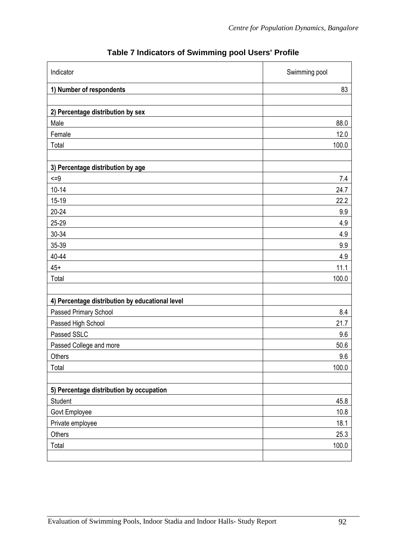| Indicator                                       | Swimming pool |
|-------------------------------------------------|---------------|
| 1) Number of respondents                        | 83            |
|                                                 |               |
| 2) Percentage distribution by sex               |               |
| Male                                            | 88.0          |
| Female                                          | 12.0          |
| Total                                           | 100.0         |
| 3) Percentage distribution by age               |               |
| $\leq$ =9                                       | 7.4           |
| $10 - 14$                                       | 24.7          |
| $15 - 19$                                       | 22.2          |
| $20 - 24$                                       | 9.9           |
| 25-29                                           | 4.9           |
| 30-34                                           | 4.9           |
| 35-39                                           | 9.9           |
| 40-44                                           | 4.9           |
| $45+$                                           | 11.1          |
| Total                                           | 100.0         |
| 4) Percentage distribution by educational level |               |
| Passed Primary School                           | 8.4           |
| Passed High School                              | 21.7          |
| Passed SSLC                                     | 9.6           |
| Passed College and more                         | 50.6          |
| Others                                          | 9.6           |
| Total                                           | 100.0         |
|                                                 |               |
| 5) Percentage distribution by occupation        |               |
| Student                                         | 45.8          |
| Govt Employee                                   | 10.8          |
| Private employee                                | 18.1          |
| Others                                          | 25.3          |
| Total                                           | 100.0         |
|                                                 |               |

# **Table 7 Indicators of Swimming pool Users' Profile**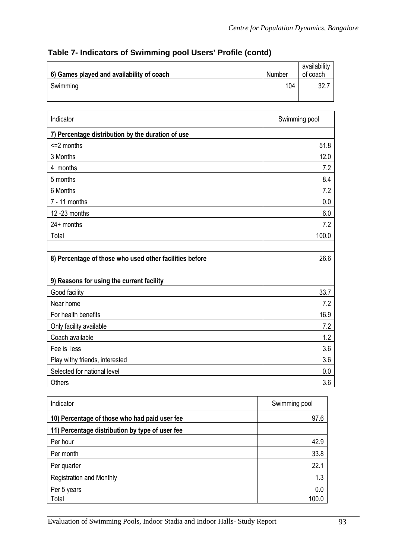| 6) Games played and availability of coach | Number | availability<br>of coach |
|-------------------------------------------|--------|--------------------------|
| Swimming                                  | 104    | ^ פ                      |
|                                           |        |                          |

# **Table 7- Indicators of Swimming pool Users' Profile (contd)**

| Indicator                                               | Swimming pool |
|---------------------------------------------------------|---------------|
| 7) Percentage distribution by the duration of use       |               |
| <= 2 months                                             | 51.8          |
| 3 Months                                                | 12.0          |
| 4 months                                                | 7.2           |
| 5 months                                                | 8.4           |
| 6 Months                                                | 7.2           |
| $7 - 11$ months                                         | 0.0           |
| 12 - 23 months                                          | 6.0           |
| $24+$ months                                            | 7.2           |
| Total                                                   | 100.0         |
|                                                         |               |
| 8) Percentage of those who used other facilities before | 26.6          |
|                                                         |               |
| 9) Reasons for using the current facility               |               |
| Good facility                                           | 33.7          |
| Near home                                               | 7.2           |
| For health benefits                                     | 16.9          |
| Only facility available                                 | 7.2           |
| Coach available                                         | 1.2           |
| Fee is less                                             | 3.6           |
| Play withy friends, interested                          | 3.6           |
| Selected for national level                             | 0.0           |
| <b>Others</b>                                           | 3.6           |

| Indicator                                       | Swimming pool |
|-------------------------------------------------|---------------|
| 10) Percentage of those who had paid user fee   | 97.6          |
| 11) Percentage distribution by type of user fee |               |
| Per hour                                        | 42.9          |
| Per month                                       | 33.8          |
| Per quarter                                     | 22.1          |
| <b>Registration and Monthly</b>                 | 1.3           |
| Per 5 years                                     | 0.0           |
| Total                                           | 100.0         |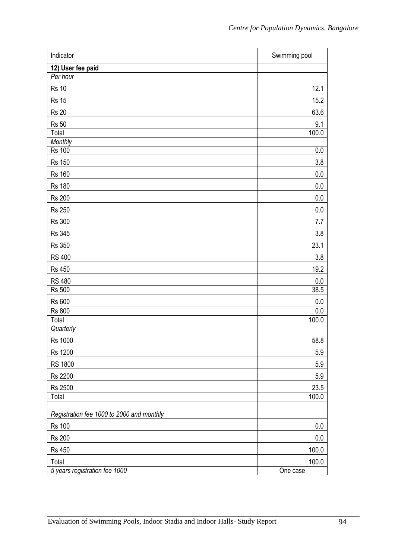| Indicator                                 | Swimming pool |
|-------------------------------------------|---------------|
| 12) User fee paid                         |               |
| Per hour                                  |               |
| <b>Rs 10</b>                              | 12.1          |
| <b>Rs 15</b>                              | 15.2          |
| <b>Rs 20</b>                              | 63.6          |
| <b>Rs 50</b>                              | 9.1           |
| Total                                     | 100.0         |
| Monthly                                   |               |
| <b>Rs 100</b>                             | 0.0           |
| <b>Rs 150</b>                             | 3.8           |
| <b>Rs 160</b>                             | $0.0\,$       |
| <b>Rs 180</b>                             | $0.0\,$       |
| <b>Rs 200</b>                             | $0.0\,$       |
| <b>Rs 250</b>                             | $0.0\,$       |
| <b>Rs 300</b>                             | 7.7           |
| <b>Rs 345</b>                             | 3.8           |
| <b>Rs 350</b>                             | 23.1          |
| <b>RS 400</b>                             | 3.8           |
| <b>Rs 450</b>                             | 19.2          |
| <b>RS 480</b>                             | 0.0           |
| <b>Rs 500</b>                             | 38.5          |
| <b>Rs 600</b>                             | 0.0           |
| <b>Rs 800</b>                             | 0.0           |
| Total                                     | 100.0         |
| Quarterly                                 |               |
| Rs 1000                                   | 58.8          |
| Rs 1200                                   | 5.9           |
| <b>RS 1800</b>                            | 5.9           |
| <b>Rs 2200</b>                            | 5.9           |
| Rs 2500                                   | 23.5          |
| Total                                     | 100.0         |
| Registration fee 1000 to 2000 and monthly |               |
| <b>Rs 100</b>                             | $0.0\,$       |
| <b>Rs 200</b>                             | 0.0           |
| <b>Rs 450</b>                             | 100.0         |
| Total                                     | 100.0         |
| 5 years registration fee 1000             | One case      |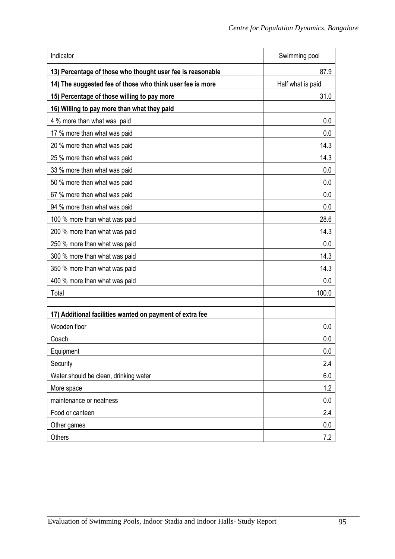| Indicator                                                  | Swimming pool     |
|------------------------------------------------------------|-------------------|
| 13) Percentage of those who thought user fee is reasonable | 87.9              |
| 14) The suggested fee of those who think user fee is more  | Half what is paid |
| 15) Percentage of those willing to pay more                | 31.0              |
| 16) Willing to pay more than what they paid                |                   |
| 4 % more than what was paid                                | 0.0               |
| 17 % more than what was paid                               | 0.0               |
| 20 % more than what was paid                               | 14.3              |
| 25 % more than what was paid                               | 14.3              |
| 33 % more than what was paid                               | 0.0               |
| 50 % more than what was paid                               | 0.0               |
| 67 % more than what was paid                               | 0.0               |
| 94 % more than what was paid                               | 0.0               |
| 100 % more than what was paid                              | 28.6              |
| 200 % more than what was paid                              | 14.3              |
| 250 % more than what was paid                              | 0.0               |
| 300 % more than what was paid                              | 14.3              |
| 350 % more than what was paid                              | 14.3              |
| 400 % more than what was paid                              | 0.0               |
| Total                                                      | 100.0             |
|                                                            |                   |
| 17) Additional facilities wanted on payment of extra fee   |                   |
| Wooden floor                                               | 0.0               |
| Coach<br>Equipment                                         | 0.0<br>0.0        |
| Security                                                   | 2.4               |
| Water should be clean, drinking water                      | 6.0               |
| More space                                                 | 1.2               |
| maintenance or neatness                                    | 0.0               |
| Food or canteen                                            | 2.4               |
| Other games                                                | 0.0               |
| <b>Others</b>                                              | 7.2               |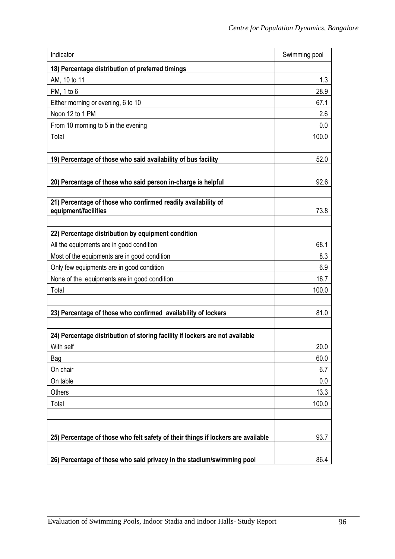| Indicator                                                                        | Swimming pool |
|----------------------------------------------------------------------------------|---------------|
| 18) Percentage distribution of preferred timings                                 |               |
| AM, 10 to 11                                                                     | 1.3           |
| PM, 1 to 6                                                                       | 28.9          |
| Either morning or evening, 6 to 10                                               | 67.1          |
| Noon 12 to 1 PM                                                                  | 2.6           |
| From 10 morning to 5 in the evening                                              | 0.0           |
| Total                                                                            | 100.0         |
|                                                                                  |               |
| 19) Percentage of those who said availability of bus facility                    | 52.0          |
|                                                                                  |               |
| 20) Percentage of those who said person in-charge is helpful                     | 92.6          |
|                                                                                  |               |
| 21) Percentage of those who confirmed readily availability of                    |               |
| equipment/facilities                                                             | 73.8          |
| 22) Percentage distribution by equipment condition                               |               |
| All the equipments are in good condition                                         | 68.1          |
| Most of the equipments are in good condition                                     | 8.3           |
| Only few equipments are in good condition                                        | 6.9           |
| None of the equipments are in good condition                                     | 16.7          |
| Total                                                                            | 100.0         |
|                                                                                  |               |
| 23) Percentage of those who confirmed availability of lockers                    | 81.0          |
|                                                                                  |               |
| 24) Percentage distribution of storing facility if lockers are not available     |               |
| With self                                                                        | 20.0          |
| Bag                                                                              | 60.0          |
| On chair                                                                         | 6.7           |
| On table                                                                         | 0.0           |
| Others                                                                           | 13.3          |
| Total                                                                            | 100.0         |
|                                                                                  |               |
|                                                                                  |               |
| 25) Percentage of those who felt safety of their things if lockers are available | 93.7          |
|                                                                                  |               |
| 26) Percentage of those who said privacy in the stadium/swimming pool            | 86.4          |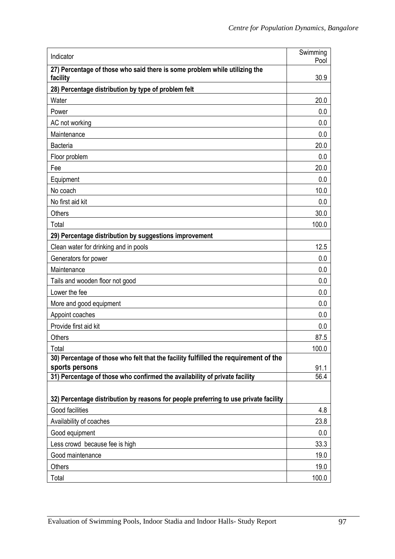| Indicator                                                                                    | Swimming<br>Pool |
|----------------------------------------------------------------------------------------------|------------------|
| 27) Percentage of those who said there is some problem while utilizing the<br>facility       | 30.9             |
| 28) Percentage distribution by type of problem felt                                          |                  |
| Water                                                                                        | 20.0             |
| Power                                                                                        | 0.0              |
| AC not working                                                                               | 0.0              |
| Maintenance                                                                                  | 0.0              |
| <b>Bacteria</b>                                                                              | 20.0             |
| Floor problem                                                                                | 0.0              |
| Fee                                                                                          | 20.0             |
| Equipment                                                                                    | 0.0              |
| No coach                                                                                     | 10.0             |
| No first aid kit                                                                             | 0.0              |
| <b>Others</b>                                                                                | 30.0             |
| Total                                                                                        | 100.0            |
| 29) Percentage distribution by suggestions improvement                                       |                  |
| Clean water for drinking and in pools                                                        | 12.5             |
| Generators for power                                                                         | 0.0              |
| Maintenance                                                                                  | 0.0              |
| Tails and wooden floor not good                                                              | 0.0              |
| Lower the fee                                                                                | 0.0              |
| More and good equipment                                                                      | 0.0              |
| Appoint coaches                                                                              | 0.0              |
| Provide first aid kit                                                                        | 0.0              |
| <b>Others</b>                                                                                | 87.5             |
| Total                                                                                        | 100.0            |
| 30) Percentage of those who felt that the facility fulfilled the requirement of the          |                  |
| sports persons<br>31) Percentage of those who confirmed the availability of private facility | 91.1<br>56.4     |
|                                                                                              |                  |
| 32) Percentage distribution by reasons for people preferring to use private facility         |                  |
| Good facilities                                                                              | 4.8              |
| Availability of coaches                                                                      | 23.8             |
| Good equipment                                                                               | 0.0              |
| Less crowd because fee is high                                                               | 33.3             |
| Good maintenance                                                                             | 19.0             |
| Others                                                                                       | 19.0             |
| Total                                                                                        | 100.0            |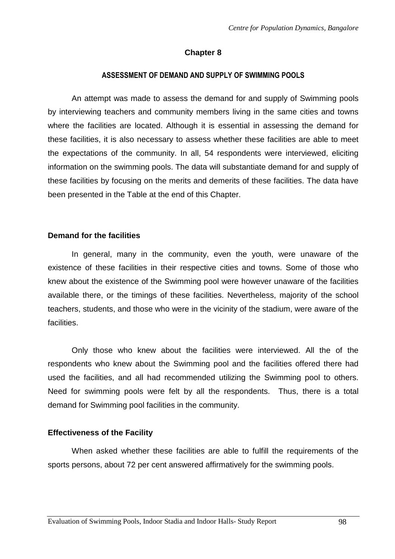## **Chapter 8**

#### **ASSESSMENT OF DEMAND AND SUPPLY OF SWIMMING POOLS**

An attempt was made to assess the demand for and supply of Swimming pools by interviewing teachers and community members living in the same cities and towns where the facilities are located. Although it is essential in assessing the demand for these facilities, it is also necessary to assess whether these facilities are able to meet the expectations of the community. In all, 54 respondents were interviewed, eliciting information on the swimming pools. The data will substantiate demand for and supply of these facilities by focusing on the merits and demerits of these facilities. The data have been presented in the Table at the end of this Chapter.

#### **Demand for the facilities**

 In general, many in the community, even the youth, were unaware of the existence of these facilities in their respective cities and towns. Some of those who knew about the existence of the Swimming pool were however unaware of the facilities available there, or the timings of these facilities. Nevertheless, majority of the school teachers, students, and those who were in the vicinity of the stadium, were aware of the facilities.

Only those who knew about the facilities were interviewed. All the of the respondents who knew about the Swimming pool and the facilities offered there had used the facilities, and all had recommended utilizing the Swimming pool to others. Need for swimming pools were felt by all the respondents. Thus, there is a total demand for Swimming pool facilities in the community.

## **Effectiveness of the Facility**

 When asked whether these facilities are able to fulfill the requirements of the sports persons, about 72 per cent answered affirmatively for the swimming pools.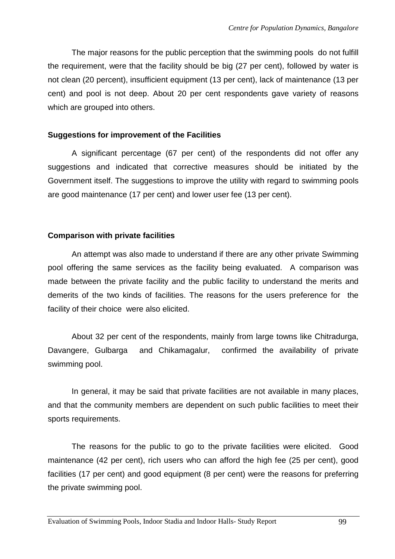The major reasons for the public perception that the swimming pools do not fulfill the requirement, were that the facility should be big (27 per cent), followed by water is not clean (20 percent), insufficient equipment (13 per cent), lack of maintenance (13 per cent) and pool is not deep. About 20 per cent respondents gave variety of reasons which are grouped into others.

#### **Suggestions for improvement of the Facilities**

A significant percentage (67 per cent) of the respondents did not offer any suggestions and indicated that corrective measures should be initiated by the Government itself. The suggestions to improve the utility with regard to swimming pools are good maintenance (17 per cent) and lower user fee (13 per cent).

#### **Comparison with private facilities**

 An attempt was also made to understand if there are any other private Swimming pool offering the same services as the facility being evaluated. A comparison was made between the private facility and the public facility to understand the merits and demerits of the two kinds of facilities. The reasons for the users preference for the facility of their choice were also elicited.

About 32 per cent of the respondents, mainly from large towns like Chitradurga, Davangere, Gulbarga and Chikamagalur, confirmed the availability of private swimming pool.

 In general, it may be said that private facilities are not available in many places, and that the community members are dependent on such public facilities to meet their sports requirements.

 The reasons for the public to go to the private facilities were elicited. Good maintenance (42 per cent), rich users who can afford the high fee (25 per cent), good facilities (17 per cent) and good equipment (8 per cent) were the reasons for preferring the private swimming pool.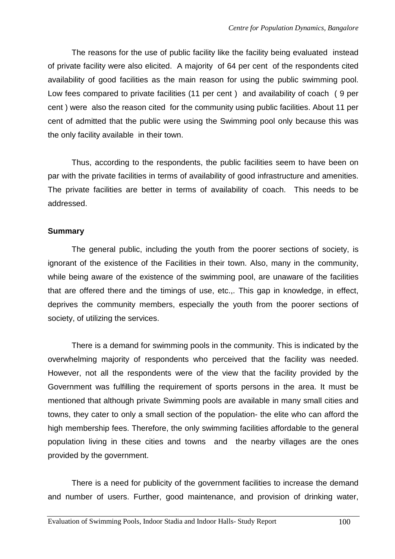The reasons for the use of public facility like the facility being evaluated instead of private facility were also elicited. A majority of 64 per cent of the respondents cited availability of good facilities as the main reason for using the public swimming pool. Low fees compared to private facilities (11 per cent ) and availability of coach ( 9 per cent ) were also the reason cited for the community using public facilities. About 11 per cent of admitted that the public were using the Swimming pool only because this was the only facility available in their town.

 Thus, according to the respondents, the public facilities seem to have been on par with the private facilities in terms of availability of good infrastructure and amenities. The private facilities are better in terms of availability of coach. This needs to be addressed.

#### **Summary**

The general public, including the youth from the poorer sections of society, is ignorant of the existence of the Facilities in their town. Also, many in the community, while being aware of the existence of the swimming pool, are unaware of the facilities that are offered there and the timings of use, etc.,. This gap in knowledge, in effect, deprives the community members, especially the youth from the poorer sections of society, of utilizing the services.

There is a demand for swimming pools in the community. This is indicated by the overwhelming majority of respondents who perceived that the facility was needed. However, not all the respondents were of the view that the facility provided by the Government was fulfilling the requirement of sports persons in the area. It must be mentioned that although private Swimming pools are available in many small cities and towns, they cater to only a small section of the population- the elite who can afford the high membership fees. Therefore, the only swimming facilities affordable to the general population living in these cities and towns and the nearby villages are the ones provided by the government.

 There is a need for publicity of the government facilities to increase the demand and number of users. Further, good maintenance, and provision of drinking water,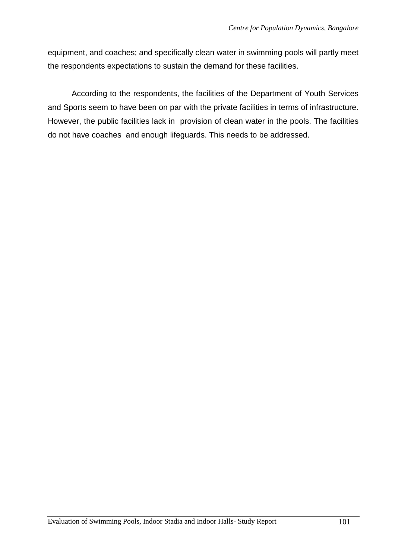equipment, and coaches; and specifically clean water in swimming pools will partly meet the respondents expectations to sustain the demand for these facilities.

 According to the respondents, the facilities of the Department of Youth Services and Sports seem to have been on par with the private facilities in terms of infrastructure. However, the public facilities lack in provision of clean water in the pools. The facilities do not have coaches and enough lifeguards. This needs to be addressed.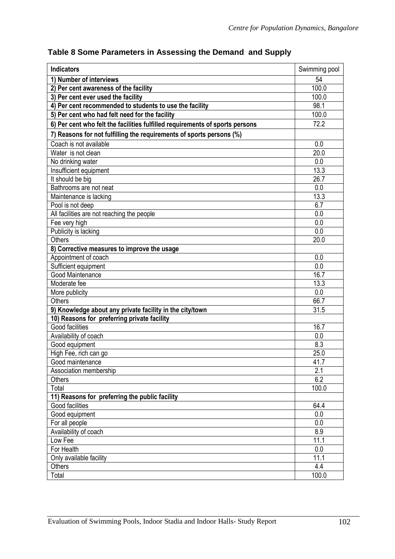| <b>Indicators</b>                                                            | Swimming pool |
|------------------------------------------------------------------------------|---------------|
| 1) Number of interviews                                                      | 54            |
| 2) Per cent awareness of the facility                                        | 100.0         |
| 3) Per cent ever used the facility                                           | 100.0         |
| 4) Per cent recommended to students to use the facility                      | 98.1          |
| 5) Per cent who had felt need for the facility                               | 100.0         |
| 6) Per cent who felt the facilities fulfilled requirements of sports persons | 72.2          |
| 7) Reasons for not fulfilling the requirements of sports persons (%)         |               |
| Coach is not available                                                       | 0.0           |
| Water is not clean                                                           | 20.0          |
| No drinking water                                                            | 0.0           |
| Insufficient equipment                                                       | 13.3          |
| It should be big                                                             | 26.7          |
| Bathrooms are not neat                                                       | 0.0           |
| Maintenance is lacking                                                       | 13.3          |
| Pool is not deep                                                             | 6.7           |
| All facilities are not reaching the people                                   | 0.0           |
| Fee very high                                                                | 0.0           |
| Publicity is lacking                                                         | 0.0           |
| <b>Others</b>                                                                | 20.0          |
| 8) Corrective measures to improve the usage                                  |               |
| Appointment of coach                                                         | 0.0           |
| Sufficient equipment                                                         | 0.0           |
| Good Maintenance                                                             | 16.7          |
| Moderate fee                                                                 | 13.3          |
| More publicity                                                               | 0.0           |
| <b>Others</b>                                                                | 66.7          |
| 9) Knowledge about any private facility in the city/town                     | 31.5          |
| 10) Reasons for preferring private facility                                  |               |
| <b>Good facilities</b>                                                       | 16.7          |
| Availability of coach                                                        | 0.0           |
| Good equipment                                                               | 8.3           |
| High Fee, rich can go                                                        | 25.0          |
| Good maintenance                                                             | 41.7          |
| Association membership                                                       | 2.1           |
| Others                                                                       | 6.2           |
| Total                                                                        | 100.0         |
| 11) Reasons for preferring the public facility                               |               |
| Good facilities                                                              | 64.4          |
| Good equipment                                                               | 0.0           |
| For all people                                                               | 0.0           |
| Availability of coach                                                        | 8.9           |
| Low Fee                                                                      | 11.1          |
| For Health                                                                   | 0.0           |
| Only available facility                                                      | 11.1          |
| Others                                                                       | 4.4           |
| Total                                                                        | 100.0         |

# **Table 8 Some Parameters in Assessing the Demand and Supply**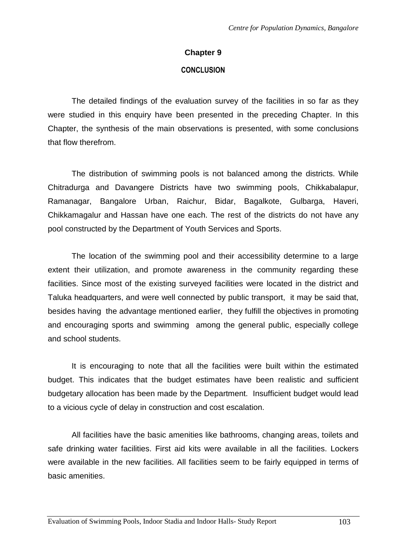#### **Chapter 9**

#### **CONCLUSION**

 The detailed findings of the evaluation survey of the facilities in so far as they were studied in this enquiry have been presented in the preceding Chapter. In this Chapter, the synthesis of the main observations is presented, with some conclusions that flow therefrom.

The distribution of swimming pools is not balanced among the districts. While Chitradurga and Davangere Districts have two swimming pools, Chikkabalapur, Ramanagar, Bangalore Urban, Raichur, Bidar, Bagalkote, Gulbarga, Haveri, Chikkamagalur and Hassan have one each. The rest of the districts do not have any pool constructed by the Department of Youth Services and Sports.

The location of the swimming pool and their accessibility determine to a large extent their utilization, and promote awareness in the community regarding these facilities. Since most of the existing surveyed facilities were located in the district and Taluka headquarters, and were well connected by public transport, it may be said that, besides having the advantage mentioned earlier, they fulfill the objectives in promoting and encouraging sports and swimming among the general public, especially college and school students.

 It is encouraging to note that all the facilities were built within the estimated budget. This indicates that the budget estimates have been realistic and sufficient budgetary allocation has been made by the Department. Insufficient budget would lead to a vicious cycle of delay in construction and cost escalation.

All facilities have the basic amenities like bathrooms, changing areas, toilets and safe drinking water facilities. First aid kits were available in all the facilities. Lockers were available in the new facilities. All facilities seem to be fairly equipped in terms of basic amenities.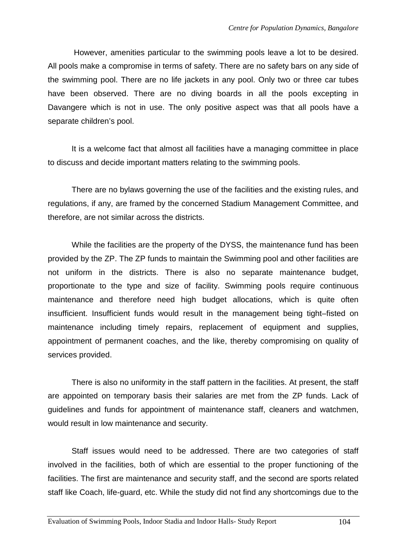However, amenities particular to the swimming pools leave a lot to be desired. All pools make a compromise in terms of safety. There are no safety bars on any side of the swimming pool. There are no life jackets in any pool. Only two or three car tubes have been observed. There are no diving boards in all the pools excepting in Davangere which is not in use. The only positive aspect was that all pools have a separate children's pool.

 It is a welcome fact that almost all facilities have a managing committee in place to discuss and decide important matters relating to the swimming pools.

 There are no bylaws governing the use of the facilities and the existing rules, and regulations, if any, are framed by the concerned Stadium Management Committee, and therefore, are not similar across the districts.

 While the facilities are the property of the DYSS, the maintenance fund has been provided by the ZP. The ZP funds to maintain the Swimming pool and other facilities are not uniform in the districts. There is also no separate maintenance budget, proportionate to the type and size of facility. Swimming pools require continuous maintenance and therefore need high budget allocations, which is quite often insufficient. Insufficient funds would result in the management being tight–fisted on maintenance including timely repairs, replacement of equipment and supplies, appointment of permanent coaches, and the like, thereby compromising on quality of services provided.

There is also no uniformity in the staff pattern in the facilities. At present, the staff are appointed on temporary basis their salaries are met from the ZP funds. Lack of guidelines and funds for appointment of maintenance staff, cleaners and watchmen, would result in low maintenance and security.

Staff issues would need to be addressed. There are two categories of staff involved in the facilities, both of which are essential to the proper functioning of the facilities. The first are maintenance and security staff, and the second are sports related staff like Coach, life-guard, etc. While the study did not find any shortcomings due to the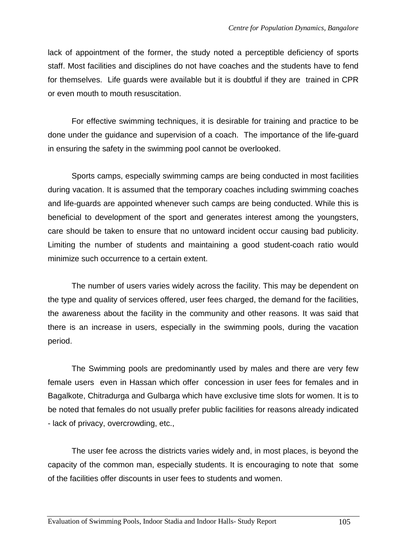lack of appointment of the former, the study noted a perceptible deficiency of sports staff. Most facilities and disciplines do not have coaches and the students have to fend for themselves. Life guards were available but it is doubtful if they are trained in CPR or even mouth to mouth resuscitation.

For effective swimming techniques, it is desirable for training and practice to be done under the guidance and supervision of a coach. The importance of the life-guard in ensuring the safety in the swimming pool cannot be overlooked.

Sports camps, especially swimming camps are being conducted in most facilities during vacation. It is assumed that the temporary coaches including swimming coaches and life-guards are appointed whenever such camps are being conducted. While this is beneficial to development of the sport and generates interest among the youngsters, care should be taken to ensure that no untoward incident occur causing bad publicity. Limiting the number of students and maintaining a good student-coach ratio would minimize such occurrence to a certain extent.

The number of users varies widely across the facility. This may be dependent on the type and quality of services offered, user fees charged, the demand for the facilities, the awareness about the facility in the community and other reasons. It was said that there is an increase in users, especially in the swimming pools, during the vacation period.

The Swimming pools are predominantly used by males and there are very few female users even in Hassan which offer concession in user fees for females and in Bagalkote, Chitradurga and Gulbarga which have exclusive time slots for women. It is to be noted that females do not usually prefer public facilities for reasons already indicated - lack of privacy, overcrowding, etc.,

 The user fee across the districts varies widely and, in most places, is beyond the capacity of the common man, especially students. It is encouraging to note that some of the facilities offer discounts in user fees to students and women.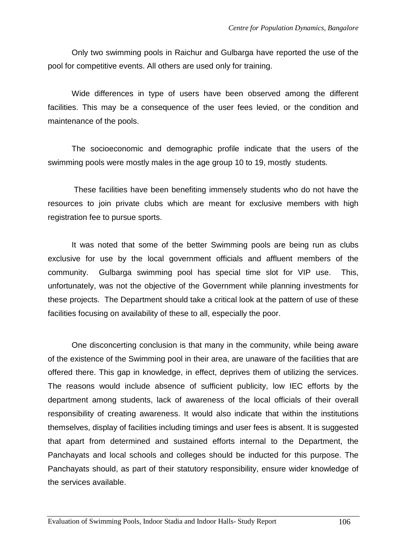Only two swimming pools in Raichur and Gulbarga have reported the use of the pool for competitive events. All others are used only for training.

Wide differences in type of users have been observed among the different facilities. This may be a consequence of the user fees levied, or the condition and maintenance of the pools.

 The socioeconomic and demographic profile indicate that the users of the swimming pools were mostly males in the age group 10 to 19, mostly students.

 These facilities have been benefiting immensely students who do not have the resources to join private clubs which are meant for exclusive members with high registration fee to pursue sports.

It was noted that some of the better Swimming pools are being run as clubs exclusive for use by the local government officials and affluent members of the community. Gulbarga swimming pool has special time slot for VIP use. This, unfortunately, was not the objective of the Government while planning investments for these projects. The Department should take a critical look at the pattern of use of these facilities focusing on availability of these to all, especially the poor.

One disconcerting conclusion is that many in the community, while being aware of the existence of the Swimming pool in their area, are unaware of the facilities that are offered there. This gap in knowledge, in effect, deprives them of utilizing the services. The reasons would include absence of sufficient publicity, low IEC efforts by the department among students, lack of awareness of the local officials of their overall responsibility of creating awareness. It would also indicate that within the institutions themselves, display of facilities including timings and user fees is absent. It is suggested that apart from determined and sustained efforts internal to the Department, the Panchayats and local schools and colleges should be inducted for this purpose. The Panchayats should, as part of their statutory responsibility, ensure wider knowledge of the services available.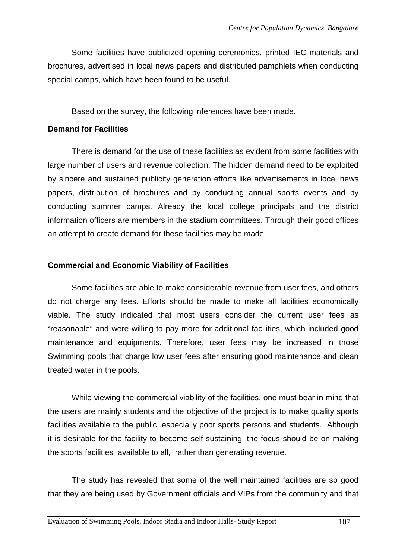Some facilities have publicized opening ceremonies, printed IEC materials and brochures, advertised in local news papers and distributed pamphlets when conducting special camps, which have been found to be useful.

Based on the survey, the following inferences have been made.

#### **Demand for Facilities**

 There is demand for the use of these facilities as evident from some facilities with large number of users and revenue collection. The hidden demand need to be exploited by sincere and sustained publicity generation efforts like advertisements in local news papers, distribution of brochures and by conducting annual sports events and by conducting summer camps. Already the local college principals and the district information officers are members in the stadium committees. Through their good offices an attempt to create demand for these facilities may be made.

## **Commercial and Economic Viability of Facilities**

 Some facilities are able to make considerable revenue from user fees, and others do not charge any fees. Efforts should be made to make all facilities economically viable. The study indicated that most users consider the current user fees as "reasonable" and were willing to pay more for additional facilities, which included good maintenance and equipments. Therefore, user fees may be increased in those Swimming pools that charge low user fees after ensuring good maintenance and clean treated water in the pools.

While viewing the commercial viability of the facilities, one must bear in mind that the users are mainly students and the objective of the project is to make quality sports facilities available to the public, especially poor sports persons and students. Although it is desirable for the facility to become self sustaining, the focus should be on making the sports facilities available to all, rather than generating revenue.

The study has revealed that some of the well maintained facilities are so good that they are being used by Government officials and VIPs from the community and that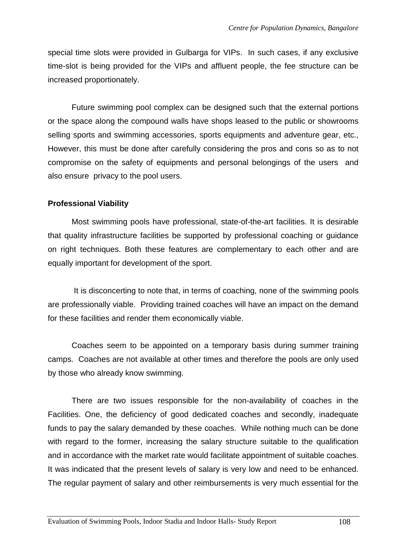special time slots were provided in Gulbarga for VIPs. In such cases, if any exclusive time-slot is being provided for the VIPs and affluent people, the fee structure can be increased proportionately.

Future swimming pool complex can be designed such that the external portions or the space along the compound walls have shops leased to the public or showrooms selling sports and swimming accessories, sports equipments and adventure gear, etc., However, this must be done after carefully considering the pros and cons so as to not compromise on the safety of equipments and personal belongings of the users and also ensure privacy to the pool users.

#### **Professional Viability**

Most swimming pools have professional, state-of-the-art facilities. It is desirable that quality infrastructure facilities be supported by professional coaching or guidance on right techniques. Both these features are complementary to each other and are equally important for development of the sport.

 It is disconcerting to note that, in terms of coaching, none of the swimming pools are professionally viable. Providing trained coaches will have an impact on the demand for these facilities and render them economically viable.

Coaches seem to be appointed on a temporary basis during summer training camps. Coaches are not available at other times and therefore the pools are only used by those who already know swimming.

There are two issues responsible for the non-availability of coaches in the Facilities. One, the deficiency of good dedicated coaches and secondly, inadequate funds to pay the salary demanded by these coaches. While nothing much can be done with regard to the former, increasing the salary structure suitable to the qualification and in accordance with the market rate would facilitate appointment of suitable coaches. It was indicated that the present levels of salary is very low and need to be enhanced. The regular payment of salary and other reimbursements is very much essential for the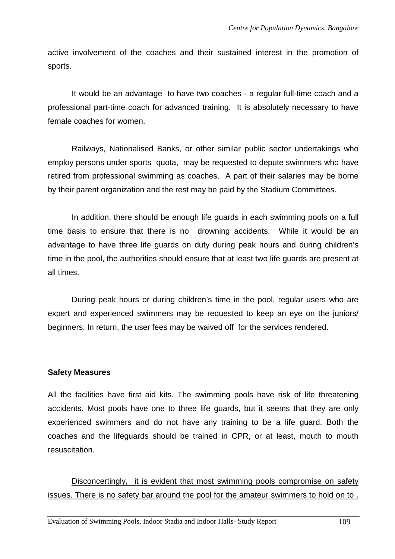active involvement of the coaches and their sustained interest in the promotion of sports.

It would be an advantage to have two coaches - a regular full-time coach and a professional part-time coach for advanced training. It is absolutely necessary to have female coaches for women.

Railways, Nationalised Banks, or other similar public sector undertakings who employ persons under sports quota, may be requested to depute swimmers who have retired from professional swimming as coaches. A part of their salaries may be borne by their parent organization and the rest may be paid by the Stadium Committees.

In addition, there should be enough life guards in each swimming pools on a full time basis to ensure that there is no drowning accidents. While it would be an advantage to have three life guards on duty during peak hours and during children's time in the pool, the authorities should ensure that at least two life guards are present at all times.

During peak hours or during children's time in the pool, regular users who are expert and experienced swimmers may be requested to keep an eye on the juniors/ beginners. In return, the user fees may be waived off for the services rendered.

## **Safety Measures**

All the facilities have first aid kits. The swimming pools have risk of life threatening accidents. Most pools have one to three life guards, but it seems that they are only experienced swimmers and do not have any training to be a life guard. Both the coaches and the lifeguards should be trained in CPR, or at least, mouth to mouth resuscitation.

Disconcertingly, it is evident that most swimming pools compromise on safety issues. There is no safety bar around the pool for the amateur swimmers to hold on to .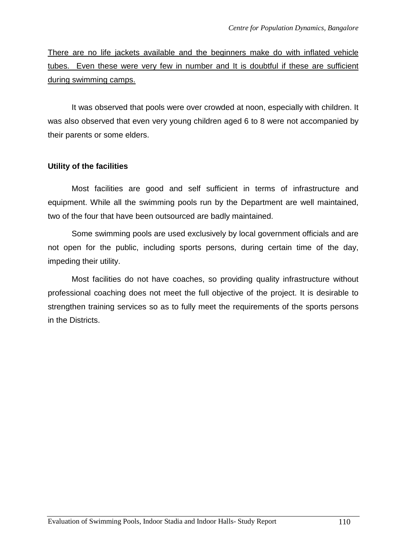There are no life jackets available and the beginners make do with inflated vehicle tubes. Even these were very few in number and It is doubtful if these are sufficient during swimming camps.

It was observed that pools were over crowded at noon, especially with children. It was also observed that even very young children aged 6 to 8 were not accompanied by their parents or some elders.

## **Utility of the facilities**

Most facilities are good and self sufficient in terms of infrastructure and equipment. While all the swimming pools run by the Department are well maintained, two of the four that have been outsourced are badly maintained.

Some swimming pools are used exclusively by local government officials and are not open for the public, including sports persons, during certain time of the day, impeding their utility.

Most facilities do not have coaches, so providing quality infrastructure without professional coaching does not meet the full objective of the project. It is desirable to strengthen training services so as to fully meet the requirements of the sports persons in the Districts.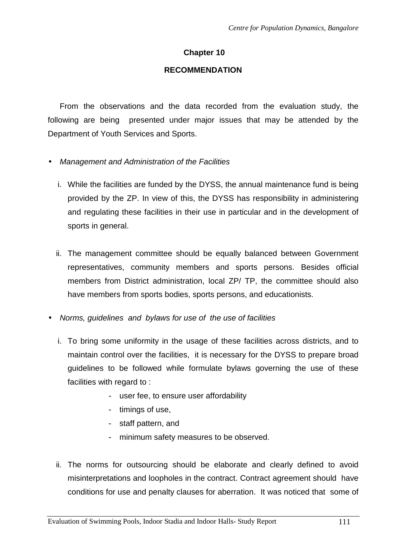## **Chapter 10**

#### **RECOMMENDATION**

From the observations and the data recorded from the evaluation study, the following are being presented under major issues that may be attended by the Department of Youth Services and Sports.

- Management and Administration of the Facilities
	- i. While the facilities are funded by the DYSS, the annual maintenance fund is being provided by the ZP. In view of this, the DYSS has responsibility in administering and regulating these facilities in their use in particular and in the development of sports in general.
	- ii. The management committee should be equally balanced between Government representatives, community members and sports persons. Besides official members from District administration, local ZP/ TP, the committee should also have members from sports bodies, sports persons, and educationists.
- Norms, quidelines and bylaws for use of the use of facilities
	- i. To bring some uniformity in the usage of these facilities across districts, and to maintain control over the facilities, it is necessary for the DYSS to prepare broad guidelines to be followed while formulate bylaws governing the use of these facilities with regard to :
		- user fee, to ensure user affordability
		- timings of use,
		- staff pattern, and
		- minimum safety measures to be observed.
	- ii. The norms for outsourcing should be elaborate and clearly defined to avoid misinterpretations and loopholes in the contract. Contract agreement should have conditions for use and penalty clauses for aberration. It was noticed that some of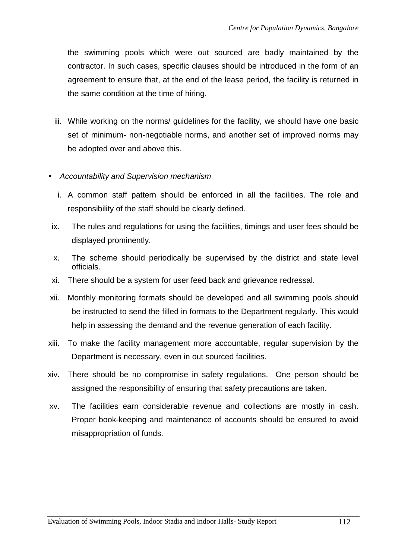the swimming pools which were out sourced are badly maintained by the contractor. In such cases, specific clauses should be introduced in the form of an agreement to ensure that, at the end of the lease period, the facility is returned in the same condition at the time of hiring.

- iii. While working on the norms/ guidelines for the facility, we should have one basic set of minimum- non-negotiable norms, and another set of improved norms may be adopted over and above this.
- Accountability and Supervision mechanism
	- i. A common staff pattern should be enforced in all the facilities. The role and responsibility of the staff should be clearly defined.
- ix. The rules and regulations for using the facilities, timings and user fees should be displayed prominently.
- x. The scheme should periodically be supervised by the district and state level officials.
- xi. There should be a system for user feed back and grievance redressal.
- xii. Monthly monitoring formats should be developed and all swimming pools should be instructed to send the filled in formats to the Department regularly. This would help in assessing the demand and the revenue generation of each facility.
- xiii. To make the facility management more accountable, regular supervision by the Department is necessary, even in out sourced facilities.
- xiv. There should be no compromise in safety regulations. One person should be assigned the responsibility of ensuring that safety precautions are taken.
- xv. The facilities earn considerable revenue and collections are mostly in cash. Proper book-keeping and maintenance of accounts should be ensured to avoid misappropriation of funds.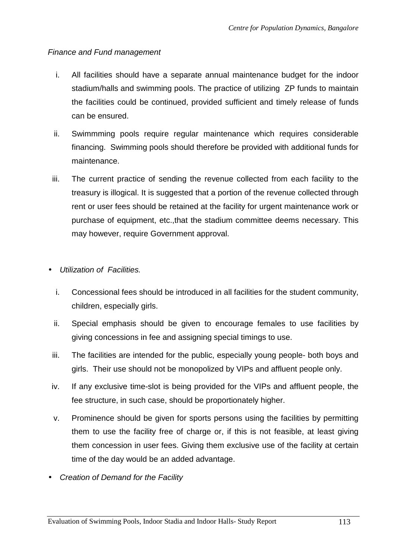## Finance and Fund management

- i. All facilities should have a separate annual maintenance budget for the indoor stadium/halls and swimming pools. The practice of utilizing ZP funds to maintain the facilities could be continued, provided sufficient and timely release of funds can be ensured.
- ii. Swimmming pools require regular maintenance which requires considerable financing. Swimming pools should therefore be provided with additional funds for maintenance.
- iii. The current practice of sending the revenue collected from each facility to the treasury is illogical. It is suggested that a portion of the revenue collected through rent or user fees should be retained at the facility for urgent maintenance work or purchase of equipment, etc.,that the stadium committee deems necessary. This may however, require Government approval.
- Utilization of Facilities.
	- i. Concessional fees should be introduced in all facilities for the student community, children, especially girls.
	- ii. Special emphasis should be given to encourage females to use facilities by giving concessions in fee and assigning special timings to use.
	- iii. The facilities are intended for the public, especially young people- both boys and girls. Their use should not be monopolized by VIPs and affluent people only.
- iv. If any exclusive time-slot is being provided for the VIPs and affluent people, the fee structure, in such case, should be proportionately higher.
- v. Prominence should be given for sports persons using the facilities by permitting them to use the facility free of charge or, if this is not feasible, at least giving them concession in user fees. Giving them exclusive use of the facility at certain time of the day would be an added advantage.
- Creation of Demand for the Facility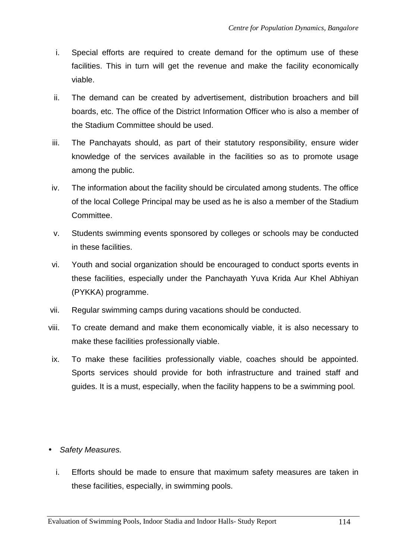- i. Special efforts are required to create demand for the optimum use of these facilities. This in turn will get the revenue and make the facility economically viable.
- ii. The demand can be created by advertisement, distribution broachers and bill boards, etc. The office of the District Information Officer who is also a member of the Stadium Committee should be used.
- iii. The Panchayats should, as part of their statutory responsibility, ensure wider knowledge of the services available in the facilities so as to promote usage among the public.
- iv. The information about the facility should be circulated among students. The office of the local College Principal may be used as he is also a member of the Stadium Committee.
- v. Students swimming events sponsored by colleges or schools may be conducted in these facilities.
- vi. Youth and social organization should be encouraged to conduct sports events in these facilities, especially under the Panchayath Yuva Krida Aur Khel Abhiyan (PYKKA) programme.
- vii. Regular swimming camps during vacations should be conducted.
- viii. To create demand and make them economically viable, it is also necessary to make these facilities professionally viable.
- ix. To make these facilities professionally viable, coaches should be appointed. Sports services should provide for both infrastructure and trained staff and guides. It is a must, especially, when the facility happens to be a swimming pool.
- Safety Measures.
	- i. Efforts should be made to ensure that maximum safety measures are taken in these facilities, especially, in swimming pools.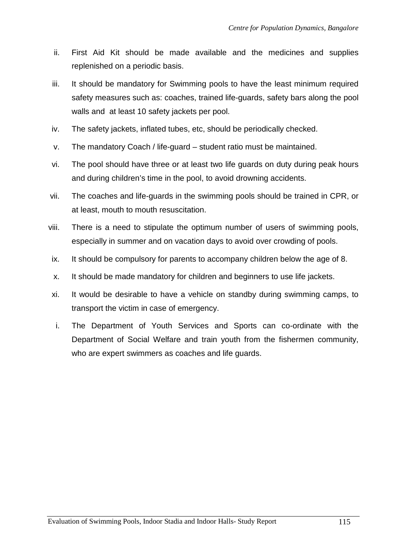- ii. First Aid Kit should be made available and the medicines and supplies replenished on a periodic basis.
- iii. It should be mandatory for Swimming pools to have the least minimum required safety measures such as: coaches, trained life-guards, safety bars along the pool walls and at least 10 safety jackets per pool.
- iv. The safety jackets, inflated tubes, etc, should be periodically checked.
- v. The mandatory Coach / life-guard student ratio must be maintained.
- vi. The pool should have three or at least two life guards on duty during peak hours and during children's time in the pool, to avoid drowning accidents.
- vii. The coaches and life-guards in the swimming pools should be trained in CPR, or at least, mouth to mouth resuscitation.
- viii. There is a need to stipulate the optimum number of users of swimming pools, especially in summer and on vacation days to avoid over crowding of pools.
- ix. It should be compulsory for parents to accompany children below the age of 8.
- x. It should be made mandatory for children and beginners to use life jackets.
- xi. It would be desirable to have a vehicle on standby during swimming camps, to transport the victim in case of emergency.
- i. The Department of Youth Services and Sports can co-ordinate with the Department of Social Welfare and train youth from the fishermen community, who are expert swimmers as coaches and life quards.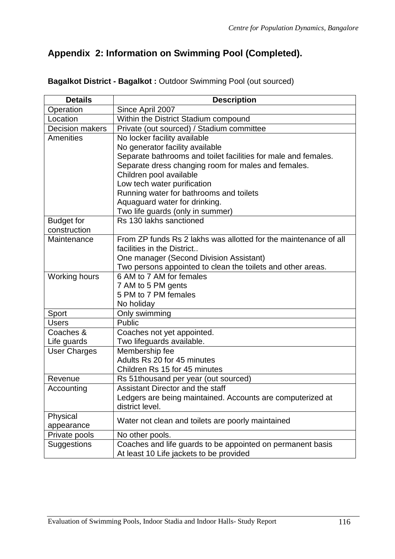# **Appendix 2: Information on Swimming Pool (Completed).**

| <b>Details</b>         | <b>Description</b>                                               |
|------------------------|------------------------------------------------------------------|
| Operation              | Since April 2007                                                 |
| Location               | Within the District Stadium compound                             |
| <b>Decision makers</b> | Private (out sourced) / Stadium committee                        |
| Amenities              | No locker facility available                                     |
|                        | No generator facility available                                  |
|                        | Separate bathrooms and toilet facilities for male and females.   |
|                        | Separate dress changing room for males and females.              |
|                        | Children pool available                                          |
|                        | Low tech water purification                                      |
|                        | Running water for bathrooms and toilets                          |
|                        | Aquaguard water for drinking.                                    |
|                        | Two life guards (only in summer)                                 |
| <b>Budget for</b>      | Rs 130 lakhs sanctioned                                          |
| construction           |                                                                  |
| Maintenance            | From ZP funds Rs 2 lakhs was allotted for the maintenance of all |
|                        | facilities in the District                                       |
|                        | One manager (Second Division Assistant)                          |
|                        | Two persons appointed to clean the toilets and other areas.      |
| <b>Working hours</b>   | 6 AM to 7 AM for females                                         |
|                        | 7 AM to 5 PM gents<br>5 PM to 7 PM females                       |
|                        |                                                                  |
| Sport                  | No holiday<br>Only swimming                                      |
| <b>Users</b>           | Public                                                           |
| Coaches &              | Coaches not yet appointed.                                       |
| Life guards            | Two lifeguards available.                                        |
| <b>User Charges</b>    | Membership fee                                                   |
|                        | Adults Rs 20 for 45 minutes                                      |
|                        | Children Rs 15 for 45 minutes                                    |
| Revenue                | Rs 51thousand per year (out sourced)                             |
| Accounting             | Assistant Director and the staff                                 |
|                        | Ledgers are being maintained. Accounts are computerized at       |
|                        | district level.                                                  |
| Physical               |                                                                  |
| appearance             | Water not clean and toilets are poorly maintained                |
| Private pools          | No other pools.                                                  |
| <b>Suggestions</b>     | Coaches and life guards to be appointed on permanent basis       |
|                        | At least 10 Life jackets to be provided                          |

# **Bagalkot District - Bagalkot :** Outdoor Swimming Pool (out sourced)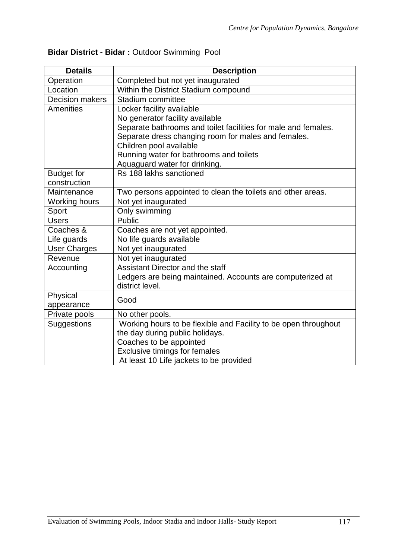| <b>Details</b>         | <b>Description</b>                                              |
|------------------------|-----------------------------------------------------------------|
| Operation              | Completed but not yet inaugurated                               |
| Location               | Within the District Stadium compound                            |
| <b>Decision makers</b> | Stadium committee                                               |
| <b>Amenities</b>       | Locker facility available                                       |
|                        | No generator facility available                                 |
|                        | Separate bathrooms and toilet facilities for male and females.  |
|                        | Separate dress changing room for males and females.             |
|                        | Children pool available                                         |
|                        | Running water for bathrooms and toilets                         |
|                        | Aquaguard water for drinking.                                   |
| <b>Budget for</b>      | Rs 188 lakhs sanctioned                                         |
| construction           |                                                                 |
| Maintenance            | Two persons appointed to clean the toilets and other areas.     |
| <b>Working hours</b>   | Not yet inaugurated                                             |
| Sport                  | Only swimming                                                   |
| <b>Users</b>           | <b>Public</b>                                                   |
| Coaches &              | Coaches are not yet appointed.                                  |
| Life guards            | No life guards available                                        |
| <b>User Charges</b>    | Not yet inaugurated                                             |
| Revenue                | Not yet inaugurated                                             |
| Accounting             | Assistant Director and the staff                                |
|                        | Ledgers are being maintained. Accounts are computerized at      |
|                        | district level.                                                 |
| Physical               | Good                                                            |
| appearance             |                                                                 |
| Private pools          | No other pools.                                                 |
| Suggestions            | Working hours to be flexible and Facility to be open throughout |
|                        | the day during public holidays.                                 |
|                        | Coaches to be appointed                                         |
|                        | Exclusive timings for females                                   |
|                        | At least 10 Life jackets to be provided                         |

# **Bidar District - Bidar :** Outdoor Swimming Pool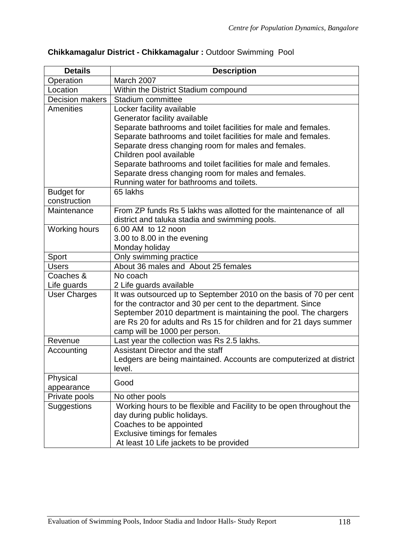| <b>Details</b>         | <b>Description</b>                                                  |  |
|------------------------|---------------------------------------------------------------------|--|
| Operation              | March 2007                                                          |  |
| Location               | Within the District Stadium compound                                |  |
| <b>Decision makers</b> | Stadium committee                                                   |  |
| <b>Amenities</b>       | Locker facility available                                           |  |
|                        | Generator facility available                                        |  |
|                        | Separate bathrooms and toilet facilities for male and females.      |  |
|                        | Separate bathrooms and toilet facilities for male and females.      |  |
|                        | Separate dress changing room for males and females.                 |  |
|                        | Children pool available                                             |  |
|                        | Separate bathrooms and toilet facilities for male and females.      |  |
|                        | Separate dress changing room for males and females.                 |  |
|                        | Running water for bathrooms and toilets.                            |  |
| <b>Budget for</b>      | 65 lakhs                                                            |  |
| construction           |                                                                     |  |
| Maintenance            | From ZP funds Rs 5 lakhs was allotted for the maintenance of all    |  |
|                        | district and taluka stadia and swimming pools.                      |  |
| <b>Working hours</b>   | 6.00 AM to 12 noon                                                  |  |
|                        | 3.00 to 8.00 in the evening                                         |  |
|                        | Monday holiday                                                      |  |
| Sport                  | Only swimming practice                                              |  |
| <b>Users</b>           | About 36 males and About 25 females                                 |  |
| Coaches &              | No coach                                                            |  |
| Life guards            | 2 Life guards available                                             |  |
| <b>User Charges</b>    | It was outsourced up to September 2010 on the basis of 70 per cent  |  |
|                        | for the contractor and 30 per cent to the department. Since         |  |
|                        | September 2010 department is maintaining the pool. The chargers     |  |
|                        | are Rs 20 for adults and Rs 15 for children and for 21 days summer  |  |
|                        | camp will be 1000 per person.                                       |  |
| Revenue                | Last year the collection was Rs 2.5 lakhs.                          |  |
| Accounting             | Assistant Director and the staff                                    |  |
|                        | Ledgers are being maintained. Accounts are computerized at district |  |
|                        | level.                                                              |  |
| Physical               | Good                                                                |  |
| appearance             |                                                                     |  |
| Private pools          | No other pools                                                      |  |
| Suggestions            | Working hours to be flexible and Facility to be open throughout the |  |
|                        | day during public holidays.                                         |  |
|                        | Coaches to be appointed                                             |  |
|                        | <b>Exclusive timings for females</b>                                |  |
|                        | At least 10 Life jackets to be provided                             |  |

# **Chikkamagalur District - Chikkamagalur :** Outdoor Swimming Pool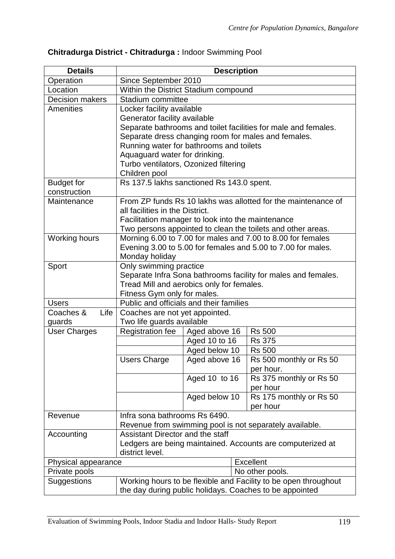| <b>Details</b>         |                                                                        | <b>Description</b>                                |                                                                |
|------------------------|------------------------------------------------------------------------|---------------------------------------------------|----------------------------------------------------------------|
| Operation              | Since September 2010                                                   |                                                   |                                                                |
| Location               | Within the District Stadium compound                                   |                                                   |                                                                |
| <b>Decision makers</b> | Stadium committee                                                      |                                                   |                                                                |
| Amenities              | Locker facility available                                              |                                                   |                                                                |
|                        | Generator facility available                                           |                                                   |                                                                |
|                        |                                                                        |                                                   | Separate bathrooms and toilet facilities for male and females. |
|                        |                                                                        |                                                   | Separate dress changing room for males and females.            |
|                        |                                                                        | Running water for bathrooms and toilets           |                                                                |
|                        | Aquaguard water for drinking.                                          |                                                   |                                                                |
|                        |                                                                        | Turbo ventilators, Ozonized filtering             |                                                                |
|                        | Children pool                                                          |                                                   |                                                                |
| <b>Budget for</b>      |                                                                        | Rs 137.5 lakhs sanctioned Rs 143.0 spent.         |                                                                |
| construction           |                                                                        |                                                   |                                                                |
| Maintenance            |                                                                        |                                                   | From ZP funds Rs 10 lakhs was allotted for the maintenance of  |
|                        | all facilities in the District.                                        |                                                   |                                                                |
|                        |                                                                        | Facilitation manager to look into the maintenance |                                                                |
|                        |                                                                        |                                                   | Two persons appointed to clean the toilets and other areas.    |
| Working hours          |                                                                        |                                                   | Morning 6.00 to 7.00 for males and 7.00 to 8.00 for females    |
|                        |                                                                        |                                                   | Evening 3.00 to 5.00 for females and 5.00 to 7.00 for males.   |
|                        | Monday holiday                                                         |                                                   |                                                                |
| Sport                  | Only swimming practice                                                 |                                                   | Separate Infra Sona bathrooms facility for males and females.  |
|                        |                                                                        | Tread Mill and aerobics only for females.         |                                                                |
|                        |                                                                        |                                                   |                                                                |
| <b>Users</b>           | Fitness Gym only for males.<br>Public and officials and their families |                                                   |                                                                |
| Coaches &<br>Life      | Coaches are not yet appointed.                                         |                                                   |                                                                |
| guards                 | Two life guards available                                              |                                                   |                                                                |
| <b>User Charges</b>    | Registration fee                                                       | Aged above 16                                     | <b>Rs 500</b>                                                  |
|                        |                                                                        | Aged 10 to 16                                     | <b>Rs 375</b>                                                  |
|                        |                                                                        | Aged below 10                                     | <b>Rs 500</b>                                                  |
|                        | <b>Users Charge</b>                                                    | Aged above 16                                     | Rs 500 monthly or Rs 50                                        |
|                        |                                                                        |                                                   | per hour.                                                      |
|                        |                                                                        | Aged 10 to 16                                     | Rs 375 monthly or Rs 50                                        |
|                        |                                                                        |                                                   | per hour                                                       |
|                        |                                                                        | Aged below 10                                     | Rs 175 monthly or Rs 50                                        |
|                        |                                                                        |                                                   | per hour                                                       |
| Revenue                | Infra sona bathrooms Rs 6490.                                          |                                                   |                                                                |
|                        |                                                                        |                                                   | Revenue from swimming pool is not separately available.        |
| Accounting             | Assistant Director and the staff                                       |                                                   |                                                                |
|                        |                                                                        |                                                   | Ledgers are being maintained. Accounts are computerized at     |
|                        | district level.                                                        |                                                   |                                                                |
| Physical appearance    |                                                                        |                                                   | <b>Excellent</b>                                               |
| Private pools          | No other pools.                                                        |                                                   |                                                                |
| Suggestions            | Working hours to be flexible and Facility to be open throughout        |                                                   |                                                                |
|                        |                                                                        |                                                   | the day during public holidays. Coaches to be appointed        |

# **Chitradurga District - Chitradurga :** Indoor Swimming Pool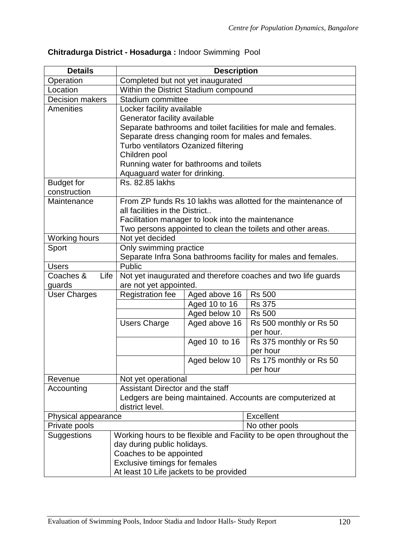| <b>Details</b>                                                                                                                                                                                                          |                                                                                                                                                                                                                                                                                                                                                                                                                                                        | <b>Description</b>             |                                                                                                                                                                                                                                                                                                                                                                                                                                                        |  |
|-------------------------------------------------------------------------------------------------------------------------------------------------------------------------------------------------------------------------|--------------------------------------------------------------------------------------------------------------------------------------------------------------------------------------------------------------------------------------------------------------------------------------------------------------------------------------------------------------------------------------------------------------------------------------------------------|--------------------------------|--------------------------------------------------------------------------------------------------------------------------------------------------------------------------------------------------------------------------------------------------------------------------------------------------------------------------------------------------------------------------------------------------------------------------------------------------------|--|
| Operation                                                                                                                                                                                                               | Completed but not yet inaugurated                                                                                                                                                                                                                                                                                                                                                                                                                      |                                |                                                                                                                                                                                                                                                                                                                                                                                                                                                        |  |
| Location                                                                                                                                                                                                                | Within the District Stadium compound                                                                                                                                                                                                                                                                                                                                                                                                                   |                                |                                                                                                                                                                                                                                                                                                                                                                                                                                                        |  |
| <b>Decision makers</b>                                                                                                                                                                                                  | Stadium committee                                                                                                                                                                                                                                                                                                                                                                                                                                      |                                |                                                                                                                                                                                                                                                                                                                                                                                                                                                        |  |
| Amenities                                                                                                                                                                                                               | Locker facility available                                                                                                                                                                                                                                                                                                                                                                                                                              |                                |                                                                                                                                                                                                                                                                                                                                                                                                                                                        |  |
|                                                                                                                                                                                                                         | Generator facility available                                                                                                                                                                                                                                                                                                                                                                                                                           |                                |                                                                                                                                                                                                                                                                                                                                                                                                                                                        |  |
|                                                                                                                                                                                                                         | Separate bathrooms and toilet facilities for male and females.                                                                                                                                                                                                                                                                                                                                                                                         |                                |                                                                                                                                                                                                                                                                                                                                                                                                                                                        |  |
|                                                                                                                                                                                                                         | Separate dress changing room for males and females.                                                                                                                                                                                                                                                                                                                                                                                                    |                                |                                                                                                                                                                                                                                                                                                                                                                                                                                                        |  |
|                                                                                                                                                                                                                         | Turbo ventilators Ozanized filtering                                                                                                                                                                                                                                                                                                                                                                                                                   |                                |                                                                                                                                                                                                                                                                                                                                                                                                                                                        |  |
|                                                                                                                                                                                                                         | Children pool                                                                                                                                                                                                                                                                                                                                                                                                                                          |                                |                                                                                                                                                                                                                                                                                                                                                                                                                                                        |  |
|                                                                                                                                                                                                                         |                                                                                                                                                                                                                                                                                                                                                                                                                                                        |                                |                                                                                                                                                                                                                                                                                                                                                                                                                                                        |  |
|                                                                                                                                                                                                                         |                                                                                                                                                                                                                                                                                                                                                                                                                                                        |                                |                                                                                                                                                                                                                                                                                                                                                                                                                                                        |  |
|                                                                                                                                                                                                                         |                                                                                                                                                                                                                                                                                                                                                                                                                                                        |                                |                                                                                                                                                                                                                                                                                                                                                                                                                                                        |  |
|                                                                                                                                                                                                                         |                                                                                                                                                                                                                                                                                                                                                                                                                                                        |                                |                                                                                                                                                                                                                                                                                                                                                                                                                                                        |  |
|                                                                                                                                                                                                                         |                                                                                                                                                                                                                                                                                                                                                                                                                                                        |                                |                                                                                                                                                                                                                                                                                                                                                                                                                                                        |  |
|                                                                                                                                                                                                                         |                                                                                                                                                                                                                                                                                                                                                                                                                                                        |                                |                                                                                                                                                                                                                                                                                                                                                                                                                                                        |  |
|                                                                                                                                                                                                                         |                                                                                                                                                                                                                                                                                                                                                                                                                                                        |                                |                                                                                                                                                                                                                                                                                                                                                                                                                                                        |  |
|                                                                                                                                                                                                                         |                                                                                                                                                                                                                                                                                                                                                                                                                                                        |                                |                                                                                                                                                                                                                                                                                                                                                                                                                                                        |  |
|                                                                                                                                                                                                                         |                                                                                                                                                                                                                                                                                                                                                                                                                                                        |                                |                                                                                                                                                                                                                                                                                                                                                                                                                                                        |  |
|                                                                                                                                                                                                                         |                                                                                                                                                                                                                                                                                                                                                                                                                                                        |                                |                                                                                                                                                                                                                                                                                                                                                                                                                                                        |  |
|                                                                                                                                                                                                                         |                                                                                                                                                                                                                                                                                                                                                                                                                                                        |                                |                                                                                                                                                                                                                                                                                                                                                                                                                                                        |  |
|                                                                                                                                                                                                                         | Not yet inaugurated and therefore coaches and two life guards                                                                                                                                                                                                                                                                                                                                                                                          |                                |                                                                                                                                                                                                                                                                                                                                                                                                                                                        |  |
|                                                                                                                                                                                                                         |                                                                                                                                                                                                                                                                                                                                                                                                                                                        |                                |                                                                                                                                                                                                                                                                                                                                                                                                                                                        |  |
| <b>User Charges</b>                                                                                                                                                                                                     | <b>Registration fee</b>                                                                                                                                                                                                                                                                                                                                                                                                                                | Aged above 16                  | <b>Rs 500</b>                                                                                                                                                                                                                                                                                                                                                                                                                                          |  |
|                                                                                                                                                                                                                         |                                                                                                                                                                                                                                                                                                                                                                                                                                                        | Aged 10 to 16                  | <b>Rs 375</b>                                                                                                                                                                                                                                                                                                                                                                                                                                          |  |
|                                                                                                                                                                                                                         |                                                                                                                                                                                                                                                                                                                                                                                                                                                        | Aged below 10                  | <b>Rs 500</b>                                                                                                                                                                                                                                                                                                                                                                                                                                          |  |
|                                                                                                                                                                                                                         | <b>Users Charge</b>                                                                                                                                                                                                                                                                                                                                                                                                                                    | Aged above 16                  | Rs 500 monthly or Rs 50                                                                                                                                                                                                                                                                                                                                                                                                                                |  |
|                                                                                                                                                                                                                         |                                                                                                                                                                                                                                                                                                                                                                                                                                                        |                                | per hour.                                                                                                                                                                                                                                                                                                                                                                                                                                              |  |
|                                                                                                                                                                                                                         |                                                                                                                                                                                                                                                                                                                                                                                                                                                        |                                |                                                                                                                                                                                                                                                                                                                                                                                                                                                        |  |
|                                                                                                                                                                                                                         |                                                                                                                                                                                                                                                                                                                                                                                                                                                        |                                |                                                                                                                                                                                                                                                                                                                                                                                                                                                        |  |
|                                                                                                                                                                                                                         |                                                                                                                                                                                                                                                                                                                                                                                                                                                        |                                |                                                                                                                                                                                                                                                                                                                                                                                                                                                        |  |
|                                                                                                                                                                                                                         |                                                                                                                                                                                                                                                                                                                                                                                                                                                        |                                |                                                                                                                                                                                                                                                                                                                                                                                                                                                        |  |
|                                                                                                                                                                                                                         |                                                                                                                                                                                                                                                                                                                                                                                                                                                        |                                |                                                                                                                                                                                                                                                                                                                                                                                                                                                        |  |
|                                                                                                                                                                                                                         |                                                                                                                                                                                                                                                                                                                                                                                                                                                        |                                |                                                                                                                                                                                                                                                                                                                                                                                                                                                        |  |
|                                                                                                                                                                                                                         |                                                                                                                                                                                                                                                                                                                                                                                                                                                        |                                |                                                                                                                                                                                                                                                                                                                                                                                                                                                        |  |
|                                                                                                                                                                                                                         |                                                                                                                                                                                                                                                                                                                                                                                                                                                        |                                |                                                                                                                                                                                                                                                                                                                                                                                                                                                        |  |
|                                                                                                                                                                                                                         |                                                                                                                                                                                                                                                                                                                                                                                                                                                        |                                |                                                                                                                                                                                                                                                                                                                                                                                                                                                        |  |
|                                                                                                                                                                                                                         |                                                                                                                                                                                                                                                                                                                                                                                                                                                        |                                |                                                                                                                                                                                                                                                                                                                                                                                                                                                        |  |
|                                                                                                                                                                                                                         |                                                                                                                                                                                                                                                                                                                                                                                                                                                        |                                |                                                                                                                                                                                                                                                                                                                                                                                                                                                        |  |
|                                                                                                                                                                                                                         |                                                                                                                                                                                                                                                                                                                                                                                                                                                        |                                |                                                                                                                                                                                                                                                                                                                                                                                                                                                        |  |
|                                                                                                                                                                                                                         | <b>Exclusive timings for females</b>                                                                                                                                                                                                                                                                                                                                                                                                                   |                                |                                                                                                                                                                                                                                                                                                                                                                                                                                                        |  |
|                                                                                                                                                                                                                         |                                                                                                                                                                                                                                                                                                                                                                                                                                                        |                                |                                                                                                                                                                                                                                                                                                                                                                                                                                                        |  |
| <b>Budget for</b><br>construction<br>Maintenance<br><b>Working hours</b><br>Sport<br><b>Users</b><br>Coaches &<br>Life<br>guards<br>Revenue<br>Accounting<br>Physical appearance<br>Private pools<br><b>Suggestions</b> | Running water for bathrooms and toilets<br>Aquaguard water for drinking.<br>Rs. 82.85 lakhs<br>all facilities in the District<br>Facilitation manager to look into the maintenance<br>Not yet decided<br>Only swimming practice<br>Public<br>are not yet appointed.<br>Not yet operational<br>Assistant Director and the staff<br>district level.<br>day during public holidays.<br>Coaches to be appointed<br>At least 10 Life jackets to be provided | Aged 10 to 16<br>Aged below 10 | From ZP funds Rs 10 lakhs was allotted for the maintenance of<br>Two persons appointed to clean the toilets and other areas.<br>Separate Infra Sona bathrooms facility for males and females.<br>Rs 375 monthly or Rs 50<br>per hour<br>Rs 175 monthly or Rs 50<br>per hour<br>Ledgers are being maintained. Accounts are computerized at<br><b>Excellent</b><br>No other pools<br>Working hours to be flexible and Facility to be open throughout the |  |

# **Chitradurga District - Hosadurga :** Indoor Swimming Pool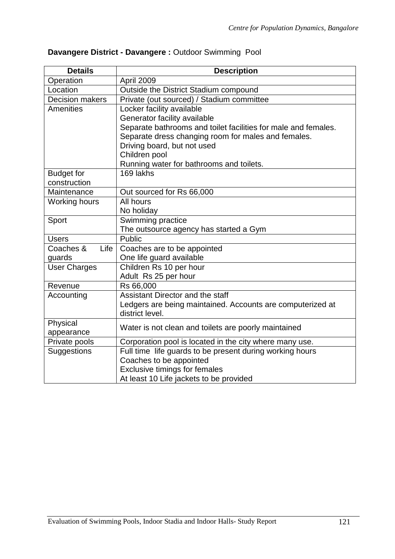| <b>Details</b>         | <b>Description</b>                                             |  |  |
|------------------------|----------------------------------------------------------------|--|--|
| Operation              | April 2009                                                     |  |  |
| Location               | Outside the District Stadium compound                          |  |  |
| <b>Decision makers</b> | Private (out sourced) / Stadium committee                      |  |  |
| <b>Amenities</b>       | Locker facility available                                      |  |  |
|                        | Generator facility available                                   |  |  |
|                        | Separate bathrooms and toilet facilities for male and females. |  |  |
|                        | Separate dress changing room for males and females.            |  |  |
|                        | Driving board, but not used                                    |  |  |
|                        | Children pool                                                  |  |  |
|                        | Running water for bathrooms and toilets.                       |  |  |
| <b>Budget for</b>      | 169 lakhs                                                      |  |  |
| construction           |                                                                |  |  |
| Maintenance            | Out sourced for Rs 66,000                                      |  |  |
| Working hours          | All hours                                                      |  |  |
|                        | No holiday                                                     |  |  |
| Sport                  | Swimming practice                                              |  |  |
|                        | The outsource agency has started a Gym                         |  |  |
| <b>Users</b>           | Public                                                         |  |  |
| Life<br>Coaches &      | Coaches are to be appointed                                    |  |  |
| guards                 | One life guard available                                       |  |  |
| <b>User Charges</b>    | Children Rs 10 per hour                                        |  |  |
|                        | Adult Rs 25 per hour                                           |  |  |
| Revenue                | Rs 66,000                                                      |  |  |
| Accounting             | Assistant Director and the staff                               |  |  |
|                        | Ledgers are being maintained. Accounts are computerized at     |  |  |
|                        | district level.                                                |  |  |
| Physical               | Water is not clean and toilets are poorly maintained           |  |  |
| appearance             |                                                                |  |  |
| Private pools          | Corporation pool is located in the city where many use.        |  |  |
| Suggestions            | Full time life guards to be present during working hours       |  |  |
|                        | Coaches to be appointed                                        |  |  |
|                        | <b>Exclusive timings for females</b>                           |  |  |
|                        | At least 10 Life jackets to be provided                        |  |  |

# **Davangere District - Davangere :** Outdoor Swimming Pool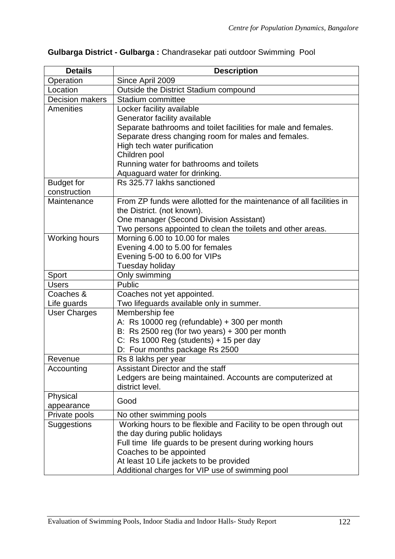| Separate bathrooms and toilet facilities for male and females.       |
|----------------------------------------------------------------------|
|                                                                      |
|                                                                      |
|                                                                      |
|                                                                      |
|                                                                      |
|                                                                      |
|                                                                      |
| From ZP funds were allotted for the maintenance of all facilities in |
|                                                                      |
|                                                                      |
|                                                                      |
|                                                                      |
|                                                                      |
|                                                                      |
|                                                                      |
|                                                                      |
|                                                                      |
|                                                                      |
|                                                                      |
|                                                                      |
|                                                                      |
|                                                                      |
|                                                                      |
|                                                                      |
|                                                                      |
| Ledgers are being maintained. Accounts are computerized at           |
|                                                                      |
|                                                                      |
|                                                                      |
|                                                                      |
| Working hours to be flexible and Facility to be open through out     |
|                                                                      |
|                                                                      |
|                                                                      |
|                                                                      |
|                                                                      |
|                                                                      |

# **Gulbarga District - Gulbarga :** Chandrasekar pati outdoor Swimming Pool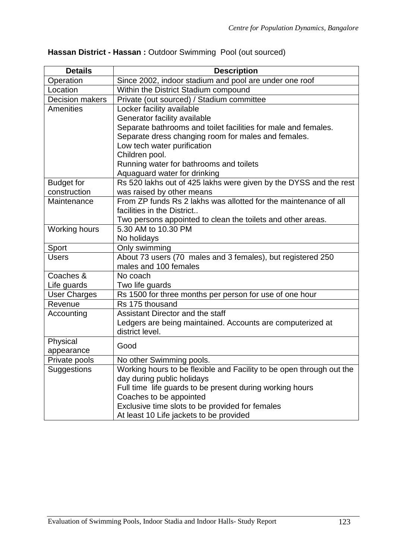| <b>Details</b>         | <b>Description</b>                                                   |
|------------------------|----------------------------------------------------------------------|
| Operation              | Since 2002, indoor stadium and pool are under one roof               |
| Location               | Within the District Stadium compound                                 |
| <b>Decision makers</b> | Private (out sourced) / Stadium committee                            |
| Amenities              | Locker facility available                                            |
|                        | Generator facility available                                         |
|                        | Separate bathrooms and toilet facilities for male and females.       |
|                        | Separate dress changing room for males and females.                  |
|                        | Low tech water purification                                          |
|                        | Children pool.                                                       |
|                        | Running water for bathrooms and toilets                              |
|                        | Aquaguard water for drinking                                         |
| <b>Budget for</b>      | Rs 520 lakhs out of 425 lakhs were given by the DYSS and the rest    |
| construction           | was raised by other means                                            |
| Maintenance            | From ZP funds Rs 2 lakhs was allotted for the maintenance of all     |
|                        | facilities in the District                                           |
|                        | Two persons appointed to clean the toilets and other areas.          |
| <b>Working hours</b>   | 5.30 AM to 10.30 PM                                                  |
|                        | No holidays                                                          |
| Sport                  | Only swimming                                                        |
| <b>Users</b>           | About 73 users (70 males and 3 females), but registered 250          |
|                        | males and 100 females                                                |
| Coaches &              | No coach                                                             |
| Life guards            | Two life guards                                                      |
| <b>User Charges</b>    | Rs 1500 for three months per person for use of one hour              |
| Revenue                | Rs 175 thousand                                                      |
| Accounting             | Assistant Director and the staff                                     |
|                        | Ledgers are being maintained. Accounts are computerized at           |
|                        | district level.                                                      |
| Physical               | Good                                                                 |
| appearance             |                                                                      |
| Private pools          | No other Swimming pools.                                             |
| Suggestions            | Working hours to be flexible and Facility to be open through out the |
|                        | day during public holidays                                           |
|                        | Full time life guards to be present during working hours             |
|                        | Coaches to be appointed                                              |
|                        | Exclusive time slots to be provided for females                      |
|                        | At least 10 Life jackets to be provided                              |

# **Hassan District - Hassan :** Outdoor Swimming Pool (out sourced)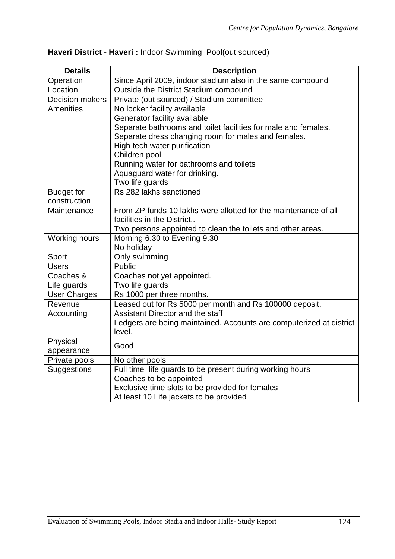| <b>Details</b>         | <b>Description</b>                                                  |
|------------------------|---------------------------------------------------------------------|
| Operation              | Since April 2009, indoor stadium also in the same compound          |
| Location               | Outside the District Stadium compound                               |
| <b>Decision makers</b> | Private (out sourced) / Stadium committee                           |
| <b>Amenities</b>       | No locker facility available                                        |
|                        | Generator facility available                                        |
|                        | Separate bathrooms and toilet facilities for male and females.      |
|                        | Separate dress changing room for males and females.                 |
|                        | High tech water purification                                        |
|                        | Children pool                                                       |
|                        | Running water for bathrooms and toilets                             |
|                        | Aquaguard water for drinking.                                       |
|                        | Two life guards                                                     |
| <b>Budget for</b>      | Rs 282 lakhs sanctioned                                             |
| construction           |                                                                     |
| Maintenance            | From ZP funds 10 lakhs were allotted for the maintenance of all     |
|                        | facilities in the District                                          |
|                        | Two persons appointed to clean the toilets and other areas.         |
| Working hours          | Morning 6.30 to Evening 9.30                                        |
|                        | No holiday                                                          |
| Sport                  | Only swimming                                                       |
| <b>Users</b>           | <b>Public</b>                                                       |
| Coaches &              | Coaches not yet appointed.                                          |
| Life guards            | Two life guards                                                     |
| <b>User Charges</b>    | Rs 1000 per three months.                                           |
| Revenue                | Leased out for Rs 5000 per month and Rs 100000 deposit.             |
| Accounting             | Assistant Director and the staff                                    |
|                        | Ledgers are being maintained. Accounts are computerized at district |
|                        | level.                                                              |
| Physical               | Good                                                                |
| appearance             |                                                                     |
| Private pools          | No other pools                                                      |
| Suggestions            | Full time life guards to be present during working hours            |
|                        | Coaches to be appointed                                             |
|                        | Exclusive time slots to be provided for females                     |
|                        | At least 10 Life jackets to be provided                             |

## **Haveri District - Haveri :** Indoor Swimming Pool(out sourced)